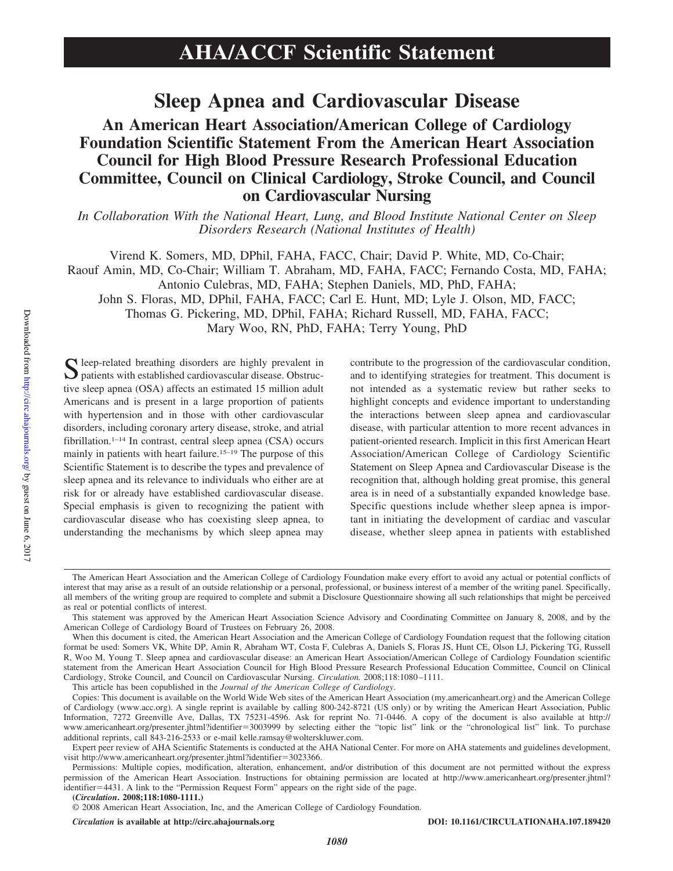# **Sleep Apnea and Cardiovascular Disease**

# **An American Heart Association/American College of Cardiology Foundation Scientific Statement From the American Heart Association Council for High Blood Pressure Research Professional Education Committee, Council on Clinical Cardiology, Stroke Council, and Council on Cardiovascular Nursing**

*In Collaboration With the National Heart, Lung, and Blood Institute National Center on Sleep Disorders Research (National Institutes of Health)*

Virend K. Somers, MD, DPhil, FAHA, FACC, Chair; David P. White, MD, Co-Chair; Raouf Amin, MD, Co-Chair; William T. Abraham, MD, FAHA, FACC; Fernando Costa, MD, FAHA; Antonio Culebras, MD, FAHA; Stephen Daniels, MD, PhD, FAHA; John S. Floras, MD, DPhil, FAHA, FACC; Carl E. Hunt, MD; Lyle J. Olson, MD, FACC; Thomas G. Pickering, MD, DPhil, FAHA; Richard Russell, MD, FAHA, FACC;

Mary Woo, RN, PhD, FAHA; Terry Young, PhD

S leep-related breathing disorders are highly prevalent in patients with established cardiovascular disease. Obstructive sleep apnea (OSA) affects an estimated 15 million adult Americans and is present in a large proportion of patients with hypertension and in those with other cardiovascular disorders, including coronary artery disease, stroke, and atrial fibrillation.<sup>1–14</sup> In contrast, central sleep apnea (CSA) occurs mainly in patients with heart failure.15–19 The purpose of this Scientific Statement is to describe the types and prevalence of sleep apnea and its relevance to individuals who either are at risk for or already have established cardiovascular disease. Special emphasis is given to recognizing the patient with cardiovascular disease who has coexisting sleep apnea, to understanding the mechanisms by which sleep apnea may

contribute to the progression of the cardiovascular condition, and to identifying strategies for treatment. This document is not intended as a systematic review but rather seeks to highlight concepts and evidence important to understanding the interactions between sleep apnea and cardiovascular disease, with particular attention to more recent advances in patient-oriented research. Implicit in this first American Heart Association/American College of Cardiology Scientific Statement on Sleep Apnea and Cardiovascular Disease is the recognition that, although holding great promise, this general area is in need of a substantially expanded knowledge base. Specific questions include whether sleep apnea is important in initiating the development of cardiac and vascular disease, whether sleep apnea in patients with established

This article has been copublished in the *Journal of the American College of Cardiology*.

The American Heart Association and the American College of Cardiology Foundation make every effort to avoid any actual or potential conflicts of interest that may arise as a result of an outside relationship or a personal, professional, or business interest of a member of the writing panel. Specifically, all members of the writing group are required to complete and submit a Disclosure Questionnaire showing all such relationships that might be perceived as real or potential conflicts of interest.

This statement was approved by the American Heart Association Science Advisory and Coordinating Committee on January 8, 2008, and by the American College of Cardiology Board of Trustees on February 26, 2008.

When this document is cited, the American Heart Association and the American College of Cardiology Foundation request that the following citation format be used: Somers VK, White DP, Amin R, Abraham WT, Costa F, Culebras A, Daniels S, Floras JS, Hunt CE, Olson LJ, Pickering TG, Russell R, Woo M, Young T. Sleep apnea and cardiovascular disease: an American Heart Association/American College of Cardiology Foundation scientific statement from the American Heart Association Council for High Blood Pressure Research Professional Education Committee, Council on Clinical Cardiology, Stroke Council, and Council on Cardiovascular Nursing. *Circulation.* 2008;118:1080 –1111.

Copies: This document is available on the World Wide Web sites of the American Heart Association (my.americanheart.org) and the American College of Cardiology (www.acc.org). A single reprint is available by calling 800-242-8721 (US only) or by writing the American Heart Association, Public Information, 7272 Greenville Ave, Dallas, TX 75231-4596. Ask for reprint No. 71-0446. A copy of the document is also available at http:// www.americanheart.org/presenter.jhtml?identifier=3003999 by selecting either the "topic list" link or the "chronological list" link. To purchase additional reprints, call 843-216-2533 or e-mail kelle.ramsay@wolterskluwer.com.

Expert peer review of AHA Scientific Statements is conducted at the AHA National Center. For more on AHA statements and guidelines development, visit http://www.americanheart.org/presenter.jhtml?identifier=3023366.

Permissions: Multiple copies, modification, alteration, enhancement, and/or distribution of this document are not permitted without the express permission of the American Heart Association. Instructions for obtaining permission are located at http://www.americanheart.org/presenter.jhtml? identifier=4431. A link to the "Permission Request Form" appears on the right side of the page.

**<sup>(</sup>***Circulation***. 2008;118:1080-1111.)**

<sup>© 2008</sup> American Heart Association, Inc, and the American College of Cardiology Foundation.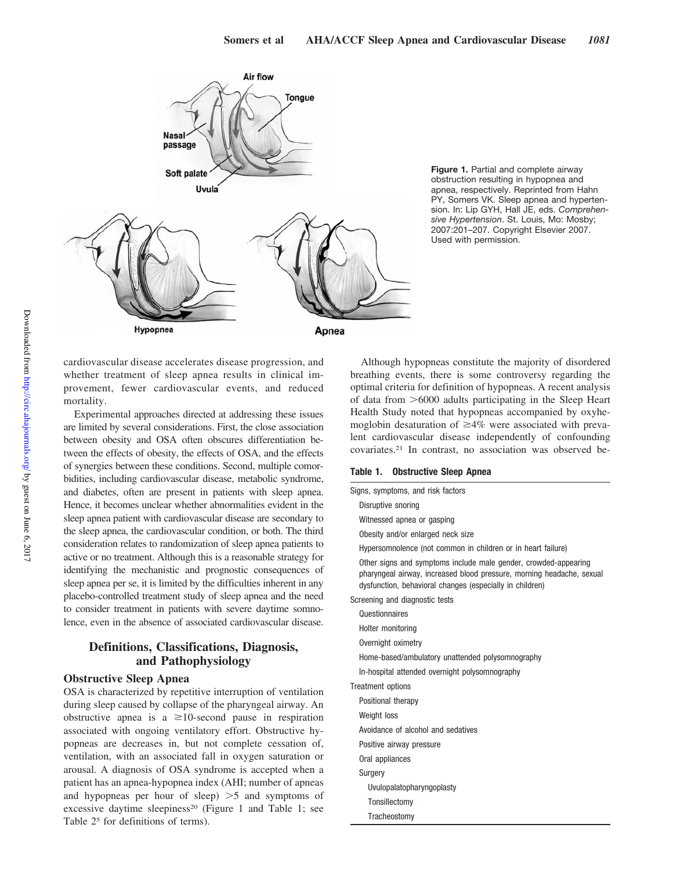

**Figure 1.** Partial and complete airway obstruction resulting in hypopnea and apnea, respectively. Reprinted from Hahn PY, Somers VK. Sleep apnea and hypertension. In: Lip GYH, Hall JE, eds. *Comprehensive Hypertension*. St. Louis, Mo: Mosby; 2007:201–207. Copyright Elsevier 2007. Used with permission.

cardiovascular disease accelerates disease progression, and whether treatment of sleep apnea results in clinical improvement, fewer cardiovascular events, and reduced mortality.

Experimental approaches directed at addressing these issues are limited by several considerations. First, the close association between obesity and OSA often obscures differentiation between the effects of obesity, the effects of OSA, and the effects of synergies between these conditions. Second, multiple comorbidities, including cardiovascular disease, metabolic syndrome, and diabetes, often are present in patients with sleep apnea. Hence, it becomes unclear whether abnormalities evident in the sleep apnea patient with cardiovascular disease are secondary to the sleep apnea, the cardiovascular condition, or both. The third consideration relates to randomization of sleep apnea patients to active or no treatment. Although this is a reasonable strategy for identifying the mechanistic and prognostic consequences of sleep apnea per se, it is limited by the difficulties inherent in any placebo-controlled treatment study of sleep apnea and the need to consider treatment in patients with severe daytime somnolence, even in the absence of associated cardiovascular disease.

# **Definitions, Classifications, Diagnosis, and Pathophysiology**

## **Obstructive Sleep Apnea**

OSA is characterized by repetitive interruption of ventilation during sleep caused by collapse of the pharyngeal airway. An obstructive apnea is a  $\geq 10$ -second pause in respiration associated with ongoing ventilatory effort. Obstructive hypopneas are decreases in, but not complete cessation of, ventilation, with an associated fall in oxygen saturation or arousal. A diagnosis of OSA syndrome is accepted when a patient has an apnea-hypopnea index (AHI; number of apneas and hypopneas per hour of sleep)  $>5$  and symptoms of excessive daytime sleepiness<sup>20</sup> (Figure 1 and Table 1; see Table 25 for definitions of terms).

Although hypopneas constitute the majority of disordered breathing events, there is some controversy regarding the optimal criteria for definition of hypopneas. A recent analysis of data from  $>6000$  adults participating in the Sleep Heart Health Study noted that hypopneas accompanied by oxyhemoglobin desaturation of  $\geq 4\%$  were associated with prevalent cardiovascular disease independently of confounding covariates.21 In contrast, no association was observed be-

## **Table 1. Obstructive Sleep Apnea**

| Signs, symptoms, and risk factors                                                                                                                                                                    |
|------------------------------------------------------------------------------------------------------------------------------------------------------------------------------------------------------|
| Disruptive snoring                                                                                                                                                                                   |
| Witnessed apnea or gasping                                                                                                                                                                           |
| Obesity and/or enlarged neck size                                                                                                                                                                    |
| Hypersomnolence (not common in children or in heart failure)                                                                                                                                         |
| Other signs and symptoms include male gender, crowded-appearing<br>pharyngeal airway, increased blood pressure, morning headache, sexual<br>dysfunction, behavioral changes (especially in children) |
| Screening and diagnostic tests                                                                                                                                                                       |
| Questionnaires                                                                                                                                                                                       |
| Holter monitoring                                                                                                                                                                                    |
| Overnight oximetry                                                                                                                                                                                   |
| Home-based/ambulatory unattended polysomnography                                                                                                                                                     |
| In-hospital attended overnight polysomnography                                                                                                                                                       |
| <b>Treatment options</b>                                                                                                                                                                             |
| Positional therapy                                                                                                                                                                                   |
| Weight loss                                                                                                                                                                                          |
| Avoidance of alcohol and sedatives                                                                                                                                                                   |
| Positive airway pressure                                                                                                                                                                             |
| Oral appliances                                                                                                                                                                                      |
| Surgery                                                                                                                                                                                              |
| Uvulopalatopharyngoplasty                                                                                                                                                                            |
| Tonsillectomy                                                                                                                                                                                        |
| Tracheostomy                                                                                                                                                                                         |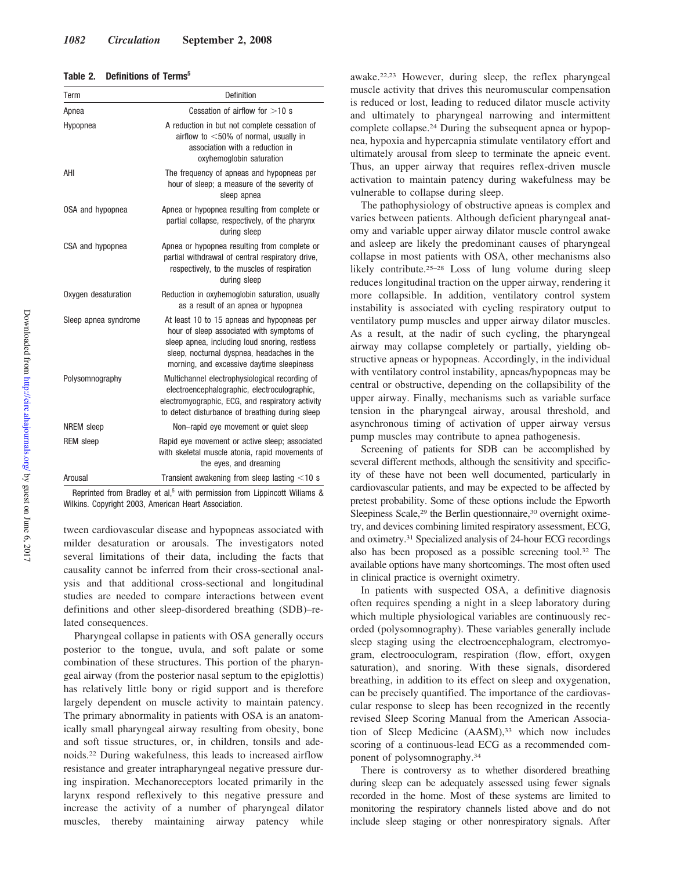## **Table 2. Definitions of Terms5**

| Term                 | Definition                                                                                                                                                                                                                          |
|----------------------|-------------------------------------------------------------------------------------------------------------------------------------------------------------------------------------------------------------------------------------|
| Apnea                | Cessation of airflow for $>10$ s                                                                                                                                                                                                    |
| Hypopnea             | A reduction in but not complete cessation of<br>airflow to $<$ 50% of normal, usually in<br>association with a reduction in<br>oxyhemoglobin saturation                                                                             |
| AHI                  | The frequency of apneas and hypopneas per<br>hour of sleep; a measure of the severity of<br>sleep apnea                                                                                                                             |
| OSA and hypopnea     | Apnea or hypopnea resulting from complete or<br>partial collapse, respectively, of the pharynx<br>during sleep                                                                                                                      |
| CSA and hypopnea     | Apnea or hypopnea resulting from complete or<br>partial withdrawal of central respiratory drive,<br>respectively, to the muscles of respiration<br>during sleep                                                                     |
| Oxygen desaturation  | Reduction in oxyhemoglobin saturation, usually<br>as a result of an apnea or hypopnea                                                                                                                                               |
| Sleep apnea syndrome | At least 10 to 15 apneas and hypopneas per<br>hour of sleep associated with symptoms of<br>sleep apnea, including loud snoring, restless<br>sleep, nocturnal dyspnea, headaches in the<br>morning, and excessive daytime sleepiness |
| Polysomnography      | Multichannel electrophysiological recording of<br>electroencephalographic, electroculographic,<br>electromyographic, ECG, and respiratory activity<br>to detect disturbance of breathing during sleep                               |
| <b>NREM</b> sleep    | Non-rapid eye movement or quiet sleep                                                                                                                                                                                               |
| <b>REM</b> sleep     | Rapid eye movement or active sleep; associated<br>with skeletal muscle atonia, rapid movements of<br>the eyes, and dreaming                                                                                                         |
| Arousal              | Transient awakening from sleep lasting $<$ 10 s                                                                                                                                                                                     |

Reprinted from Bradley et al,<sup>5</sup> with permission from Lippincott Wiliams & Wilkins. Copyright 2003, American Heart Association.

tween cardiovascular disease and hypopneas associated with milder desaturation or arousals. The investigators noted several limitations of their data, including the facts that causality cannot be inferred from their cross-sectional analysis and that additional cross-sectional and longitudinal studies are needed to compare interactions between event definitions and other sleep-disordered breathing (SDB)–related consequences.

Pharyngeal collapse in patients with OSA generally occurs posterior to the tongue, uvula, and soft palate or some combination of these structures. This portion of the pharyngeal airway (from the posterior nasal septum to the epiglottis) has relatively little bony or rigid support and is therefore largely dependent on muscle activity to maintain patency. The primary abnormality in patients with OSA is an anatomically small pharyngeal airway resulting from obesity, bone and soft tissue structures, or, in children, tonsils and adenoids.22 During wakefulness, this leads to increased airflow resistance and greater intrapharyngeal negative pressure during inspiration. Mechanoreceptors located primarily in the larynx respond reflexively to this negative pressure and increase the activity of a number of pharyngeal dilator muscles, thereby maintaining airway patency while

awake.22,23 However, during sleep, the reflex pharyngeal muscle activity that drives this neuromuscular compensation is reduced or lost, leading to reduced dilator muscle activity and ultimately to pharyngeal narrowing and intermittent complete collapse.24 During the subsequent apnea or hypopnea, hypoxia and hypercapnia stimulate ventilatory effort and ultimately arousal from sleep to terminate the apneic event. Thus, an upper airway that requires reflex-driven muscle activation to maintain patency during wakefulness may be vulnerable to collapse during sleep.

The pathophysiology of obstructive apneas is complex and varies between patients. Although deficient pharyngeal anatomy and variable upper airway dilator muscle control awake and asleep are likely the predominant causes of pharyngeal collapse in most patients with OSA, other mechanisms also likely contribute.<sup>25–28</sup> Loss of lung volume during sleep reduces longitudinal traction on the upper airway, rendering it more collapsible. In addition, ventilatory control system instability is associated with cycling respiratory output to ventilatory pump muscles and upper airway dilator muscles. As a result, at the nadir of such cycling, the pharyngeal airway may collapse completely or partially, yielding obstructive apneas or hypopneas. Accordingly, in the individual with ventilatory control instability, apneas/hypopneas may be central or obstructive, depending on the collapsibility of the upper airway. Finally, mechanisms such as variable surface tension in the pharyngeal airway, arousal threshold, and asynchronous timing of activation of upper airway versus pump muscles may contribute to apnea pathogenesis.

Screening of patients for SDB can be accomplished by several different methods, although the sensitivity and specificity of these have not been well documented, particularly in cardiovascular patients, and may be expected to be affected by pretest probability. Some of these options include the Epworth Sleepiness Scale,<sup>29</sup> the Berlin questionnaire,<sup>30</sup> overnight oximetry, and devices combining limited respiratory assessment, ECG, and oximetry.31 Specialized analysis of 24-hour ECG recordings also has been proposed as a possible screening tool.32 The available options have many shortcomings. The most often used in clinical practice is overnight oximetry.

In patients with suspected OSA, a definitive diagnosis often requires spending a night in a sleep laboratory during which multiple physiological variables are continuously recorded (polysomnography). These variables generally include sleep staging using the electroencephalogram, electromyogram, electrooculogram, respiration (flow, effort, oxygen saturation), and snoring. With these signals, disordered breathing, in addition to its effect on sleep and oxygenation, can be precisely quantified. The importance of the cardiovascular response to sleep has been recognized in the recently revised Sleep Scoring Manual from the American Association of Sleep Medicine (AASM),<sup>33</sup> which now includes scoring of a continuous-lead ECG as a recommended component of polysomnography.34

There is controversy as to whether disordered breathing during sleep can be adequately assessed using fewer signals recorded in the home. Most of these systems are limited to monitoring the respiratory channels listed above and do not include sleep staging or other nonrespiratory signals. After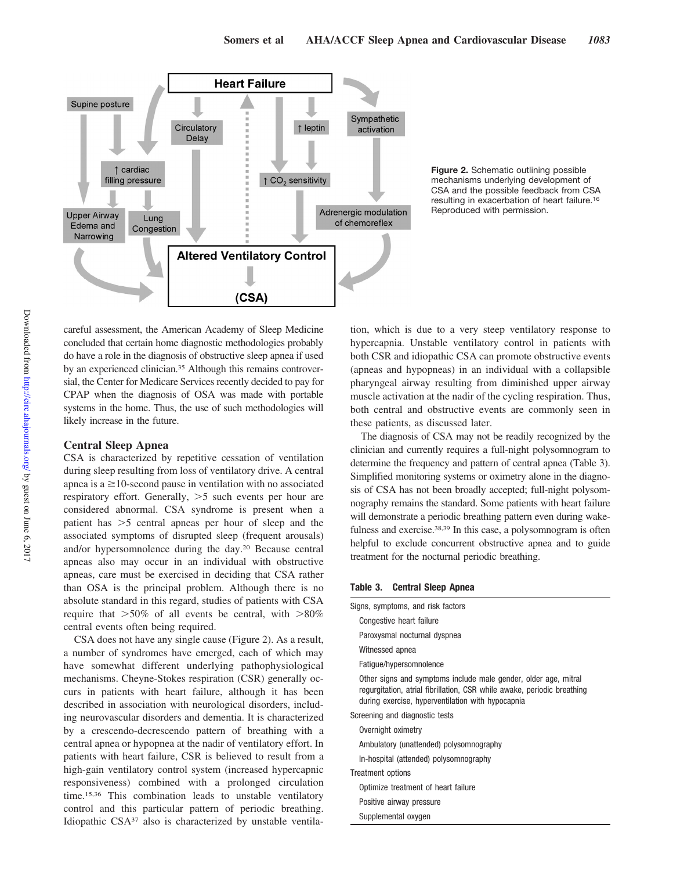

**Figure 2.** Schematic outlining possible mechanisms underlying development of CSA and the possible feedback from CSA resulting in exacerbation of heart failure.16 Reproduced with permission.

careful assessment, the American Academy of Sleep Medicine concluded that certain home diagnostic methodologies probably do have a role in the diagnosis of obstructive sleep apnea if used by an experienced clinician.<sup>35</sup> Although this remains controversial, the Center for Medicare Services recently decided to pay for CPAP when the diagnosis of OSA was made with portable systems in the home. Thus, the use of such methodologies will likely increase in the future.

## **Central Sleep Apnea**

CSA is characterized by repetitive cessation of ventilation during sleep resulting from loss of ventilatory drive. A central apnea is  $a \ge 10$ -second pause in ventilation with no associated respiratory effort. Generally,  $>5$  such events per hour are considered abnormal. CSA syndrome is present when a patient has  $>5$  central apneas per hour of sleep and the associated symptoms of disrupted sleep (frequent arousals) and/or hypersomnolence during the day.20 Because central apneas also may occur in an individual with obstructive apneas, care must be exercised in deciding that CSA rather than OSA is the principal problem. Although there is no absolute standard in this regard, studies of patients with CSA require that  $>50\%$  of all events be central, with  $>80\%$ central events often being required.

CSA does not have any single cause (Figure 2). As a result, a number of syndromes have emerged, each of which may have somewhat different underlying pathophysiological mechanisms. Cheyne-Stokes respiration (CSR) generally occurs in patients with heart failure, although it has been described in association with neurological disorders, including neurovascular disorders and dementia. It is characterized by a crescendo-decrescendo pattern of breathing with a central apnea or hypopnea at the nadir of ventilatory effort. In patients with heart failure, CSR is believed to result from a high-gain ventilatory control system (increased hypercapnic responsiveness) combined with a prolonged circulation time.15,36 This combination leads to unstable ventilatory control and this particular pattern of periodic breathing. Idiopathic CSA37 also is characterized by unstable ventilation, which is due to a very steep ventilatory response to hypercapnia. Unstable ventilatory control in patients with both CSR and idiopathic CSA can promote obstructive events (apneas and hypopneas) in an individual with a collapsible pharyngeal airway resulting from diminished upper airway muscle activation at the nadir of the cycling respiration. Thus, both central and obstructive events are commonly seen in these patients, as discussed later.

The diagnosis of CSA may not be readily recognized by the clinician and currently requires a full-night polysomnogram to determine the frequency and pattern of central apnea (Table 3). Simplified monitoring systems or oximetry alone in the diagnosis of CSA has not been broadly accepted; full-night polysomnography remains the standard. Some patients with heart failure will demonstrate a periodic breathing pattern even during wakefulness and exercise.<sup>38,39</sup> In this case, a polysomnogram is often helpful to exclude concurrent obstructive apnea and to guide treatment for the nocturnal periodic breathing.

## **Table 3. Central Sleep Apnea**

| Signs, symptoms, and risk factors                                                                                                                                                               |
|-------------------------------------------------------------------------------------------------------------------------------------------------------------------------------------------------|
| Congestive heart failure                                                                                                                                                                        |
| Paroxysmal nocturnal dyspnea                                                                                                                                                                    |
| Witnessed apnea                                                                                                                                                                                 |
| Fatique/hypersomnolence                                                                                                                                                                         |
| Other signs and symptoms include male gender, older age, mitral<br>regurgitation, atrial fibrillation, CSR while awake, periodic breathing<br>during exercise, hyperventilation with hypocapnia |
| Screening and diagnostic tests                                                                                                                                                                  |
| Overnight oximetry                                                                                                                                                                              |
| Ambulatory (unattended) polysomnography                                                                                                                                                         |
| In-hospital (attended) polysomnography                                                                                                                                                          |
| Treatment options                                                                                                                                                                               |
| Optimize treatment of heart failure                                                                                                                                                             |
| Positive airway pressure                                                                                                                                                                        |
| Supplemental oxygen                                                                                                                                                                             |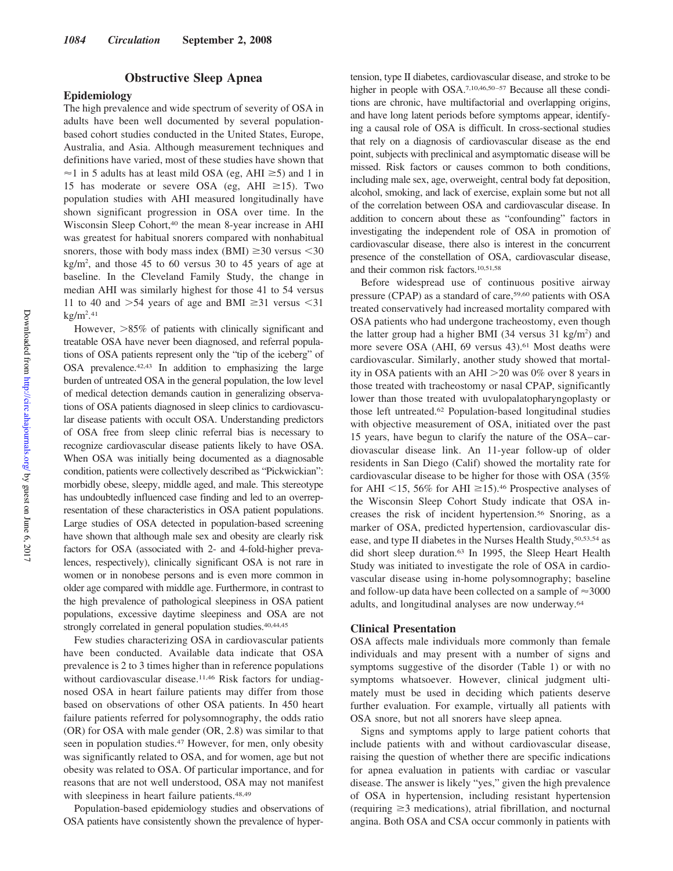## **Obstructive Sleep Apnea**

## **Epidemiology**

The high prevalence and wide spectrum of severity of OSA in adults have been well documented by several populationbased cohort studies conducted in the United States, Europe, Australia, and Asia. Although measurement techniques and definitions have varied, most of these studies have shown that  $\approx$ 1 in 5 adults has at least mild OSA (eg, AHI  $\ge$ 5) and 1 in 15 has moderate or severe OSA (eg, AHI  $\geq$ 15). Two population studies with AHI measured longitudinally have shown significant progression in OSA over time. In the Wisconsin Sleep Cohort,<sup>40</sup> the mean 8-year increase in AHI was greatest for habitual snorers compared with nonhabitual snorers, those with body mass index (BMI)  $\geq$  30 versus < 30  $kg/m<sup>2</sup>$ , and those 45 to 60 versus 30 to 45 years of age at baseline. In the Cleveland Family Study, the change in median AHI was similarly highest for those 41 to 54 versus 11 to 40 and  $>54$  years of age and BMI  $\geq 31$  versus  $< 31$  $kg/m<sup>2</sup>.<sup>41</sup>$ 

However,  $>85\%$  of patients with clinically significant and treatable OSA have never been diagnosed, and referral populations of OSA patients represent only the "tip of the iceberg" of OSA prevalence.42,43 In addition to emphasizing the large burden of untreated OSA in the general population, the low level of medical detection demands caution in generalizing observations of OSA patients diagnosed in sleep clinics to cardiovascular disease patients with occult OSA. Understanding predictors of OSA free from sleep clinic referral bias is necessary to recognize cardiovascular disease patients likely to have OSA. When OSA was initially being documented as a diagnosable condition, patients were collectively described as "Pickwickian": morbidly obese, sleepy, middle aged, and male. This stereotype has undoubtedly influenced case finding and led to an overrepresentation of these characteristics in OSA patient populations. Large studies of OSA detected in population-based screening have shown that although male sex and obesity are clearly risk factors for OSA (associated with 2- and 4-fold-higher prevalences, respectively), clinically significant OSA is not rare in women or in nonobese persons and is even more common in older age compared with middle age. Furthermore, in contrast to the high prevalence of pathological sleepiness in OSA patient populations, excessive daytime sleepiness and OSA are not strongly correlated in general population studies.<sup>40,44,45</sup>

Few studies characterizing OSA in cardiovascular patients have been conducted. Available data indicate that OSA prevalence is 2 to 3 times higher than in reference populations without cardiovascular disease.<sup>11,46</sup> Risk factors for undiagnosed OSA in heart failure patients may differ from those based on observations of other OSA patients. In 450 heart failure patients referred for polysomnography, the odds ratio (OR) for OSA with male gender (OR, 2.8) was similar to that seen in population studies.<sup>47</sup> However, for men, only obesity was significantly related to OSA, and for women, age but not obesity was related to OSA. Of particular importance, and for reasons that are not well understood, OSA may not manifest with sleepiness in heart failure patients.<sup>48,49</sup>

Population-based epidemiology studies and observations of OSA patients have consistently shown the prevalence of hypertension, type II diabetes, cardiovascular disease, and stroke to be higher in people with OSA.<sup>7,10,46,50-57</sup> Because all these conditions are chronic, have multifactorial and overlapping origins, and have long latent periods before symptoms appear, identifying a causal role of OSA is difficult. In cross-sectional studies that rely on a diagnosis of cardiovascular disease as the end point, subjects with preclinical and asymptomatic disease will be missed. Risk factors or causes common to both conditions, including male sex, age, overweight, central body fat deposition, alcohol, smoking, and lack of exercise, explain some but not all of the correlation between OSA and cardiovascular disease. In addition to concern about these as "confounding" factors in investigating the independent role of OSA in promotion of cardiovascular disease, there also is interest in the concurrent presence of the constellation of OSA, cardiovascular disease, and their common risk factors.10,51,58

Before widespread use of continuous positive airway pressure (CPAP) as a standard of care,59,60 patients with OSA treated conservatively had increased mortality compared with OSA patients who had undergone tracheostomy, even though the latter group had a higher BMI (34 versus 31 kg/m<sup>2</sup>) and more severe OSA (AHI, 69 versus 43).<sup>61</sup> Most deaths were cardiovascular. Similarly, another study showed that mortality in OSA patients with an AHI  $>$  20 was 0% over 8 years in those treated with tracheostomy or nasal CPAP, significantly lower than those treated with uvulopalatopharyngoplasty or those left untreated.62 Population-based longitudinal studies with objective measurement of OSA, initiated over the past 15 years, have begun to clarify the nature of the OSA– cardiovascular disease link. An 11-year follow-up of older residents in San Diego (Calif) showed the mortality rate for cardiovascular disease to be higher for those with OSA (35% for AHI  $\leq$ 15, 56% for AHI  $\geq$ 15).<sup>46</sup> Prospective analyses of the Wisconsin Sleep Cohort Study indicate that OSA increases the risk of incident hypertension.56 Snoring, as a marker of OSA, predicted hypertension, cardiovascular disease, and type II diabetes in the Nurses Health Study, 50,53,54 as did short sleep duration.63 In 1995, the Sleep Heart Health Study was initiated to investigate the role of OSA in cardiovascular disease using in-home polysomnography; baseline and follow-up data have been collected on a sample of  $\approx$  3000 adults, and longitudinal analyses are now underway.64

## **Clinical Presentation**

OSA affects male individuals more commonly than female individuals and may present with a number of signs and symptoms suggestive of the disorder (Table 1) or with no symptoms whatsoever. However, clinical judgment ultimately must be used in deciding which patients deserve further evaluation. For example, virtually all patients with OSA snore, but not all snorers have sleep apnea.

Signs and symptoms apply to large patient cohorts that include patients with and without cardiovascular disease, raising the question of whether there are specific indications for apnea evaluation in patients with cardiac or vascular disease. The answer is likely "yes," given the high prevalence of OSA in hypertension, including resistant hypertension (requiring  $\geq$ 3 medications), atrial fibrillation, and nocturnal angina. Both OSA and CSA occur commonly in patients with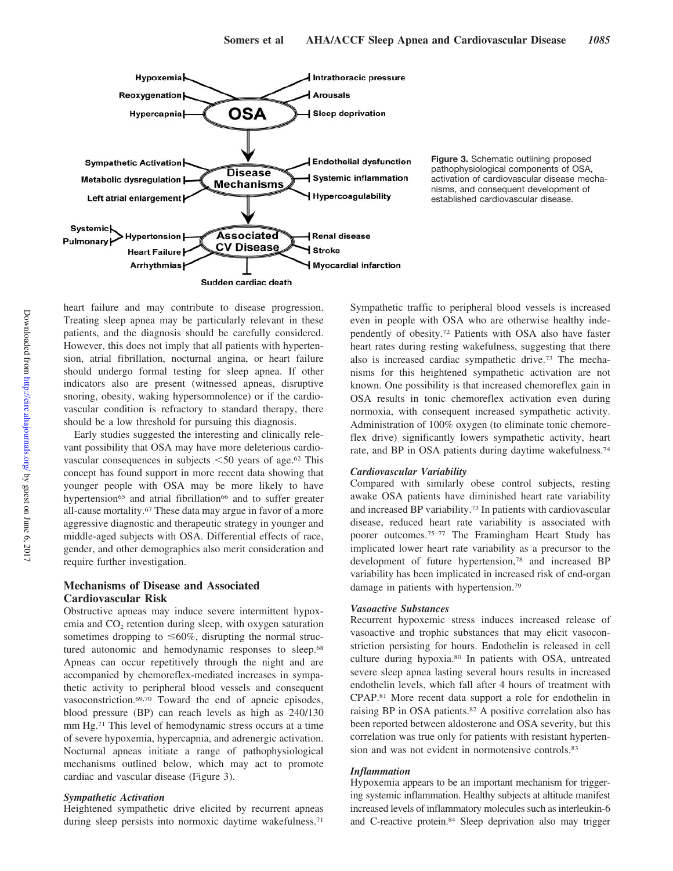

**Figure 3.** Schematic outlining proposed pathophysiological components of OSA, activation of cardiovascular disease mechanisms, and consequent development of established cardiovascular disease.

heart failure and may contribute to disease progression. Treating sleep apnea may be particularly relevant in these patients, and the diagnosis should be carefully considered. However, this does not imply that all patients with hypertension, atrial fibrillation, nocturnal angina, or heart failure should undergo formal testing for sleep apnea. If other indicators also are present (witnessed apneas, disruptive snoring, obesity, waking hypersomnolence) or if the cardiovascular condition is refractory to standard therapy, there should be a low threshold for pursuing this diagnosis.

Early studies suggested the interesting and clinically relevant possibility that OSA may have more deleterious cardiovascular consequences in subjects  $\leq 50$  years of age.<sup>62</sup> This concept has found support in more recent data showing that younger people with OSA may be more likely to have hypertension<sup>65</sup> and atrial fibrillation<sup>66</sup> and to suffer greater all-cause mortality.67 These data may argue in favor of a more aggressive diagnostic and therapeutic strategy in younger and middle-aged subjects with OSA. Differential effects of race, gender, and other demographics also merit consideration and require further investigation.

## **Mechanisms of Disease and Associated Cardiovascular Risk**

Obstructive apneas may induce severe intermittent hypoxemia and  $CO<sub>2</sub>$  retention during sleep, with oxygen saturation sometimes dropping to  $\leq 60\%$ , disrupting the normal structured autonomic and hemodynamic responses to sleep.<sup>68</sup> Apneas can occur repetitively through the night and are accompanied by chemoreflex-mediated increases in sympathetic activity to peripheral blood vessels and consequent vasoconstriction.69,70 Toward the end of apneic episodes, blood pressure (BP) can reach levels as high as 240/130 mm Hg.71 This level of hemodynamic stress occurs at a time of severe hypoxemia, hypercapnia, and adrenergic activation. Nocturnal apneas initiate a range of pathophysiological mechanisms outlined below, which may act to promote cardiac and vascular disease (Figure 3).

## *Sympathetic Activation*

Heightened sympathetic drive elicited by recurrent apneas during sleep persists into normoxic daytime wakefulness.<sup>71</sup>

Sympathetic traffic to peripheral blood vessels is increased even in people with OSA who are otherwise healthy independently of obesity.72 Patients with OSA also have faster heart rates during resting wakefulness, suggesting that there also is increased cardiac sympathetic drive.73 The mechanisms for this heightened sympathetic activation are not known. One possibility is that increased chemoreflex gain in OSA results in tonic chemoreflex activation even during normoxia, with consequent increased sympathetic activity. Administration of 100% oxygen (to eliminate tonic chemoreflex drive) significantly lowers sympathetic activity, heart rate, and BP in OSA patients during daytime wakefulness.74

## *Cardiovascular Variability*

Compared with similarly obese control subjects, resting awake OSA patients have diminished heart rate variability and increased BP variability.73 In patients with cardiovascular disease, reduced heart rate variability is associated with poorer outcomes.75–77 The Framingham Heart Study has implicated lower heart rate variability as a precursor to the development of future hypertension,78 and increased BP variability has been implicated in increased risk of end-organ damage in patients with hypertension.79

#### *Vasoactive Substances*

Recurrent hypoxemic stress induces increased release of vasoactive and trophic substances that may elicit vasoconstriction persisting for hours. Endothelin is released in cell culture during hypoxia.80 In patients with OSA, untreated severe sleep apnea lasting several hours results in increased endothelin levels, which fall after 4 hours of treatment with CPAP.81 More recent data support a role for endothelin in raising BP in OSA patients.82 A positive correlation also has been reported between aldosterone and OSA severity, but this correlation was true only for patients with resistant hypertension and was not evident in normotensive controls.<sup>83</sup>

#### *Inflammation*

Hypoxemia appears to be an important mechanism for triggering systemic inflammation. Healthy subjects at altitude manifest increased levels of inflammatory molecules such as interleukin-6 and C-reactive protein.84 Sleep deprivation also may trigger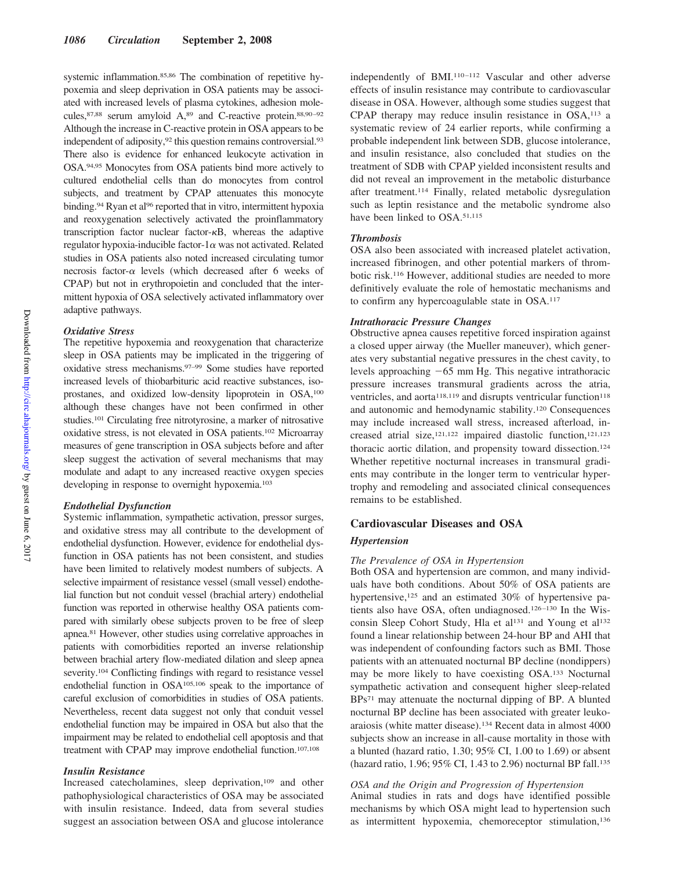systemic inflammation.85,86 The combination of repetitive hypoxemia and sleep deprivation in OSA patients may be associated with increased levels of plasma cytokines, adhesion molecules, 87,88 serum amyloid A, 89 and C-reactive protein. 88,90-92 Although the increase in C-reactive protein in OSA appears to be independent of adiposity,<sup>92</sup> this question remains controversial.<sup>93</sup> There also is evidence for enhanced leukocyte activation in OSA.94,95 Monocytes from OSA patients bind more actively to cultured endothelial cells than do monocytes from control subjects, and treatment by CPAP attenuates this monocyte binding.<sup>94</sup> Ryan et al<sup>96</sup> reported that in vitro, intermittent hypoxia and reoxygenation selectively activated the proinflammatory transcription factor nuclear factor- $\kappa$ B, whereas the adaptive regulator hypoxia-inducible factor- $1\alpha$  was not activated. Related studies in OSA patients also noted increased circulating tumor necrosis factor- $\alpha$  levels (which decreased after 6 weeks of CPAP) but not in erythropoietin and concluded that the intermittent hypoxia of OSA selectively activated inflammatory over adaptive pathways.

#### *Oxidative Stress*

The repetitive hypoxemia and reoxygenation that characterize sleep in OSA patients may be implicated in the triggering of oxidative stress mechanisms.97–99 Some studies have reported increased levels of thiobarbituric acid reactive substances, isoprostanes, and oxidized low-density lipoprotein in OSA,100 although these changes have not been confirmed in other studies.101 Circulating free nitrotyrosine, a marker of nitrosative oxidative stress, is not elevated in OSA patients.102 Microarray measures of gene transcription in OSA subjects before and after sleep suggest the activation of several mechanisms that may modulate and adapt to any increased reactive oxygen species developing in response to overnight hypoxemia.103

#### *Endothelial Dysfunction*

Systemic inflammation, sympathetic activation, pressor surges, and oxidative stress may all contribute to the development of endothelial dysfunction. However, evidence for endothelial dysfunction in OSA patients has not been consistent, and studies have been limited to relatively modest numbers of subjects. A selective impairment of resistance vessel (small vessel) endothelial function but not conduit vessel (brachial artery) endothelial function was reported in otherwise healthy OSA patients compared with similarly obese subjects proven to be free of sleep apnea.81 However, other studies using correlative approaches in patients with comorbidities reported an inverse relationship between brachial artery flow-mediated dilation and sleep apnea severity.<sup>104</sup> Conflicting findings with regard to resistance vessel endothelial function in OSA105,106 speak to the importance of careful exclusion of comorbidities in studies of OSA patients. Nevertheless, recent data suggest not only that conduit vessel endothelial function may be impaired in OSA but also that the impairment may be related to endothelial cell apoptosis and that treatment with CPAP may improve endothelial function.107,108

## *Insulin Resistance*

Increased catecholamines, sleep deprivation,<sup>109</sup> and other pathophysiological characteristics of OSA may be associated with insulin resistance. Indeed, data from several studies suggest an association between OSA and glucose intolerance independently of BMI.<sup>110-112</sup> Vascular and other adverse effects of insulin resistance may contribute to cardiovascular disease in OSA. However, although some studies suggest that CPAP therapy may reduce insulin resistance in OSA,<sup>113</sup> a systematic review of 24 earlier reports, while confirming a probable independent link between SDB, glucose intolerance, and insulin resistance, also concluded that studies on the treatment of SDB with CPAP yielded inconsistent results and did not reveal an improvement in the metabolic disturbance after treatment.114 Finally, related metabolic dysregulation such as leptin resistance and the metabolic syndrome also have been linked to OSA.<sup>51,115</sup>

## *Thrombosis*

OSA also been associated with increased platelet activation, increased fibrinogen, and other potential markers of thrombotic risk.116 However, additional studies are needed to more definitively evaluate the role of hemostatic mechanisms and to confirm any hypercoagulable state in OSA.117

## *Intrathoracic Pressure Changes*

Obstructive apnea causes repetitive forced inspiration against a closed upper airway (the Mueller maneuver), which generates very substantial negative pressures in the chest cavity, to levels approaching  $-65$  mm Hg. This negative intrathoracic pressure increases transmural gradients across the atria, ventricles, and aorta<sup>118,119</sup> and disrupts ventricular function<sup>118</sup> and autonomic and hemodynamic stability.120 Consequences may include increased wall stress, increased afterload, increased atrial size,121,122 impaired diastolic function,121,123 thoracic aortic dilation, and propensity toward dissection.124 Whether repetitive nocturnal increases in transmural gradients may contribute in the longer term to ventricular hypertrophy and remodeling and associated clinical consequences remains to be established.

## **Cardiovascular Diseases and OSA**

#### *Hypertension*

## *The Prevalence of OSA in Hypertension*

Both OSA and hypertension are common, and many individuals have both conditions. About 50% of OSA patients are hypertensive,<sup>125</sup> and an estimated 30% of hypertensive patients also have OSA, often undiagnosed.<sup>126-130</sup> In the Wisconsin Sleep Cohort Study, Hla et al<sup>131</sup> and Young et al<sup>132</sup> found a linear relationship between 24-hour BP and AHI that was independent of confounding factors such as BMI. Those patients with an attenuated nocturnal BP decline (nondippers) may be more likely to have coexisting OSA.133 Nocturnal sympathetic activation and consequent higher sleep-related BPs71 may attenuate the nocturnal dipping of BP. A blunted nocturnal BP decline has been associated with greater leukoaraiosis (white matter disease).134 Recent data in almost 4000 subjects show an increase in all-cause mortality in those with a blunted (hazard ratio, 1.30; 95% CI, 1.00 to 1.69) or absent (hazard ratio, 1.96; 95% CI, 1.43 to 2.96) nocturnal BP fall.135

## *OSA and the Origin and Progression of Hypertension*

Animal studies in rats and dogs have identified possible mechanisms by which OSA might lead to hypertension such as intermittent hypoxemia, chemoreceptor stimulation,136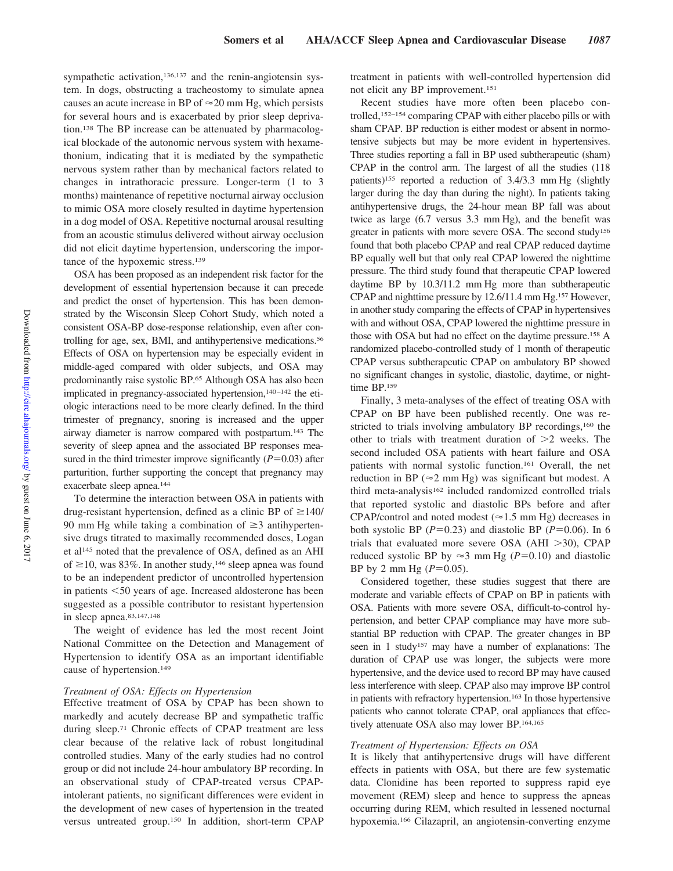sympathetic activation,<sup>136,137</sup> and the renin-angiotensin system. In dogs, obstructing a tracheostomy to simulate apnea causes an acute increase in BP of  $\approx$  20 mm Hg, which persists for several hours and is exacerbated by prior sleep deprivation.138 The BP increase can be attenuated by pharmacological blockade of the autonomic nervous system with hexamethonium, indicating that it is mediated by the sympathetic nervous system rather than by mechanical factors related to changes in intrathoracic pressure. Longer-term (1 to 3 months) maintenance of repetitive nocturnal airway occlusion to mimic OSA more closely resulted in daytime hypertension in a dog model of OSA. Repetitive nocturnal arousal resulting from an acoustic stimulus delivered without airway occlusion did not elicit daytime hypertension, underscoring the importance of the hypoxemic stress.139

OSA has been proposed as an independent risk factor for the development of essential hypertension because it can precede and predict the onset of hypertension. This has been demonstrated by the Wisconsin Sleep Cohort Study, which noted a consistent OSA-BP dose-response relationship, even after controlling for age, sex, BMI, and antihypertensive medications.56 Effects of OSA on hypertension may be especially evident in middle-aged compared with older subjects, and OSA may predominantly raise systolic BP.<sup>65</sup> Although OSA has also been implicated in pregnancy-associated hypertension,<sup>140-142</sup> the etiologic interactions need to be more clearly defined. In the third trimester of pregnancy, snoring is increased and the upper airway diameter is narrow compared with postpartum.143 The severity of sleep apnea and the associated BP responses measured in the third trimester improve significantly  $(P=0.03)$  after parturition, further supporting the concept that pregnancy may exacerbate sleep apnea.144

To determine the interaction between OSA in patients with drug-resistant hypertension, defined as a clinic BP of  $\geq$ 140/ 90 mm Hg while taking a combination of  $\geq$ 3 antihypertensive drugs titrated to maximally recommended doses, Logan et al145 noted that the prevalence of OSA, defined as an AHI of  $\geq$ 10, was 83%. In another study,<sup>146</sup> sleep apnea was found to be an independent predictor of uncontrolled hypertension in patients <50 years of age. Increased aldosterone has been suggested as a possible contributor to resistant hypertension in sleep apnea.83,147,148

The weight of evidence has led the most recent Joint National Committee on the Detection and Management of Hypertension to identify OSA as an important identifiable cause of hypertension.149

#### *Treatment of OSA: Effects on Hypertension*

Effective treatment of OSA by CPAP has been shown to markedly and acutely decrease BP and sympathetic traffic during sleep.71 Chronic effects of CPAP treatment are less clear because of the relative lack of robust longitudinal controlled studies. Many of the early studies had no control group or did not include 24-hour ambulatory BP recording. In an observational study of CPAP-treated versus CPAPintolerant patients, no significant differences were evident in the development of new cases of hypertension in the treated versus untreated group.150 In addition, short-term CPAP

treatment in patients with well-controlled hypertension did not elicit any BP improvement.151

Recent studies have more often been placebo controlled,152–154 comparing CPAP with either placebo pills or with sham CPAP. BP reduction is either modest or absent in normotensive subjects but may be more evident in hypertensives. Three studies reporting a fall in BP used subtherapeutic (sham) CPAP in the control arm. The largest of all the studies (118 patients)155 reported a reduction of 3.4/3.3 mm Hg (slightly larger during the day than during the night). In patients taking antihypertensive drugs, the 24-hour mean BP fall was about twice as large (6.7 versus 3.3 mm Hg), and the benefit was greater in patients with more severe OSA. The second study156 found that both placebo CPAP and real CPAP reduced daytime BP equally well but that only real CPAP lowered the nighttime pressure. The third study found that therapeutic CPAP lowered daytime BP by 10.3/11.2 mm Hg more than subtherapeutic CPAP and nighttime pressure by 12.6/11.4 mm Hg.157 However, in another study comparing the effects of CPAP in hypertensives with and without OSA, CPAP lowered the nighttime pressure in those with OSA but had no effect on the daytime pressure.158 A randomized placebo-controlled study of 1 month of therapeutic CPAP versus subtherapeutic CPAP on ambulatory BP showed no significant changes in systolic, diastolic, daytime, or nighttime BP.159

Finally, 3 meta-analyses of the effect of treating OSA with CPAP on BP have been published recently. One was restricted to trials involving ambulatory BP recordings,<sup>160</sup> the other to trials with treatment duration of  $>2$  weeks. The second included OSA patients with heart failure and OSA patients with normal systolic function.161 Overall, the net reduction in BP ( $\approx$ 2 mm Hg) was significant but modest. A third meta-analysis<sup>162</sup> included randomized controlled trials that reported systolic and diastolic BPs before and after CPAP/control and noted modest ( $\approx$ 1.5 mm Hg) decreases in both systolic BP  $(P=0.23)$  and diastolic BP  $(P=0.06)$ . In 6 trials that evaluated more severe OSA (AHI  $>30$ ), CPAP reduced systolic BP by  $\approx$ 3 mm Hg (*P*=0.10) and diastolic BP by 2 mm Hg  $(P=0.05)$ .

Considered together, these studies suggest that there are moderate and variable effects of CPAP on BP in patients with OSA. Patients with more severe OSA, difficult-to-control hypertension, and better CPAP compliance may have more substantial BP reduction with CPAP. The greater changes in BP seen in 1 study<sup>157</sup> may have a number of explanations: The duration of CPAP use was longer, the subjects were more hypertensive, and the device used to record BP may have caused less interference with sleep. CPAP also may improve BP control in patients with refractory hypertension.163 In those hypertensive patients who cannot tolerate CPAP, oral appliances that effectively attenuate OSA also may lower BP.164,165

#### *Treatment of Hypertension: Effects on OSA*

It is likely that antihypertensive drugs will have different effects in patients with OSA, but there are few systematic data. Clonidine has been reported to suppress rapid eye movement (REM) sleep and hence to suppress the apneas occurring during REM, which resulted in lessened nocturnal hypoxemia.166 Cilazapril, an angiotensin-converting enzyme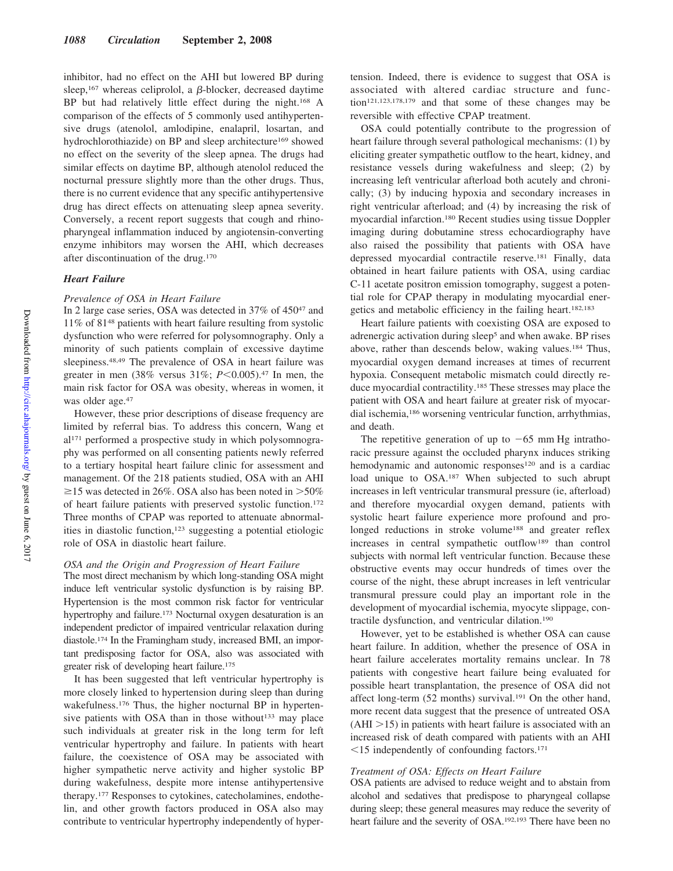inhibitor, had no effect on the AHI but lowered BP during sleep,<sup>167</sup> whereas celiprolol, a  $\beta$ -blocker, decreased daytime BP but had relatively little effect during the night.168 A comparison of the effects of 5 commonly used antihypertensive drugs (atenolol, amlodipine, enalapril, losartan, and hydrochlorothiazide) on BP and sleep architecture<sup>169</sup> showed no effect on the severity of the sleep apnea. The drugs had similar effects on daytime BP, although atenolol reduced the nocturnal pressure slightly more than the other drugs. Thus, there is no current evidence that any specific antihypertensive drug has direct effects on attenuating sleep apnea severity. Conversely, a recent report suggests that cough and rhinopharyngeal inflammation induced by angiotensin-converting enzyme inhibitors may worsen the AHI, which decreases after discontinuation of the drug.170

## *Heart Failure*

## *Prevalence of OSA in Heart Failure*

In 2 large case series, OSA was detected in 37% of 45047 and 11% of 8148 patients with heart failure resulting from systolic dysfunction who were referred for polysomnography. Only a minority of such patients complain of excessive daytime sleepiness.48,49 The prevalence of OSA in heart failure was greater in men (38% versus 31%; *P* < 0.005).<sup>47</sup> In men, the main risk factor for OSA was obesity, whereas in women, it was older age.<sup>47</sup>

However, these prior descriptions of disease frequency are limited by referral bias. To address this concern, Wang et al171 performed a prospective study in which polysomnography was performed on all consenting patients newly referred to a tertiary hospital heart failure clinic for assessment and management. Of the 218 patients studied, OSA with an AHI  $\geq$ 15 was detected in 26%. OSA also has been noted in  $>$ 50% of heart failure patients with preserved systolic function.172 Three months of CPAP was reported to attenuate abnormalities in diastolic function,123 suggesting a potential etiologic role of OSA in diastolic heart failure.

#### *OSA and the Origin and Progression of Heart Failure*

The most direct mechanism by which long-standing OSA might induce left ventricular systolic dysfunction is by raising BP. Hypertension is the most common risk factor for ventricular hypertrophy and failure.<sup>173</sup> Nocturnal oxygen desaturation is an independent predictor of impaired ventricular relaxation during diastole.174 In the Framingham study, increased BMI, an important predisposing factor for OSA, also was associated with greater risk of developing heart failure.175

It has been suggested that left ventricular hypertrophy is more closely linked to hypertension during sleep than during wakefulness.<sup>176</sup> Thus, the higher nocturnal BP in hypertensive patients with OSA than in those without<sup>133</sup> may place such individuals at greater risk in the long term for left ventricular hypertrophy and failure. In patients with heart failure, the coexistence of OSA may be associated with higher sympathetic nerve activity and higher systolic BP during wakefulness, despite more intense antihypertensive therapy.177 Responses to cytokines, catecholamines, endothelin, and other growth factors produced in OSA also may contribute to ventricular hypertrophy independently of hypertension. Indeed, there is evidence to suggest that OSA is associated with altered cardiac structure and function121,123,178,179 and that some of these changes may be reversible with effective CPAP treatment.

OSA could potentially contribute to the progression of heart failure through several pathological mechanisms: (1) by eliciting greater sympathetic outflow to the heart, kidney, and resistance vessels during wakefulness and sleep; (2) by increasing left ventricular afterload both acutely and chronically; (3) by inducing hypoxia and secondary increases in right ventricular afterload; and (4) by increasing the risk of myocardial infarction.180 Recent studies using tissue Doppler imaging during dobutamine stress echocardiography have also raised the possibility that patients with OSA have depressed myocardial contractile reserve.181 Finally, data obtained in heart failure patients with OSA, using cardiac C-11 acetate positron emission tomography, suggest a potential role for CPAP therapy in modulating myocardial energetics and metabolic efficiency in the failing heart.182,183

Heart failure patients with coexisting OSA are exposed to adrenergic activation during sleep<sup>5</sup> and when awake. BP rises above, rather than descends below, waking values.184 Thus, myocardial oxygen demand increases at times of recurrent hypoxia. Consequent metabolic mismatch could directly reduce myocardial contractility.185 These stresses may place the patient with OSA and heart failure at greater risk of myocardial ischemia,186 worsening ventricular function, arrhythmias, and death.

The repetitive generation of up to  $-65$  mm Hg intrathoracic pressure against the occluded pharynx induces striking hemodynamic and autonomic responses<sup>120</sup> and is a cardiac load unique to OSA.187 When subjected to such abrupt increases in left ventricular transmural pressure (ie, afterload) and therefore myocardial oxygen demand, patients with systolic heart failure experience more profound and prolonged reductions in stroke volume<sup>188</sup> and greater reflex increases in central sympathetic outflow<sup>189</sup> than control subjects with normal left ventricular function. Because these obstructive events may occur hundreds of times over the course of the night, these abrupt increases in left ventricular transmural pressure could play an important role in the development of myocardial ischemia, myocyte slippage, contractile dysfunction, and ventricular dilation.190

However, yet to be established is whether OSA can cause heart failure. In addition, whether the presence of OSA in heart failure accelerates mortality remains unclear. In 78 patients with congestive heart failure being evaluated for possible heart transplantation, the presence of OSA did not affect long-term (52 months) survival.191 On the other hand, more recent data suggest that the presence of untreated OSA  $(AHI > 15)$  in patients with heart failure is associated with an increased risk of death compared with patients with an AHI  $15$  independently of confounding factors.<sup>171</sup>

#### *Treatment of OSA: Effects on Heart Failure*

OSA patients are advised to reduce weight and to abstain from alcohol and sedatives that predispose to pharyngeal collapse during sleep; these general measures may reduce the severity of heart failure and the severity of OSA.192,193 There have been no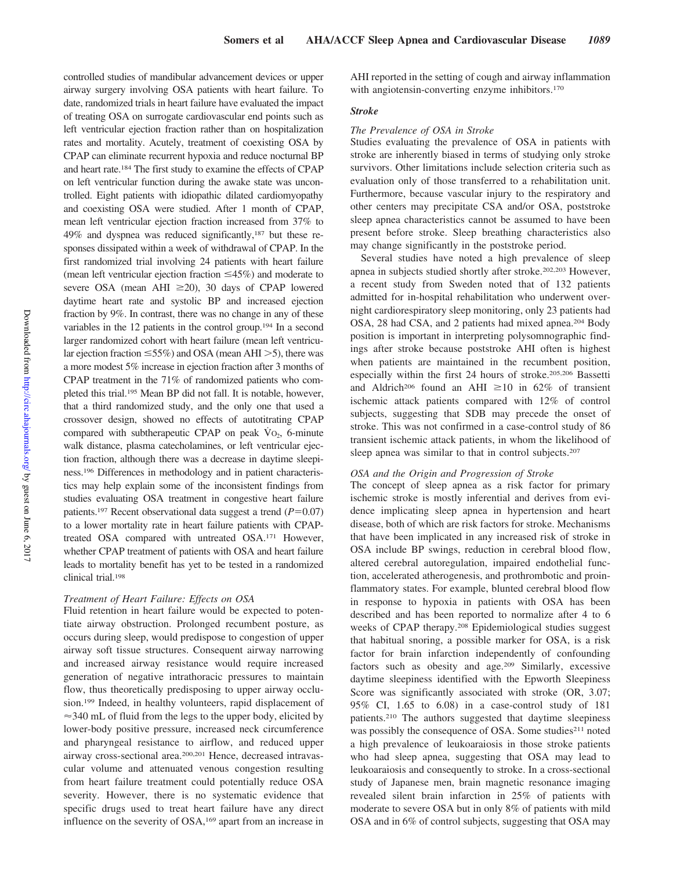controlled studies of mandibular advancement devices or upper airway surgery involving OSA patients with heart failure. To date, randomized trials in heart failure have evaluated the impact of treating OSA on surrogate cardiovascular end points such as left ventricular ejection fraction rather than on hospitalization rates and mortality. Acutely, treatment of coexisting OSA by CPAP can eliminate recurrent hypoxia and reduce nocturnal BP and heart rate.184 The first study to examine the effects of CPAP on left ventricular function during the awake state was uncontrolled. Eight patients with idiopathic dilated cardiomyopathy and coexisting OSA were studied. After 1 month of CPAP, mean left ventricular ejection fraction increased from 37% to 49% and dyspnea was reduced significantly,187 but these responses dissipated within a week of withdrawal of CPAP. In the first randomized trial involving 24 patients with heart failure (mean left ventricular ejection fraction  $\leq 45\%$ ) and moderate to severe OSA (mean AHI  $\geq$ 20), 30 days of CPAP lowered daytime heart rate and systolic BP and increased ejection fraction by 9%. In contrast, there was no change in any of these variables in the 12 patients in the control group.194 In a second larger randomized cohort with heart failure (mean left ventricular ejection fraction  $\leq 55\%$ ) and OSA (mean AHI  $>5$ ), there was a more modest 5% increase in ejection fraction after 3 months of CPAP treatment in the 71% of randomized patients who completed this trial.195 Mean BP did not fall. It is notable, however, that a third randomized study, and the only one that used a crossover design, showed no effects of autotitrating CPAP compared with subtherapeutic CPAP on peak  $\dot{V}$ O<sub>2</sub>, 6-minute walk distance, plasma catecholamines, or left ventricular ejection fraction, although there was a decrease in daytime sleepiness.196 Differences in methodology and in patient characteristics may help explain some of the inconsistent findings from studies evaluating OSA treatment in congestive heart failure patients.<sup>197</sup> Recent observational data suggest a trend  $(P=0.07)$ to a lower mortality rate in heart failure patients with CPAPtreated OSA compared with untreated OSA.171 However, whether CPAP treatment of patients with OSA and heart failure leads to mortality benefit has yet to be tested in a randomized clinical trial.198

## *Treatment of Heart Failure: Effects on OSA*

Fluid retention in heart failure would be expected to potentiate airway obstruction. Prolonged recumbent posture, as occurs during sleep, would predispose to congestion of upper airway soft tissue structures. Consequent airway narrowing and increased airway resistance would require increased generation of negative intrathoracic pressures to maintain flow, thus theoretically predisposing to upper airway occlusion.199 Indeed, in healthy volunteers, rapid displacement of  $\approx$  340 mL of fluid from the legs to the upper body, elicited by lower-body positive pressure, increased neck circumference and pharyngeal resistance to airflow, and reduced upper airway cross-sectional area.200,201 Hence, decreased intravascular volume and attenuated venous congestion resulting from heart failure treatment could potentially reduce OSA severity. However, there is no systematic evidence that specific drugs used to treat heart failure have any direct influence on the severity of OSA,169 apart from an increase in

AHI reported in the setting of cough and airway inflammation with angiotensin-converting enzyme inhibitors.<sup>170</sup>

## *Stroke*

#### *The Prevalence of OSA in Stroke*

Studies evaluating the prevalence of OSA in patients with stroke are inherently biased in terms of studying only stroke survivors. Other limitations include selection criteria such as evaluation only of those transferred to a rehabilitation unit. Furthermore, because vascular injury to the respiratory and other centers may precipitate CSA and/or OSA, poststroke sleep apnea characteristics cannot be assumed to have been present before stroke. Sleep breathing characteristics also may change significantly in the poststroke period.

Several studies have noted a high prevalence of sleep apnea in subjects studied shortly after stroke.202,203 However, a recent study from Sweden noted that of 132 patients admitted for in-hospital rehabilitation who underwent overnight cardiorespiratory sleep monitoring, only 23 patients had OSA, 28 had CSA, and 2 patients had mixed apnea.204 Body position is important in interpreting polysomnographic findings after stroke because poststroke AHI often is highest when patients are maintained in the recumbent position, especially within the first 24 hours of stroke.205,206 Bassetti and Aldrich<sup>206</sup> found an AHI  $\geq$ 10 in 62% of transient ischemic attack patients compared with 12% of control subjects, suggesting that SDB may precede the onset of stroke. This was not confirmed in a case-control study of 86 transient ischemic attack patients, in whom the likelihood of sleep apnea was similar to that in control subjects.<sup>207</sup>

#### *OSA and the Origin and Progression of Stroke*

The concept of sleep apnea as a risk factor for primary ischemic stroke is mostly inferential and derives from evidence implicating sleep apnea in hypertension and heart disease, both of which are risk factors for stroke. Mechanisms that have been implicated in any increased risk of stroke in OSA include BP swings, reduction in cerebral blood flow, altered cerebral autoregulation, impaired endothelial function, accelerated atherogenesis, and prothrombotic and proinflammatory states. For example, blunted cerebral blood flow in response to hypoxia in patients with OSA has been described and has been reported to normalize after 4 to 6 weeks of CPAP therapy.208 Epidemiological studies suggest that habitual snoring, a possible marker for OSA, is a risk factor for brain infarction independently of confounding factors such as obesity and age.209 Similarly, excessive daytime sleepiness identified with the Epworth Sleepiness Score was significantly associated with stroke (OR, 3.07; 95% CI, 1.65 to 6.08) in a case-control study of 181 patients.210 The authors suggested that daytime sleepiness was possibly the consequence of OSA. Some studies<sup>211</sup> noted a high prevalence of leukoaraiosis in those stroke patients who had sleep apnea, suggesting that OSA may lead to leukoaraiosis and consequently to stroke. In a cross-sectional study of Japanese men, brain magnetic resonance imaging revealed silent brain infarction in 25% of patients with moderate to severe OSA but in only 8% of patients with mild OSA and in 6% of control subjects, suggesting that OSA may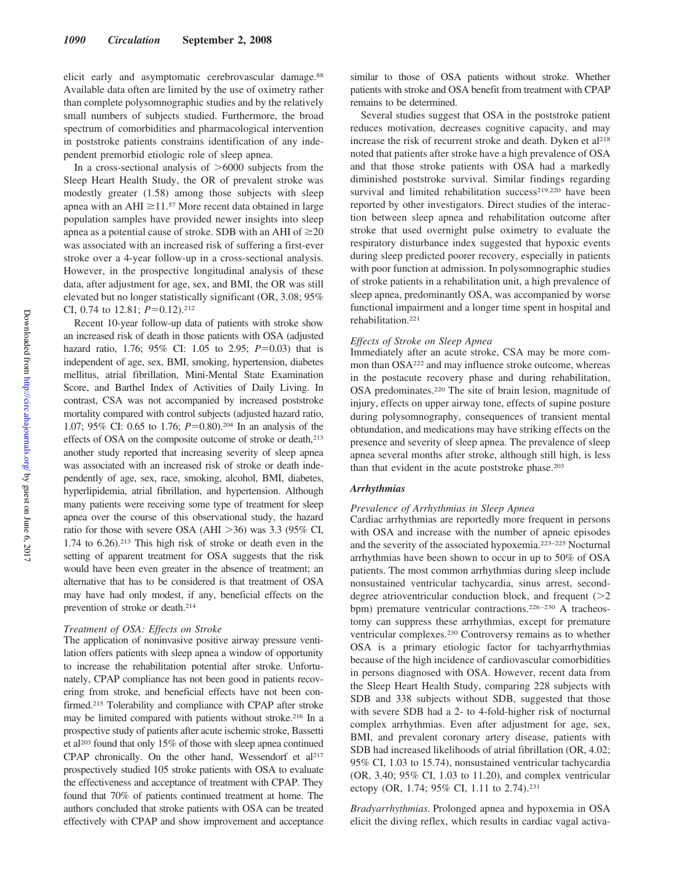elicit early and asymptomatic cerebrovascular damage.<sup>88</sup> Available data often are limited by the use of oximetry rather than complete polysomnographic studies and by the relatively small numbers of subjects studied. Furthermore, the broad spectrum of comorbidities and pharmacological intervention in poststroke patients constrains identification of any independent premorbid etiologic role of sleep apnea.

In a cross-sectional analysis of  $>6000$  subjects from the Sleep Heart Health Study, the OR of prevalent stroke was modestly greater (1.58) among those subjects with sleep apnea with an AHI  $\geq$ 11.<sup>57</sup> More recent data obtained in large population samples have provided newer insights into sleep apnea as a potential cause of stroke. SDB with an AHI of  $\geq 20$ was associated with an increased risk of suffering a first-ever stroke over a 4-year follow-up in a cross-sectional analysis. However, in the prospective longitudinal analysis of these data, after adjustment for age, sex, and BMI, the OR was still elevated but no longer statistically significant (OR, 3.08; 95% CI, 0.74 to 12.81;  $P = 0.12$ ).<sup>212</sup>

Recent 10-year follow-up data of patients with stroke show an increased risk of death in those patients with OSA (adjusted hazard ratio, 1.76; 95% CI: 1.05 to 2.95; *P*=0.03) that is independent of age, sex, BMI, smoking, hypertension, diabetes mellitus, atrial fibrillation, Mini-Mental State Examination Score, and Barthel Index of Activities of Daily Living. In contrast, CSA was not accompanied by increased poststroke mortality compared with control subjects (adjusted hazard ratio, 1.07; 95% CI: 0.65 to 1.76; *P*=0.80).<sup>204</sup> In an analysis of the effects of OSA on the composite outcome of stroke or death,<sup>213</sup> another study reported that increasing severity of sleep apnea was associated with an increased risk of stroke or death independently of age, sex, race, smoking, alcohol, BMI, diabetes, hyperlipidemia, atrial fibrillation, and hypertension. Although many patients were receiving some type of treatment for sleep apnea over the course of this observational study, the hazard ratio for those with severe OSA (AHI  $>36$ ) was 3.3 (95% CI, 1.74 to 6.26).213 This high risk of stroke or death even in the setting of apparent treatment for OSA suggests that the risk would have been even greater in the absence of treatment; an alternative that has to be considered is that treatment of OSA may have had only modest, if any, beneficial effects on the prevention of stroke or death.214

## *Treatment of OSA: Effects on Stroke*

The application of noninvasive positive airway pressure ventilation offers patients with sleep apnea a window of opportunity to increase the rehabilitation potential after stroke. Unfortunately, CPAP compliance has not been good in patients recovering from stroke, and beneficial effects have not been confirmed.<sup>215</sup> Tolerability and compliance with CPAP after stroke may be limited compared with patients without stroke.216 In a prospective study of patients after acute ischemic stroke, Bassetti et al203 found that only 15% of those with sleep apnea continued CPAP chronically. On the other hand, Wessendorf et al<sup>217</sup> prospectively studied 105 stroke patients with OSA to evaluate the effectiveness and acceptance of treatment with CPAP. They found that 70% of patients continued treatment at home. The authors concluded that stroke patients with OSA can be treated effectively with CPAP and show improvement and acceptance

similar to those of OSA patients without stroke. Whether patients with stroke and OSA benefit from treatment with CPAP remains to be determined.

Several studies suggest that OSA in the poststroke patient reduces motivation, decreases cognitive capacity, and may increase the risk of recurrent stroke and death. Dyken et al<sup>218</sup> noted that patients after stroke have a high prevalence of OSA and that those stroke patients with OSA had a markedly diminished poststroke survival. Similar findings regarding survival and limited rehabilitation success<sup>219,220</sup> have been reported by other investigators. Direct studies of the interaction between sleep apnea and rehabilitation outcome after stroke that used overnight pulse oximetry to evaluate the respiratory disturbance index suggested that hypoxic events during sleep predicted poorer recovery, especially in patients with poor function at admission. In polysomnographic studies of stroke patients in a rehabilitation unit, a high prevalence of sleep apnea, predominantly OSA, was accompanied by worse functional impairment and a longer time spent in hospital and rehabilitation.221

## *Effects of Stroke on Sleep Apnea*

Immediately after an acute stroke, CSA may be more common than OSA222 and may influence stroke outcome, whereas in the postacute recovery phase and during rehabilitation, OSA predominates.220 The site of brain lesion, magnitude of injury, effects on upper airway tone, effects of supine posture during polysomnography, consequences of transient mental obtundation, and medications may have striking effects on the presence and severity of sleep apnea. The prevalence of sleep apnea several months after stroke, although still high, is less than that evident in the acute poststroke phase.<sup>203</sup>

## *Arrhythmias*

## *Prevalence of Arrhythmias in Sleep Apnea*

Cardiac arrhythmias are reportedly more frequent in persons with OSA and increase with the number of apneic episodes and the severity of the associated hypoxemia.223–225 Nocturnal arrhythmias have been shown to occur in up to 50% of OSA patients. The most common arrhythmias during sleep include nonsustained ventricular tachycardia, sinus arrest, seconddegree atrioventricular conduction block, and frequent  $(>=2$ bpm) premature ventricular contractions.<sup>226-230</sup> A tracheostomy can suppress these arrhythmias, except for premature ventricular complexes.230 Controversy remains as to whether OSA is a primary etiologic factor for tachyarrhythmias because of the high incidence of cardiovascular comorbidities in persons diagnosed with OSA. However, recent data from the Sleep Heart Health Study, comparing 228 subjects with SDB and 338 subjects without SDB, suggested that those with severe SDB had a 2- to 4-fold-higher risk of nocturnal complex arrhythmias. Even after adjustment for age, sex, BMI, and prevalent coronary artery disease, patients with SDB had increased likelihoods of atrial fibrillation (OR, 4.02; 95% CI, 1.03 to 15.74), nonsustained ventricular tachycardia (OR, 3.40; 95% CI, 1.03 to 11.20), and complex ventricular ectopy (OR, 1.74; 95% CI, 1.11 to 2.74).231

*Bradyarrhythmias.* Prolonged apnea and hypoxemia in OSA elicit the diving reflex, which results in cardiac vagal activa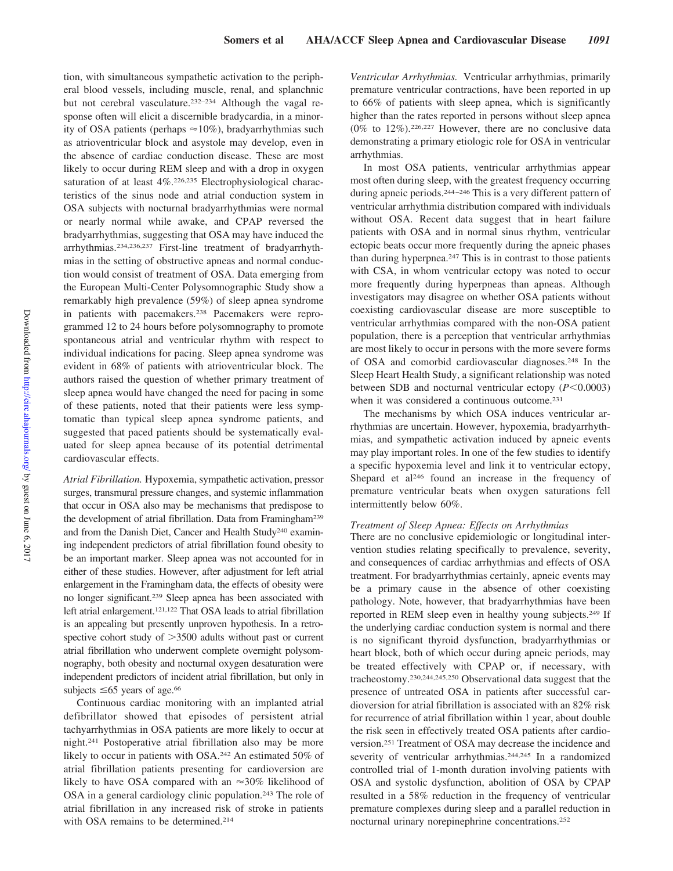tion, with simultaneous sympathetic activation to the peripheral blood vessels, including muscle, renal, and splanchnic but not cerebral vasculature.232–234 Although the vagal response often will elicit a discernible bradycardia, in a minority of OSA patients (perhaps  $\approx$  10%), bradyarrhythmias such as atrioventricular block and asystole may develop, even in the absence of cardiac conduction disease. These are most likely to occur during REM sleep and with a drop in oxygen saturation of at least 4%.226,235 Electrophysiological characteristics of the sinus node and atrial conduction system in OSA subjects with nocturnal bradyarrhythmias were normal or nearly normal while awake, and CPAP reversed the bradyarrhythmias, suggesting that OSA may have induced the arrhythmias.234,236,237 First-line treatment of bradyarrhythmias in the setting of obstructive apneas and normal conduction would consist of treatment of OSA. Data emerging from the European Multi-Center Polysomnographic Study show a remarkably high prevalence (59%) of sleep apnea syndrome in patients with pacemakers.238 Pacemakers were reprogrammed 12 to 24 hours before polysomnography to promote spontaneous atrial and ventricular rhythm with respect to individual indications for pacing. Sleep apnea syndrome was evident in 68% of patients with atrioventricular block. The authors raised the question of whether primary treatment of sleep apnea would have changed the need for pacing in some of these patients, noted that their patients were less symptomatic than typical sleep apnea syndrome patients, and suggested that paced patients should be systematically evaluated for sleep apnea because of its potential detrimental cardiovascular effects.

*Atrial Fibrillation.* Hypoxemia, sympathetic activation, pressor surges, transmural pressure changes, and systemic inflammation that occur in OSA also may be mechanisms that predispose to the development of atrial fibrillation. Data from Framingham239 and from the Danish Diet, Cancer and Health Study<sup>240</sup> examining independent predictors of atrial fibrillation found obesity to be an important marker. Sleep apnea was not accounted for in either of these studies. However, after adjustment for left atrial enlargement in the Framingham data, the effects of obesity were no longer significant.239 Sleep apnea has been associated with left atrial enlargement.121,122 That OSA leads to atrial fibrillation is an appealing but presently unproven hypothesis. In a retrospective cohort study of  $>3500$  adults without past or current atrial fibrillation who underwent complete overnight polysomnography, both obesity and nocturnal oxygen desaturation were independent predictors of incident atrial fibrillation, but only in subjects  $\leq 65$  years of age.<sup>66</sup>

Continuous cardiac monitoring with an implanted atrial defibrillator showed that episodes of persistent atrial tachyarrhythmias in OSA patients are more likely to occur at night.241 Postoperative atrial fibrillation also may be more likely to occur in patients with OSA.242 An estimated 50% of atrial fibrillation patients presenting for cardioversion are likely to have OSA compared with an  $\approx 30\%$  likelihood of OSA in a general cardiology clinic population.243 The role of atrial fibrillation in any increased risk of stroke in patients with OSA remains to be determined.214

*Ventricular Arrhythmias.* Ventricular arrhythmias, primarily premature ventricular contractions, have been reported in up to 66% of patients with sleep apnea, which is significantly higher than the rates reported in persons without sleep apnea  $(0\%$  to  $12\%)$ . <sup>226,227</sup> However, there are no conclusive data demonstrating a primary etiologic role for OSA in ventricular arrhythmias.

In most OSA patients, ventricular arrhythmias appear most often during sleep, with the greatest frequency occurring during apneic periods.<sup>244-246</sup> This is a very different pattern of ventricular arrhythmia distribution compared with individuals without OSA. Recent data suggest that in heart failure patients with OSA and in normal sinus rhythm, ventricular ectopic beats occur more frequently during the apneic phases than during hyperpnea.247 This is in contrast to those patients with CSA, in whom ventricular ectopy was noted to occur more frequently during hyperpneas than apneas. Although investigators may disagree on whether OSA patients without coexisting cardiovascular disease are more susceptible to ventricular arrhythmias compared with the non-OSA patient population, there is a perception that ventricular arrhythmias are most likely to occur in persons with the more severe forms of OSA and comorbid cardiovascular diagnoses.248 In the Sleep Heart Health Study, a significant relationship was noted between SDB and nocturnal ventricular ectopy ( $P < 0.0003$ ) when it was considered a continuous outcome.<sup>231</sup>

The mechanisms by which OSA induces ventricular arrhythmias are uncertain. However, hypoxemia, bradyarrhythmias, and sympathetic activation induced by apneic events may play important roles. In one of the few studies to identify a specific hypoxemia level and link it to ventricular ectopy, Shepard et al<sup>246</sup> found an increase in the frequency of premature ventricular beats when oxygen saturations fell intermittently below 60%.

## *Treatment of Sleep Apnea: Effects on Arrhythmias*

There are no conclusive epidemiologic or longitudinal intervention studies relating specifically to prevalence, severity, and consequences of cardiac arrhythmias and effects of OSA treatment. For bradyarrhythmias certainly, apneic events may be a primary cause in the absence of other coexisting pathology. Note, however, that bradyarrhythmias have been reported in REM sleep even in healthy young subjects.249 If the underlying cardiac conduction system is normal and there is no significant thyroid dysfunction, bradyarrhythmias or heart block, both of which occur during apneic periods, may be treated effectively with CPAP or, if necessary, with tracheostomy.230,244,245,250 Observational data suggest that the presence of untreated OSA in patients after successful cardioversion for atrial fibrillation is associated with an 82% risk for recurrence of atrial fibrillation within 1 year, about double the risk seen in effectively treated OSA patients after cardioversion.251 Treatment of OSA may decrease the incidence and severity of ventricular arrhythmias.244,245 In a randomized controlled trial of 1-month duration involving patients with OSA and systolic dysfunction, abolition of OSA by CPAP resulted in a 58% reduction in the frequency of ventricular premature complexes during sleep and a parallel reduction in nocturnal urinary norepinephrine concentrations.252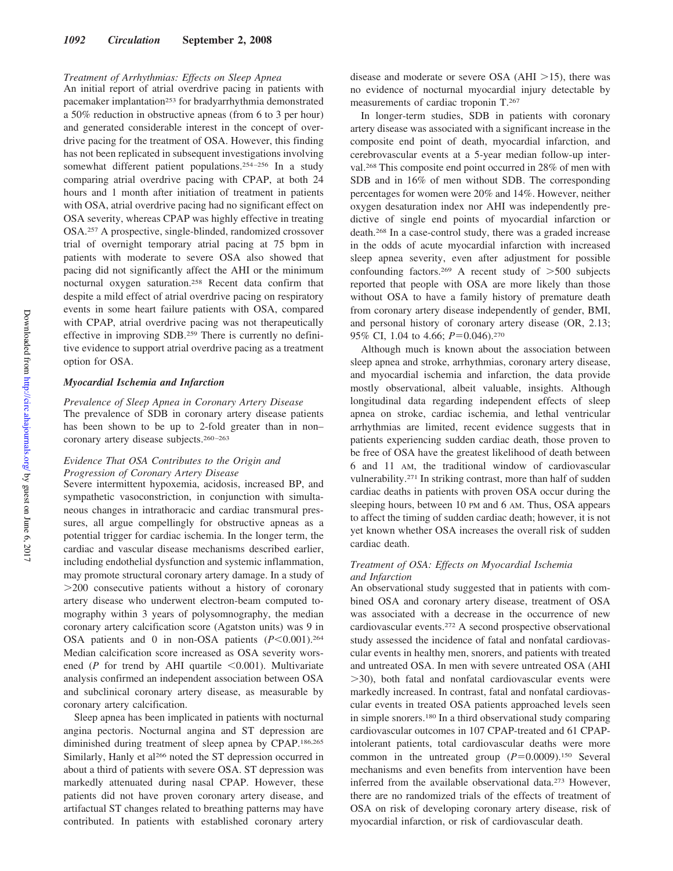## *Treatment of Arrhythmias: Effects on Sleep Apnea*

An initial report of atrial overdrive pacing in patients with pacemaker implantation<sup>253</sup> for bradyarrhythmia demonstrated a 50% reduction in obstructive apneas (from 6 to 3 per hour) and generated considerable interest in the concept of overdrive pacing for the treatment of OSA. However, this finding has not been replicated in subsequent investigations involving somewhat different patient populations.<sup>254-256</sup> In a study comparing atrial overdrive pacing with CPAP, at both 24 hours and 1 month after initiation of treatment in patients with OSA, atrial overdrive pacing had no significant effect on OSA severity, whereas CPAP was highly effective in treating OSA.257 A prospective, single-blinded, randomized crossover trial of overnight temporary atrial pacing at 75 bpm in patients with moderate to severe OSA also showed that pacing did not significantly affect the AHI or the minimum nocturnal oxygen saturation.258 Recent data confirm that despite a mild effect of atrial overdrive pacing on respiratory events in some heart failure patients with OSA, compared with CPAP, atrial overdrive pacing was not therapeutically effective in improving SDB.259 There is currently no definitive evidence to support atrial overdrive pacing as a treatment option for OSA.

## *Myocardial Ischemia and Infarction*

*Prevalence of Sleep Apnea in Coronary Artery Disease* The prevalence of SDB in coronary artery disease patients has been shown to be up to 2-fold greater than in non– coronary artery disease subjects.260 –263

## *Evidence That OSA Contributes to the Origin and Progression of Coronary Artery Disease*

Severe intermittent hypoxemia, acidosis, increased BP, and sympathetic vasoconstriction, in conjunction with simultaneous changes in intrathoracic and cardiac transmural pressures, all argue compellingly for obstructive apneas as a potential trigger for cardiac ischemia. In the longer term, the cardiac and vascular disease mechanisms described earlier, including endothelial dysfunction and systemic inflammation, may promote structural coronary artery damage. In a study of  $>$ 200 consecutive patients without a history of coronary artery disease who underwent electron-beam computed tomography within 3 years of polysomnography, the median coronary artery calcification score (Agatston units) was 9 in OSA patients and 0 in non-OSA patients  $(P<0.001)$ .<sup>264</sup> Median calcification score increased as OSA severity worsened ( $P$  for trend by AHI quartile  $\leq 0.001$ ). Multivariate analysis confirmed an independent association between OSA and subclinical coronary artery disease, as measurable by coronary artery calcification.

Sleep apnea has been implicated in patients with nocturnal angina pectoris. Nocturnal angina and ST depression are diminished during treatment of sleep apnea by CPAP.186,265 Similarly, Hanly et al<sup>266</sup> noted the ST depression occurred in about a third of patients with severe OSA. ST depression was markedly attenuated during nasal CPAP. However, these patients did not have proven coronary artery disease, and artifactual ST changes related to breathing patterns may have contributed. In patients with established coronary artery disease and moderate or severe OSA ( $AHI > 15$ ), there was no evidence of nocturnal myocardial injury detectable by measurements of cardiac troponin T.267

In longer-term studies, SDB in patients with coronary artery disease was associated with a significant increase in the composite end point of death, myocardial infarction, and cerebrovascular events at a 5-year median follow-up interval.268 This composite end point occurred in 28% of men with SDB and in 16% of men without SDB. The corresponding percentages for women were 20% and 14%. However, neither oxygen desaturation index nor AHI was independently predictive of single end points of myocardial infarction or death.268 In a case-control study, there was a graded increase in the odds of acute myocardial infarction with increased sleep apnea severity, even after adjustment for possible confounding factors.<sup>269</sup> A recent study of  $>500$  subjects reported that people with OSA are more likely than those without OSA to have a family history of premature death from coronary artery disease independently of gender, BMI, and personal history of coronary artery disease (OR, 2.13; 95% CI, 1.04 to 4.66; *P*=0.046).<sup>270</sup>

Although much is known about the association between sleep apnea and stroke, arrhythmias, coronary artery disease, and myocardial ischemia and infarction, the data provide mostly observational, albeit valuable, insights. Although longitudinal data regarding independent effects of sleep apnea on stroke, cardiac ischemia, and lethal ventricular arrhythmias are limited, recent evidence suggests that in patients experiencing sudden cardiac death, those proven to be free of OSA have the greatest likelihood of death between 6 and 11 AM, the traditional window of cardiovascular vulnerability.271 In striking contrast, more than half of sudden cardiac deaths in patients with proven OSA occur during the sleeping hours, between 10 PM and 6 AM. Thus, OSA appears to affect the timing of sudden cardiac death; however, it is not yet known whether OSA increases the overall risk of sudden cardiac death.

## *Treatment of OSA: Effects on Myocardial Ischemia and Infarction*

An observational study suggested that in patients with combined OSA and coronary artery disease, treatment of OSA was associated with a decrease in the occurrence of new cardiovascular events.272 A second prospective observational study assessed the incidence of fatal and nonfatal cardiovascular events in healthy men, snorers, and patients with treated and untreated OSA. In men with severe untreated OSA (AHI  $>$ 30), both fatal and nonfatal cardiovascular events were markedly increased. In contrast, fatal and nonfatal cardiovascular events in treated OSA patients approached levels seen in simple snorers.180 In a third observational study comparing cardiovascular outcomes in 107 CPAP-treated and 61 CPAPintolerant patients, total cardiovascular deaths were more common in the untreated group  $(P=0.0009)$ .<sup>150</sup> Several mechanisms and even benefits from intervention have been inferred from the available observational data.273 However, there are no randomized trials of the effects of treatment of OSA on risk of developing coronary artery disease, risk of myocardial infarction, or risk of cardiovascular death.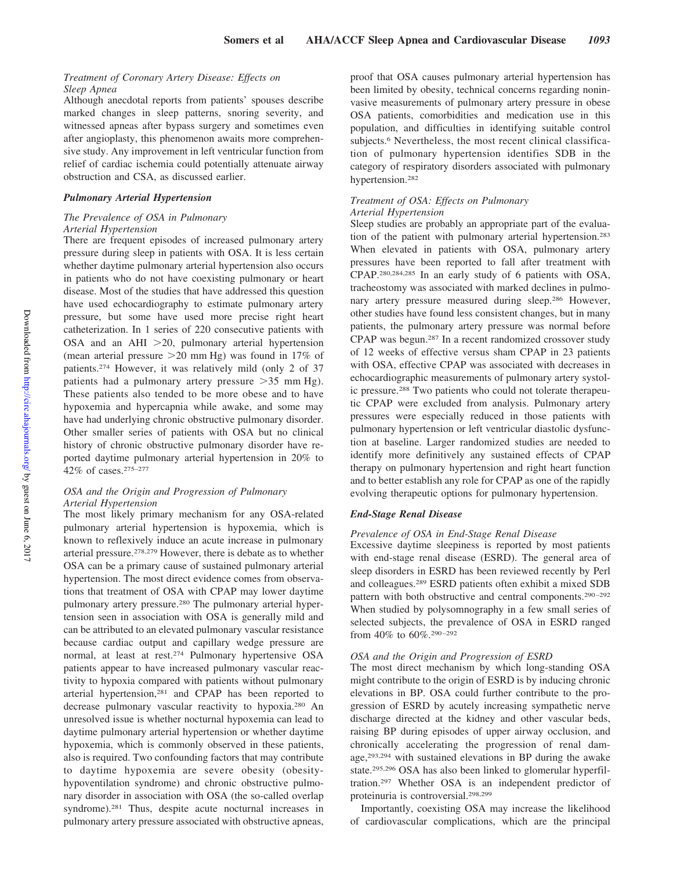## *Treatment of Coronary Artery Disease: Effects on Sleep Apnea*

Although anecdotal reports from patients' spouses describe marked changes in sleep patterns, snoring severity, and witnessed apneas after bypass surgery and sometimes even after angioplasty, this phenomenon awaits more comprehensive study. Any improvement in left ventricular function from relief of cardiac ischemia could potentially attenuate airway obstruction and CSA, as discussed earlier.

## *Pulmonary Arterial Hypertension*

## *The Prevalence of OSA in Pulmonary Arterial Hypertension*

There are frequent episodes of increased pulmonary artery pressure during sleep in patients with OSA. It is less certain whether daytime pulmonary arterial hypertension also occurs in patients who do not have coexisting pulmonary or heart disease. Most of the studies that have addressed this question have used echocardiography to estimate pulmonary artery pressure, but some have used more precise right heart catheterization. In 1 series of 220 consecutive patients with OSA and an AHI  $>20$ , pulmonary arterial hypertension (mean arterial pressure  $>20$  mm Hg) was found in 17% of patients.274 However, it was relatively mild (only 2 of 37 patients had a pulmonary artery pressure  $>35$  mm Hg). These patients also tended to be more obese and to have hypoxemia and hypercapnia while awake, and some may have had underlying chronic obstructive pulmonary disorder. Other smaller series of patients with OSA but no clinical history of chronic obstructive pulmonary disorder have reported daytime pulmonary arterial hypertension in 20% to 42% of cases.275–277

## *OSA and the Origin and Progression of Pulmonary Arterial Hypertension*

The most likely primary mechanism for any OSA-related pulmonary arterial hypertension is hypoxemia, which is known to reflexively induce an acute increase in pulmonary arterial pressure.278,279 However, there is debate as to whether OSA can be a primary cause of sustained pulmonary arterial hypertension. The most direct evidence comes from observations that treatment of OSA with CPAP may lower daytime pulmonary artery pressure.280 The pulmonary arterial hypertension seen in association with OSA is generally mild and can be attributed to an elevated pulmonary vascular resistance because cardiac output and capillary wedge pressure are normal, at least at rest.274 Pulmonary hypertensive OSA patients appear to have increased pulmonary vascular reactivity to hypoxia compared with patients without pulmonary arterial hypertension,281 and CPAP has been reported to decrease pulmonary vascular reactivity to hypoxia.280 An unresolved issue is whether nocturnal hypoxemia can lead to daytime pulmonary arterial hypertension or whether daytime hypoxemia, which is commonly observed in these patients, also is required. Two confounding factors that may contribute to daytime hypoxemia are severe obesity (obesityhypoventilation syndrome) and chronic obstructive pulmonary disorder in association with OSA (the so-called overlap syndrome).<sup>281</sup> Thus, despite acute nocturnal increases in pulmonary artery pressure associated with obstructive apneas, proof that OSA causes pulmonary arterial hypertension has been limited by obesity, technical concerns regarding noninvasive measurements of pulmonary artery pressure in obese OSA patients, comorbidities and medication use in this population, and difficulties in identifying suitable control subjects.<sup>6</sup> Nevertheless, the most recent clinical classification of pulmonary hypertension identifies SDB in the category of respiratory disorders associated with pulmonary hypertension.282

#### *Treatment of OSA: Effects on Pulmonary Arterial Hypertension*

Sleep studies are probably an appropriate part of the evaluation of the patient with pulmonary arterial hypertension.283 When elevated in patients with OSA, pulmonary artery pressures have been reported to fall after treatment with CPAP.280,284,285 In an early study of 6 patients with OSA, tracheostomy was associated with marked declines in pulmonary artery pressure measured during sleep.286 However, other studies have found less consistent changes, but in many patients, the pulmonary artery pressure was normal before CPAP was begun.287 In a recent randomized crossover study of 12 weeks of effective versus sham CPAP in 23 patients with OSA, effective CPAP was associated with decreases in echocardiographic measurements of pulmonary artery systolic pressure.288 Two patients who could not tolerate therapeutic CPAP were excluded from analysis. Pulmonary artery pressures were especially reduced in those patients with pulmonary hypertension or left ventricular diastolic dysfunction at baseline. Larger randomized studies are needed to identify more definitively any sustained effects of CPAP therapy on pulmonary hypertension and right heart function and to better establish any role for CPAP as one of the rapidly evolving therapeutic options for pulmonary hypertension.

## *End-Stage Renal Disease*

## *Prevalence of OSA in End-Stage Renal Disease*

Excessive daytime sleepiness is reported by most patients with end-stage renal disease (ESRD). The general area of sleep disorders in ESRD has been reviewed recently by Perl and colleagues.289 ESRD patients often exhibit a mixed SDB pattern with both obstructive and central components.<sup>290-292</sup> When studied by polysomnography in a few small series of selected subjects, the prevalence of OSA in ESRD ranged from 40% to 60%.<sup>290-292</sup>

## *OSA and the Origin and Progression of ESRD*

The most direct mechanism by which long-standing OSA might contribute to the origin of ESRD is by inducing chronic elevations in BP. OSA could further contribute to the progression of ESRD by acutely increasing sympathetic nerve discharge directed at the kidney and other vascular beds, raising BP during episodes of upper airway occlusion, and chronically accelerating the progression of renal damage,293,294 with sustained elevations in BP during the awake state.295,296 OSA has also been linked to glomerular hyperfiltration.297 Whether OSA is an independent predictor of proteinuria is controversial.298,299

Importantly, coexisting OSA may increase the likelihood of cardiovascular complications, which are the principal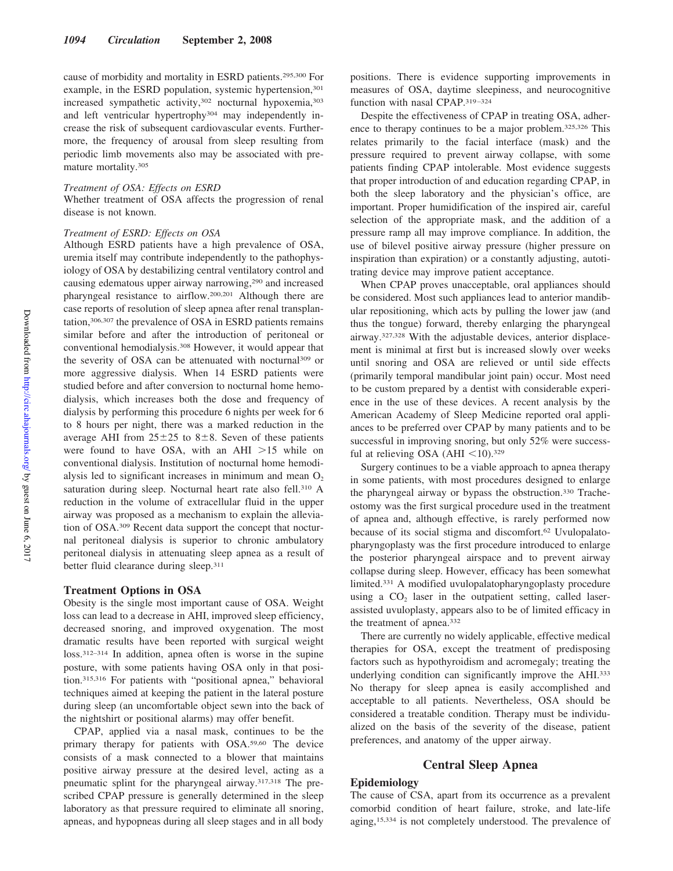cause of morbidity and mortality in ESRD patients.295,300 For example, in the ESRD population, systemic hypertension,<sup>301</sup> increased sympathetic activity,302 nocturnal hypoxemia,303 and left ventricular hypertrophy304 may independently increase the risk of subsequent cardiovascular events. Furthermore, the frequency of arousal from sleep resulting from periodic limb movements also may be associated with premature mortality.305

## *Treatment of OSA: Effects on ESRD*

Whether treatment of OSA affects the progression of renal disease is not known.

## *Treatment of ESRD: Effects on OSA*

Although ESRD patients have a high prevalence of OSA, uremia itself may contribute independently to the pathophysiology of OSA by destabilizing central ventilatory control and causing edematous upper airway narrowing,290 and increased pharyngeal resistance to airflow.200,201 Although there are case reports of resolution of sleep apnea after renal transplantation,306,307 the prevalence of OSA in ESRD patients remains similar before and after the introduction of peritoneal or conventional hemodialysis.308 However, it would appear that the severity of OSA can be attenuated with nocturnal309 or more aggressive dialysis. When 14 ESRD patients were studied before and after conversion to nocturnal home hemodialysis, which increases both the dose and frequency of dialysis by performing this procedure 6 nights per week for 6 to 8 hours per night, there was a marked reduction in the average AHI from  $25\pm25$  to  $8\pm8$ . Seven of these patients were found to have OSA, with an AHI  $>15$  while on conventional dialysis. Institution of nocturnal home hemodialysis led to significant increases in minimum and mean  $O_2$ saturation during sleep. Nocturnal heart rate also fell.<sup>310</sup> A reduction in the volume of extracellular fluid in the upper airway was proposed as a mechanism to explain the alleviation of OSA.309 Recent data support the concept that nocturnal peritoneal dialysis is superior to chronic ambulatory peritoneal dialysis in attenuating sleep apnea as a result of better fluid clearance during sleep.311

## **Treatment Options in OSA**

Obesity is the single most important cause of OSA. Weight loss can lead to a decrease in AHI, improved sleep efficiency, decreased snoring, and improved oxygenation. The most dramatic results have been reported with surgical weight loss.312–314 In addition, apnea often is worse in the supine posture, with some patients having OSA only in that position.315,316 For patients with "positional apnea," behavioral techniques aimed at keeping the patient in the lateral posture during sleep (an uncomfortable object sewn into the back of the nightshirt or positional alarms) may offer benefit.

CPAP, applied via a nasal mask, continues to be the primary therapy for patients with OSA.59,60 The device consists of a mask connected to a blower that maintains positive airway pressure at the desired level, acting as a pneumatic splint for the pharyngeal airway.317,318 The prescribed CPAP pressure is generally determined in the sleep laboratory as that pressure required to eliminate all snoring, apneas, and hypopneas during all sleep stages and in all body

positions. There is evidence supporting improvements in measures of OSA, daytime sleepiness, and neurocognitive function with nasal CPAP.<sup>319-324</sup>

Despite the effectiveness of CPAP in treating OSA, adherence to therapy continues to be a major problem.325,326 This relates primarily to the facial interface (mask) and the pressure required to prevent airway collapse, with some patients finding CPAP intolerable. Most evidence suggests that proper introduction of and education regarding CPAP, in both the sleep laboratory and the physician's office, are important. Proper humidification of the inspired air, careful selection of the appropriate mask, and the addition of a pressure ramp all may improve compliance. In addition, the use of bilevel positive airway pressure (higher pressure on inspiration than expiration) or a constantly adjusting, autotitrating device may improve patient acceptance.

When CPAP proves unacceptable, oral appliances should be considered. Most such appliances lead to anterior mandibular repositioning, which acts by pulling the lower jaw (and thus the tongue) forward, thereby enlarging the pharyngeal airway.327,328 With the adjustable devices, anterior displacement is minimal at first but is increased slowly over weeks until snoring and OSA are relieved or until side effects (primarily temporal mandibular joint pain) occur. Most need to be custom prepared by a dentist with considerable experience in the use of these devices. A recent analysis by the American Academy of Sleep Medicine reported oral appliances to be preferred over CPAP by many patients and to be successful in improving snoring, but only 52% were successful at relieving OSA (AHI  $\leq$ 10).<sup>329</sup>

Surgery continues to be a viable approach to apnea therapy in some patients, with most procedures designed to enlarge the pharyngeal airway or bypass the obstruction.330 Tracheostomy was the first surgical procedure used in the treatment of apnea and, although effective, is rarely performed now because of its social stigma and discomfort.<sup>62</sup> Uvulopalatopharyngoplasty was the first procedure introduced to enlarge the posterior pharyngeal airspace and to prevent airway collapse during sleep. However, efficacy has been somewhat limited.331 A modified uvulopalatopharyngoplasty procedure using a  $CO<sub>2</sub>$  laser in the outpatient setting, called laserassisted uvuloplasty, appears also to be of limited efficacy in the treatment of apnea.332

There are currently no widely applicable, effective medical therapies for OSA, except the treatment of predisposing factors such as hypothyroidism and acromegaly; treating the underlying condition can significantly improve the AHI.333 No therapy for sleep apnea is easily accomplished and acceptable to all patients. Nevertheless, OSA should be considered a treatable condition. Therapy must be individualized on the basis of the severity of the disease, patient preferences, and anatomy of the upper airway.

## **Central Sleep Apnea**

#### **Epidemiology**

The cause of CSA, apart from its occurrence as a prevalent comorbid condition of heart failure, stroke, and late-life aging,15,334 is not completely understood. The prevalence of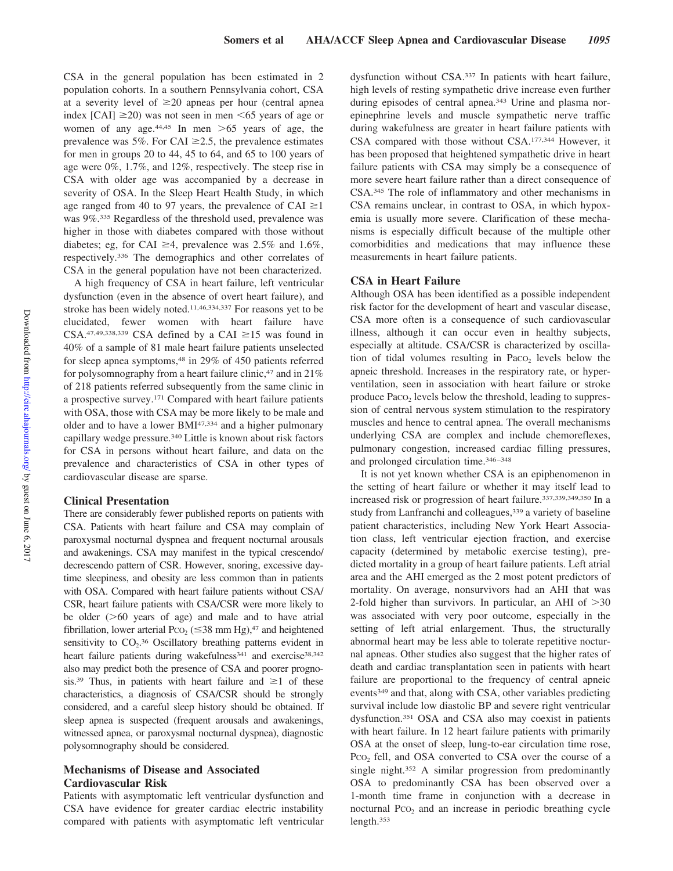CSA in the general population has been estimated in 2 population cohorts. In a southern Pennsylvania cohort, CSA at a severity level of  $\geq$ 20 apneas per hour (central apnea index [CAI]  $\geq$ 20) was not seen in men <65 years of age or women of any age.<sup>44,45</sup> In men  $>65$  years of age, the prevalence was 5%. For CAI  $\geq$ 2.5, the prevalence estimates for men in groups 20 to 44, 45 to 64, and 65 to 100 years of age were 0%, 1.7%, and 12%, respectively. The steep rise in CSA with older age was accompanied by a decrease in severity of OSA. In the Sleep Heart Health Study, in which age ranged from 40 to 97 years, the prevalence of CAI  $\geq$ 1 was 9%.335 Regardless of the threshold used, prevalence was higher in those with diabetes compared with those without diabetes; eg, for CAI  $\geq$ 4, prevalence was 2.5% and 1.6%, respectively.336 The demographics and other correlates of CSA in the general population have not been characterized.

A high frequency of CSA in heart failure, left ventricular dysfunction (even in the absence of overt heart failure), and stroke has been widely noted.11,46,334,337 For reasons yet to be elucidated, fewer women with heart failure have CSA.<sup>47,49,338,339</sup> CSA defined by a CAI  $\geq$ 15 was found in 40% of a sample of 81 male heart failure patients unselected for sleep apnea symptoms,<sup>48</sup> in 29% of 450 patients referred for polysomnography from a heart failure clinic,  $47$  and in  $21\%$ of 218 patients referred subsequently from the same clinic in a prospective survey.171 Compared with heart failure patients with OSA, those with CSA may be more likely to be male and older and to have a lower BMI47,334 and a higher pulmonary capillary wedge pressure.340 Little is known about risk factors for CSA in persons without heart failure, and data on the prevalence and characteristics of CSA in other types of cardiovascular disease are sparse.

## **Clinical Presentation**

There are considerably fewer published reports on patients with CSA. Patients with heart failure and CSA may complain of paroxysmal nocturnal dyspnea and frequent nocturnal arousals and awakenings. CSA may manifest in the typical crescendo/ decrescendo pattern of CSR. However, snoring, excessive daytime sleepiness, and obesity are less common than in patients with OSA. Compared with heart failure patients without CSA/ CSR, heart failure patients with CSA/CSR were more likely to be older  $( >60$  years of age) and male and to have atrial fibrillation, lower arterial Pco<sub>2</sub> ( $\leq$ 38 mm Hg),<sup>47</sup> and heightened sensitivity to  $CO<sub>2</sub>$ .<sup>36</sup> Oscillatory breathing patterns evident in heart failure patients during wakefulness<sup>341</sup> and exercise<sup>38,342</sup> also may predict both the presence of CSA and poorer prognosis.<sup>39</sup> Thus, in patients with heart failure and  $\geq 1$  of these characteristics, a diagnosis of CSA/CSR should be strongly considered, and a careful sleep history should be obtained. If sleep apnea is suspected (frequent arousals and awakenings, witnessed apnea, or paroxysmal nocturnal dyspnea), diagnostic polysomnography should be considered.

# **Mechanisms of Disease and Associated Cardiovascular Risk**

Patients with asymptomatic left ventricular dysfunction and CSA have evidence for greater cardiac electric instability compared with patients with asymptomatic left ventricular

dysfunction without CSA.337 In patients with heart failure, high levels of resting sympathetic drive increase even further during episodes of central apnea.343 Urine and plasma norepinephrine levels and muscle sympathetic nerve traffic during wakefulness are greater in heart failure patients with CSA compared with those without CSA.177,344 However, it has been proposed that heightened sympathetic drive in heart failure patients with CSA may simply be a consequence of more severe heart failure rather than a direct consequence of CSA.345 The role of inflammatory and other mechanisms in CSA remains unclear, in contrast to OSA, in which hypoxemia is usually more severe. Clarification of these mechanisms is especially difficult because of the multiple other comorbidities and medications that may influence these measurements in heart failure patients.

## **CSA in Heart Failure**

Although OSA has been identified as a possible independent risk factor for the development of heart and vascular disease, CSA more often is a consequence of such cardiovascular illness, although it can occur even in healthy subjects, especially at altitude. CSA/CSR is characterized by oscillation of tidal volumes resulting in Paco<sub>2</sub> levels below the apneic threshold. Increases in the respiratory rate, or hyperventilation, seen in association with heart failure or stroke produce  $P_{\text{ACO}_2}$  levels below the threshold, leading to suppression of central nervous system stimulation to the respiratory muscles and hence to central apnea. The overall mechanisms underlying CSA are complex and include chemoreflexes, pulmonary congestion, increased cardiac filling pressures, and prolonged circulation time.346 –348

It is not yet known whether CSA is an epiphenomenon in the setting of heart failure or whether it may itself lead to increased risk or progression of heart failure.337,339,349,350 In a study from Lanfranchi and colleagues,<sup>339</sup> a variety of baseline patient characteristics, including New York Heart Association class, left ventricular ejection fraction, and exercise capacity (determined by metabolic exercise testing), predicted mortality in a group of heart failure patients. Left atrial area and the AHI emerged as the 2 most potent predictors of mortality. On average, nonsurvivors had an AHI that was 2-fold higher than survivors. In particular, an AHI of  $>30$ was associated with very poor outcome, especially in the setting of left atrial enlargement. Thus, the structurally abnormal heart may be less able to tolerate repetitive nocturnal apneas. Other studies also suggest that the higher rates of death and cardiac transplantation seen in patients with heart failure are proportional to the frequency of central apneic events349 and that, along with CSA, other variables predicting survival include low diastolic BP and severe right ventricular dysfunction.351 OSA and CSA also may coexist in patients with heart failure. In 12 heart failure patients with primarily OSA at the onset of sleep, lung-to-ear circulation time rose, Pco<sub>2</sub> fell, and OSA converted to CSA over the course of a single night.352 A similar progression from predominantly OSA to predominantly CSA has been observed over a 1-month time frame in conjunction with a decrease in nocturnal  $PCO<sub>2</sub>$  and an increase in periodic breathing cycle length.353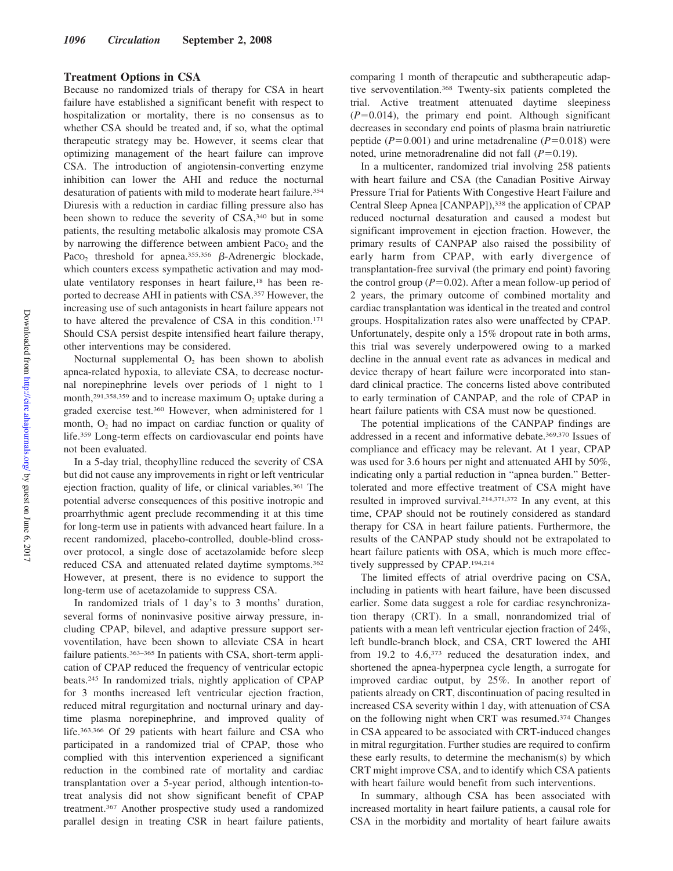## **Treatment Options in CSA**

Because no randomized trials of therapy for CSA in heart failure have established a significant benefit with respect to hospitalization or mortality, there is no consensus as to whether CSA should be treated and, if so, what the optimal therapeutic strategy may be. However, it seems clear that optimizing management of the heart failure can improve CSA. The introduction of angiotensin-converting enzyme inhibition can lower the AHI and reduce the nocturnal desaturation of patients with mild to moderate heart failure.<sup>354</sup> Diuresis with a reduction in cardiac filling pressure also has been shown to reduce the severity of CSA,340 but in some patients, the resulting metabolic alkalosis may promote CSA by narrowing the difference between ambient Paco<sub>2</sub> and the Pac $O_2$  threshold for apnea.<sup>355,356</sup>  $\beta$ -Adrenergic blockade, which counters excess sympathetic activation and may modulate ventilatory responses in heart failure,18 has been reported to decrease AHI in patients with CSA.357 However, the increasing use of such antagonists in heart failure appears not to have altered the prevalence of CSA in this condition.171 Should CSA persist despite intensified heart failure therapy, other interventions may be considered.

Nocturnal supplemental  $O<sub>2</sub>$  has been shown to abolish apnea-related hypoxia, to alleviate CSA, to decrease nocturnal norepinephrine levels over periods of 1 night to 1 month,<sup>291,358,359</sup> and to increase maximum  $O_2$  uptake during a graded exercise test.360 However, when administered for 1 month,  $O_2$  had no impact on cardiac function or quality of life.359 Long-term effects on cardiovascular end points have not been evaluated.

In a 5-day trial, theophylline reduced the severity of CSA but did not cause any improvements in right or left ventricular ejection fraction, quality of life, or clinical variables.<sup>361</sup> The potential adverse consequences of this positive inotropic and proarrhythmic agent preclude recommending it at this time for long-term use in patients with advanced heart failure. In a recent randomized, placebo-controlled, double-blind crossover protocol, a single dose of acetazolamide before sleep reduced CSA and attenuated related daytime symptoms.362 However, at present, there is no evidence to support the long-term use of acetazolamide to suppress CSA.

In randomized trials of 1 day's to 3 months' duration, several forms of noninvasive positive airway pressure, including CPAP, bilevel, and adaptive pressure support servoventilation, have been shown to alleviate CSA in heart failure patients.<sup>363–365</sup> In patients with CSA, short-term application of CPAP reduced the frequency of ventricular ectopic beats.245 In randomized trials, nightly application of CPAP for 3 months increased left ventricular ejection fraction, reduced mitral regurgitation and nocturnal urinary and daytime plasma norepinephrine, and improved quality of life.363,366 Of 29 patients with heart failure and CSA who participated in a randomized trial of CPAP, those who complied with this intervention experienced a significant reduction in the combined rate of mortality and cardiac transplantation over a 5-year period, although intention-totreat analysis did not show significant benefit of CPAP treatment.367 Another prospective study used a randomized parallel design in treating CSR in heart failure patients,

comparing 1 month of therapeutic and subtherapeutic adaptive servoventilation.368 Twenty-six patients completed the trial. Active treatment attenuated daytime sleepiness  $(P=0.014)$ , the primary end point. Although significant decreases in secondary end points of plasma brain natriuretic peptide ( $P = 0.001$ ) and urine metadrenaline ( $P = 0.018$ ) were noted, urine metnoradrenaline did not fall  $(P=0.19)$ .

In a multicenter, randomized trial involving 258 patients with heart failure and CSA (the Canadian Positive Airway Pressure Trial for Patients With Congestive Heart Failure and Central Sleep Apnea [CANPAP]),<sup>338</sup> the application of CPAP reduced nocturnal desaturation and caused a modest but significant improvement in ejection fraction. However, the primary results of CANPAP also raised the possibility of early harm from CPAP, with early divergence of transplantation-free survival (the primary end point) favoring the control group  $(P=0.02)$ . After a mean follow-up period of 2 years, the primary outcome of combined mortality and cardiac transplantation was identical in the treated and control groups. Hospitalization rates also were unaffected by CPAP. Unfortunately, despite only a 15% dropout rate in both arms, this trial was severely underpowered owing to a marked decline in the annual event rate as advances in medical and device therapy of heart failure were incorporated into standard clinical practice. The concerns listed above contributed to early termination of CANPAP, and the role of CPAP in heart failure patients with CSA must now be questioned.

The potential implications of the CANPAP findings are addressed in a recent and informative debate.369,370 Issues of compliance and efficacy may be relevant. At 1 year, CPAP was used for 3.6 hours per night and attenuated AHI by 50%, indicating only a partial reduction in "apnea burden." Bettertolerated and more effective treatment of CSA might have resulted in improved survival.214,371,372 In any event, at this time, CPAP should not be routinely considered as standard therapy for CSA in heart failure patients. Furthermore, the results of the CANPAP study should not be extrapolated to heart failure patients with OSA, which is much more effectively suppressed by CPAP.194,214

The limited effects of atrial overdrive pacing on CSA, including in patients with heart failure, have been discussed earlier. Some data suggest a role for cardiac resynchronization therapy (CRT). In a small, nonrandomized trial of patients with a mean left ventricular ejection fraction of 24%, left bundle-branch block, and CSA, CRT lowered the AHI from 19.2 to 4.6,373 reduced the desaturation index, and shortened the apnea-hyperpnea cycle length, a surrogate for improved cardiac output, by 25%. In another report of patients already on CRT, discontinuation of pacing resulted in increased CSA severity within 1 day, with attenuation of CSA on the following night when CRT was resumed.374 Changes in CSA appeared to be associated with CRT-induced changes in mitral regurgitation. Further studies are required to confirm these early results, to determine the mechanism(s) by which CRT might improve CSA, and to identify which CSA patients with heart failure would benefit from such interventions.

In summary, although CSA has been associated with increased mortality in heart failure patients, a causal role for CSA in the morbidity and mortality of heart failure awaits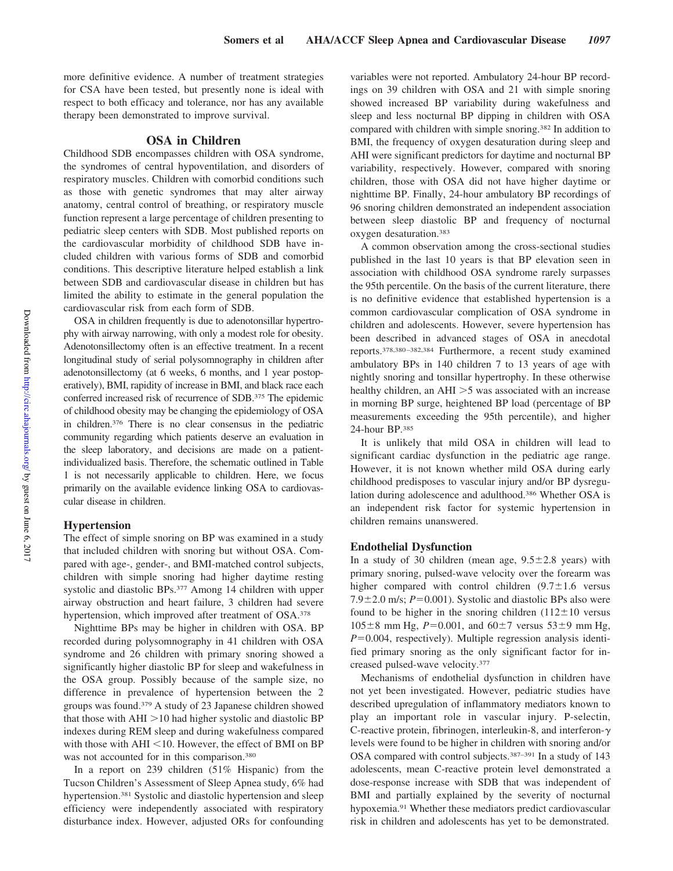more definitive evidence. A number of treatment strategies for CSA have been tested, but presently none is ideal with respect to both efficacy and tolerance, nor has any available therapy been demonstrated to improve survival.

## **OSA in Children**

Childhood SDB encompasses children with OSA syndrome, the syndromes of central hypoventilation, and disorders of respiratory muscles. Children with comorbid conditions such as those with genetic syndromes that may alter airway anatomy, central control of breathing, or respiratory muscle function represent a large percentage of children presenting to pediatric sleep centers with SDB. Most published reports on the cardiovascular morbidity of childhood SDB have included children with various forms of SDB and comorbid conditions. This descriptive literature helped establish a link between SDB and cardiovascular disease in children but has limited the ability to estimate in the general population the cardiovascular risk from each form of SDB.

OSA in children frequently is due to adenotonsillar hypertrophy with airway narrowing, with only a modest role for obesity. Adenotonsillectomy often is an effective treatment. In a recent longitudinal study of serial polysomnography in children after adenotonsillectomy (at 6 weeks, 6 months, and 1 year postoperatively), BMI, rapidity of increase in BMI, and black race each conferred increased risk of recurrence of SDB.375 The epidemic of childhood obesity may be changing the epidemiology of OSA in children.376 There is no clear consensus in the pediatric community regarding which patients deserve an evaluation in the sleep laboratory, and decisions are made on a patientindividualized basis. Therefore, the schematic outlined in Table 1 is not necessarily applicable to children. Here, we focus primarily on the available evidence linking OSA to cardiovascular disease in children.

## **Hypertension**

The effect of simple snoring on BP was examined in a study that included children with snoring but without OSA. Compared with age-, gender-, and BMI-matched control subjects, children with simple snoring had higher daytime resting systolic and diastolic BPs.377 Among 14 children with upper airway obstruction and heart failure, 3 children had severe hypertension, which improved after treatment of OSA.<sup>378</sup>

Nighttime BPs may be higher in children with OSA. BP recorded during polysomnography in 41 children with OSA syndrome and 26 children with primary snoring showed a significantly higher diastolic BP for sleep and wakefulness in the OSA group. Possibly because of the sample size, no difference in prevalence of hypertension between the 2 groups was found.379 A study of 23 Japanese children showed that those with  $AHI > 10$  had higher systolic and diastolic BP indexes during REM sleep and during wakefulness compared with those with  $AHI < 10$ . However, the effect of BMI on BP was not accounted for in this comparison.<sup>380</sup>

In a report on 239 children (51% Hispanic) from the Tucson Children's Assessment of Sleep Apnea study, 6% had hypertension.<sup>381</sup> Systolic and diastolic hypertension and sleep efficiency were independently associated with respiratory disturbance index. However, adjusted ORs for confounding

variables were not reported. Ambulatory 24-hour BP recordings on 39 children with OSA and 21 with simple snoring showed increased BP variability during wakefulness and sleep and less nocturnal BP dipping in children with OSA compared with children with simple snoring.382 In addition to BMI, the frequency of oxygen desaturation during sleep and AHI were significant predictors for daytime and nocturnal BP variability, respectively. However, compared with snoring children, those with OSA did not have higher daytime or nighttime BP. Finally, 24-hour ambulatory BP recordings of 96 snoring children demonstrated an independent association between sleep diastolic BP and frequency of nocturnal oxygen desaturation.383

A common observation among the cross-sectional studies published in the last 10 years is that BP elevation seen in association with childhood OSA syndrome rarely surpasses the 95th percentile. On the basis of the current literature, there is no definitive evidence that established hypertension is a common cardiovascular complication of OSA syndrome in children and adolescents. However, severe hypertension has been described in advanced stages of OSA in anecdotal reports.378,380 –382,384 Furthermore, a recent study examined ambulatory BPs in 140 children 7 to 13 years of age with nightly snoring and tonsillar hypertrophy. In these otherwise healthy children, an  $AHI > 5$  was associated with an increase in morning BP surge, heightened BP load (percentage of BP measurements exceeding the 95th percentile), and higher 24-hour BP.385

It is unlikely that mild OSA in children will lead to significant cardiac dysfunction in the pediatric age range. However, it is not known whether mild OSA during early childhood predisposes to vascular injury and/or BP dysregulation during adolescence and adulthood.386 Whether OSA is an independent risk factor for systemic hypertension in children remains unanswered.

## **Endothelial Dysfunction**

In a study of 30 children (mean age,  $9.5 \pm 2.8$  years) with primary snoring, pulsed-wave velocity over the forearm was higher compared with control children  $(9.7 \pm 1.6$  versus 7.9 $\pm$ 2.0 m/s;  $P = 0.001$ ). Systolic and diastolic BPs also were found to be higher in the snoring children  $(112 \pm 10$  versus  $105\pm8$  mm Hg,  $P=0.001$ , and  $60\pm7$  versus  $53\pm9$  mm Hg,  $P=0.004$ , respectively). Multiple regression analysis identified primary snoring as the only significant factor for increased pulsed-wave velocity.377

Mechanisms of endothelial dysfunction in children have not yet been investigated. However, pediatric studies have described upregulation of inflammatory mediators known to play an important role in vascular injury. P-selectin, C-reactive protein, fibrinogen, interleukin-8, and interferon- $\gamma$ levels were found to be higher in children with snoring and/or OSA compared with control subjects.387–391 In a study of 143 adolescents, mean C-reactive protein level demonstrated a dose-response increase with SDB that was independent of BMI and partially explained by the severity of nocturnal hypoxemia.91 Whether these mediators predict cardiovascular risk in children and adolescents has yet to be demonstrated.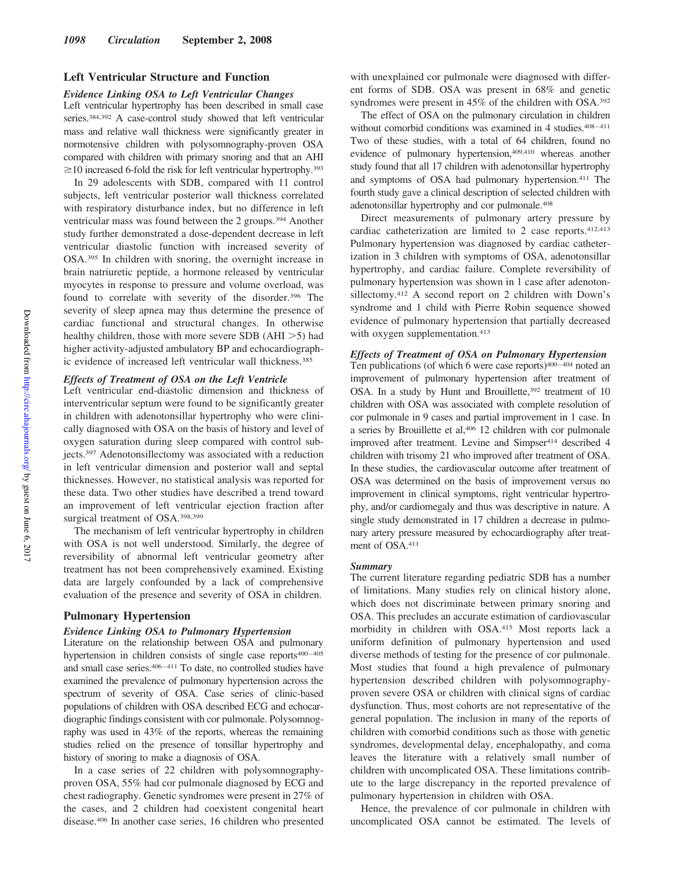## **Left Ventricular Structure and Function**

#### *Evidence Linking OSA to Left Ventricular Changes*

Left ventricular hypertrophy has been described in small case series.384,392 A case-control study showed that left ventricular mass and relative wall thickness were significantly greater in normotensive children with polysomnography-proven OSA compared with children with primary snoring and that an AHI  $\geq$  10 increased 6-fold the risk for left ventricular hypertrophy.<sup>393</sup>

In 29 adolescents with SDB, compared with 11 control subjects, left ventricular posterior wall thickness correlated with respiratory disturbance index, but no difference in left ventricular mass was found between the 2 groups.394 Another study further demonstrated a dose-dependent decrease in left ventricular diastolic function with increased severity of OSA.395 In children with snoring, the overnight increase in brain natriuretic peptide, a hormone released by ventricular myocytes in response to pressure and volume overload, was found to correlate with severity of the disorder.<sup>396</sup> The severity of sleep apnea may thus determine the presence of cardiac functional and structural changes. In otherwise healthy children, those with more severe SDB ( $AHI > 5$ ) had higher activity-adjusted ambulatory BP and echocardiographic evidence of increased left ventricular wall thickness.<sup>385</sup>

## *Effects of Treatment of OSA on the Left Ventricle*

Left ventricular end-diastolic dimension and thickness of interventricular septum were found to be significantly greater in children with adenotonsillar hypertrophy who were clinically diagnosed with OSA on the basis of history and level of oxygen saturation during sleep compared with control subjects.397 Adenotonsillectomy was associated with a reduction in left ventricular dimension and posterior wall and septal thicknesses. However, no statistical analysis was reported for these data. Two other studies have described a trend toward an improvement of left ventricular ejection fraction after surgical treatment of OSA.398,399

The mechanism of left ventricular hypertrophy in children with OSA is not well understood. Similarly, the degree of reversibility of abnormal left ventricular geometry after treatment has not been comprehensively examined. Existing data are largely confounded by a lack of comprehensive evaluation of the presence and severity of OSA in children.

## **Pulmonary Hypertension**

#### *Evidence Linking OSA to Pulmonary Hypertension*

Literature on the relationship between OSA and pulmonary hypertension in children consists of single case reports<sup>400-405</sup> and small case series.<sup>406-411</sup> To date, no controlled studies have examined the prevalence of pulmonary hypertension across the spectrum of severity of OSA. Case series of clinic-based populations of children with OSA described ECG and echocardiographic findings consistent with cor pulmonale. Polysomnography was used in 43% of the reports, whereas the remaining studies relied on the presence of tonsillar hypertrophy and history of snoring to make a diagnosis of OSA.

In a case series of 22 children with polysomnographyproven OSA, 55% had cor pulmonale diagnosed by ECG and chest radiography. Genetic syndromes were present in 27% of the cases, and 2 children had coexistent congenital heart disease.406 In another case series, 16 children who presented with unexplained cor pulmonale were diagnosed with different forms of SDB. OSA was present in 68% and genetic syndromes were present in 45% of the children with OSA.392

The effect of OSA on the pulmonary circulation in children without comorbid conditions was examined in 4 studies.<sup>408-411</sup> Two of these studies, with a total of 64 children, found no evidence of pulmonary hypertension,409,410 whereas another study found that all 17 children with adenotonsillar hypertrophy and symptoms of OSA had pulmonary hypertension.411 The fourth study gave a clinical description of selected children with adenotonsillar hypertrophy and cor pulmonale.408

Direct measurements of pulmonary artery pressure by cardiac catheterization are limited to 2 case reports.412,413 Pulmonary hypertension was diagnosed by cardiac catheterization in 3 children with symptoms of OSA, adenotonsillar hypertrophy, and cardiac failure. Complete reversibility of pulmonary hypertension was shown in 1 case after adenotonsillectomy.412 A second report on 2 children with Down's syndrome and 1 child with Pierre Robin sequence showed evidence of pulmonary hypertension that partially decreased with oxygen supplementation.<sup>413</sup>

## *Effects of Treatment of OSA on Pulmonary Hypertension*

Ten publications (of which 6 were case reports)<sup>400-404</sup> noted an improvement of pulmonary hypertension after treatment of OSA. In a study by Hunt and Brouillette,<sup>392</sup> treatment of 10 children with OSA was associated with complete resolution of cor pulmonale in 9 cases and partial improvement in 1 case. In a series by Brouillette et al,406 12 children with cor pulmonale improved after treatment. Levine and Simpser<sup>414</sup> described 4 children with trisomy 21 who improved after treatment of OSA. In these studies, the cardiovascular outcome after treatment of OSA was determined on the basis of improvement versus no improvement in clinical symptoms, right ventricular hypertrophy, and/or cardiomegaly and thus was descriptive in nature. A single study demonstrated in 17 children a decrease in pulmonary artery pressure measured by echocardiography after treatment of OSA.411

#### *Summary*

The current literature regarding pediatric SDB has a number of limitations. Many studies rely on clinical history alone, which does not discriminate between primary snoring and OSA. This precludes an accurate estimation of cardiovascular morbidity in children with OSA.415 Most reports lack a uniform definition of pulmonary hypertension and used diverse methods of testing for the presence of cor pulmonale. Most studies that found a high prevalence of pulmonary hypertension described children with polysomnographyproven severe OSA or children with clinical signs of cardiac dysfunction. Thus, most cohorts are not representative of the general population. The inclusion in many of the reports of children with comorbid conditions such as those with genetic syndromes, developmental delay, encephalopathy, and coma leaves the literature with a relatively small number of children with uncomplicated OSA. These limitations contribute to the large discrepancy in the reported prevalence of pulmonary hypertension in children with OSA.

Hence, the prevalence of cor pulmonale in children with uncomplicated OSA cannot be estimated. The levels of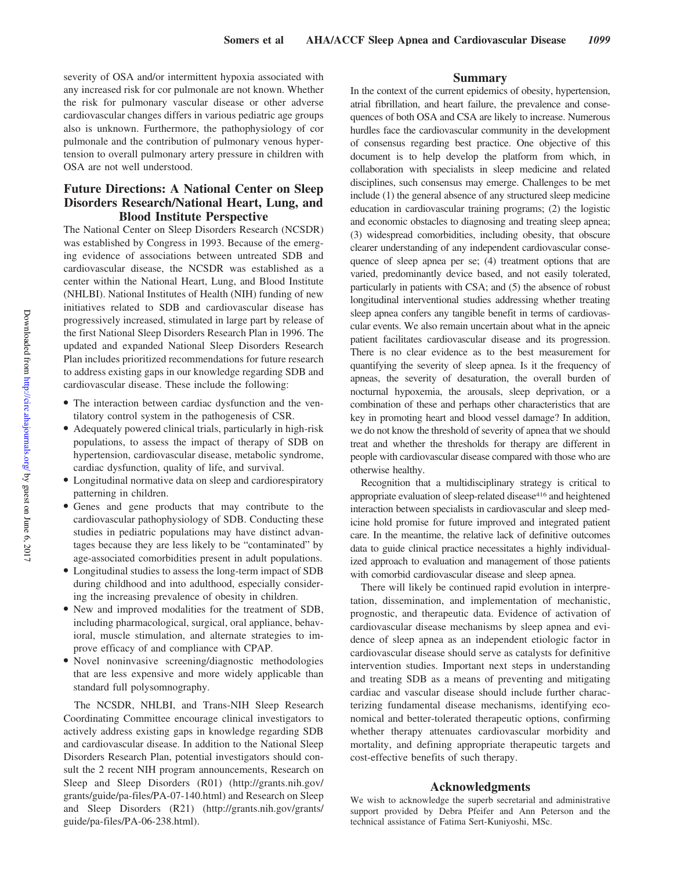severity of OSA and/or intermittent hypoxia associated with any increased risk for cor pulmonale are not known. Whether the risk for pulmonary vascular disease or other adverse cardiovascular changes differs in various pediatric age groups also is unknown. Furthermore, the pathophysiology of cor pulmonale and the contribution of pulmonary venous hypertension to overall pulmonary artery pressure in children with OSA are not well understood.

# **Future Directions: A National Center on Sleep Disorders Research/National Heart, Lung, and Blood Institute Perspective**

The National Center on Sleep Disorders Research (NCSDR) was established by Congress in 1993. Because of the emerging evidence of associations between untreated SDB and cardiovascular disease, the NCSDR was established as a center within the National Heart, Lung, and Blood Institute (NHLBI). National Institutes of Health (NIH) funding of new initiatives related to SDB and cardiovascular disease has progressively increased, stimulated in large part by release of the first National Sleep Disorders Research Plan in 1996. The updated and expanded National Sleep Disorders Research Plan includes prioritized recommendations for future research to address existing gaps in our knowledge regarding SDB and cardiovascular disease. These include the following:

- The interaction between cardiac dysfunction and the ventilatory control system in the pathogenesis of CSR.
- Adequately powered clinical trials, particularly in high-risk populations, to assess the impact of therapy of SDB on hypertension, cardiovascular disease, metabolic syndrome, cardiac dysfunction, quality of life, and survival.
- Longitudinal normative data on sleep and cardiorespiratory patterning in children.
- Genes and gene products that may contribute to the cardiovascular pathophysiology of SDB. Conducting these studies in pediatric populations may have distinct advantages because they are less likely to be "contaminated" by age-associated comorbidities present in adult populations.
- Longitudinal studies to assess the long-term impact of SDB during childhood and into adulthood, especially considering the increasing prevalence of obesity in children.
- New and improved modalities for the treatment of SDB, including pharmacological, surgical, oral appliance, behavioral, muscle stimulation, and alternate strategies to improve efficacy of and compliance with CPAP.
- Novel noninvasive screening/diagnostic methodologies that are less expensive and more widely applicable than standard full polysomnography.

The NCSDR, NHLBI, and Trans-NIH Sleep Research Coordinating Committee encourage clinical investigators to actively address existing gaps in knowledge regarding SDB and cardiovascular disease. In addition to the National Sleep Disorders Research Plan, potential investigators should consult the 2 recent NIH program announcements, Research on Sleep and Sleep Disorders (R01) (http://grants.nih.gov/ grants/guide/pa-files/PA-07-140.html) and Research on Sleep and Sleep Disorders (R21) (http://grants.nih.gov/grants/ guide/pa-files/PA-06-238.html).

## **Summary**

In the context of the current epidemics of obesity, hypertension, atrial fibrillation, and heart failure, the prevalence and consequences of both OSA and CSA are likely to increase. Numerous hurdles face the cardiovascular community in the development of consensus regarding best practice. One objective of this document is to help develop the platform from which, in collaboration with specialists in sleep medicine and related disciplines, such consensus may emerge. Challenges to be met include (1) the general absence of any structured sleep medicine education in cardiovascular training programs; (2) the logistic and economic obstacles to diagnosing and treating sleep apnea; (3) widespread comorbidities, including obesity, that obscure clearer understanding of any independent cardiovascular consequence of sleep apnea per se; (4) treatment options that are varied, predominantly device based, and not easily tolerated, particularly in patients with CSA; and (5) the absence of robust longitudinal interventional studies addressing whether treating sleep apnea confers any tangible benefit in terms of cardiovascular events. We also remain uncertain about what in the apneic patient facilitates cardiovascular disease and its progression. There is no clear evidence as to the best measurement for quantifying the severity of sleep apnea. Is it the frequency of apneas, the severity of desaturation, the overall burden of nocturnal hypoxemia, the arousals, sleep deprivation, or a combination of these and perhaps other characteristics that are key in promoting heart and blood vessel damage? In addition, we do not know the threshold of severity of apnea that we should treat and whether the thresholds for therapy are different in people with cardiovascular disease compared with those who are otherwise healthy.

Recognition that a multidisciplinary strategy is critical to appropriate evaluation of sleep-related disease<sup>416</sup> and heightened interaction between specialists in cardiovascular and sleep medicine hold promise for future improved and integrated patient care. In the meantime, the relative lack of definitive outcomes data to guide clinical practice necessitates a highly individualized approach to evaluation and management of those patients with comorbid cardiovascular disease and sleep apnea.

There will likely be continued rapid evolution in interpretation, dissemination, and implementation of mechanistic, prognostic, and therapeutic data. Evidence of activation of cardiovascular disease mechanisms by sleep apnea and evidence of sleep apnea as an independent etiologic factor in cardiovascular disease should serve as catalysts for definitive intervention studies. Important next steps in understanding and treating SDB as a means of preventing and mitigating cardiac and vascular disease should include further characterizing fundamental disease mechanisms, identifying economical and better-tolerated therapeutic options, confirming whether therapy attenuates cardiovascular morbidity and mortality, and defining appropriate therapeutic targets and cost-effective benefits of such therapy.

## **Acknowledgments**

We wish to acknowledge the superb secretarial and administrative support provided by Debra Pfeifer and Ann Peterson and the technical assistance of Fatima Sert-Kuniyoshi, MSc.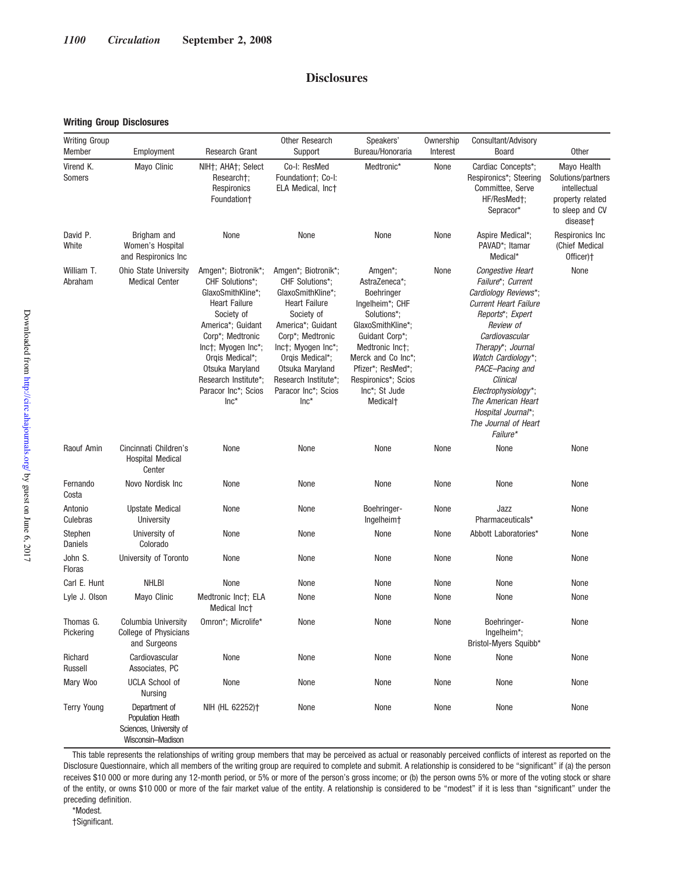# **Disclosures**

## **Writing Group Disclosures**

| <b>Writing Group</b><br>Member | Employment                                                                               | Research Grant                                                                                                                                                                                                                                                   | Other Research<br>Support                                                                                                                                                                                                                                       | Speakers'<br>Bureau/Honoraria                                                                                                                                                                                                                              | Ownership<br>Interest | Consultant/Advisory<br><b>Board</b>                                                                                                                                                                                                                                                                                                            | <b>Other</b>                                                                                         |
|--------------------------------|------------------------------------------------------------------------------------------|------------------------------------------------------------------------------------------------------------------------------------------------------------------------------------------------------------------------------------------------------------------|-----------------------------------------------------------------------------------------------------------------------------------------------------------------------------------------------------------------------------------------------------------------|------------------------------------------------------------------------------------------------------------------------------------------------------------------------------------------------------------------------------------------------------------|-----------------------|------------------------------------------------------------------------------------------------------------------------------------------------------------------------------------------------------------------------------------------------------------------------------------------------------------------------------------------------|------------------------------------------------------------------------------------------------------|
| Virend K.<br>Somers            | Mayo Clinic                                                                              | NIH <sub>T</sub> ; AHA <sub>T</sub> ; Select<br>Research†;<br>Respironics<br>Foundation+                                                                                                                                                                         | Co-I: ResMed<br>Foundation†; Co-I:<br>ELA Medical, Inct                                                                                                                                                                                                         | Medtronic*                                                                                                                                                                                                                                                 | None                  | Cardiac Concepts*;<br>Respironics*; Steering<br>Committee, Serve<br>HF/ResMedt:<br>Sepracor*                                                                                                                                                                                                                                                   | Mayo Health<br>Solutions/partners<br>intellectual<br>property related<br>to sleep and CV<br>disease† |
| David P.<br>White              | Brigham and<br>Women's Hospital<br>and Respironics Inc                                   | None                                                                                                                                                                                                                                                             | None                                                                                                                                                                                                                                                            | None                                                                                                                                                                                                                                                       | None                  | Aspire Medical*;<br>PAVAD*; Itamar<br>Medical*                                                                                                                                                                                                                                                                                                 | Respironics Inc<br>(Chief Medical<br>Officer) <sup>+</sup>                                           |
| William T.<br>Abraham          | Ohio State University<br><b>Medical Center</b>                                           | Amgen*; Biotronik*;<br>CHF Solutions*:<br>GlaxoSmithKline*:<br><b>Heart Failure</b><br>Society of<br>America*; Guidant<br>Corp*; Medtronic<br>Inct: Myogen Inc*:<br>Orgis Medical*;<br>Otsuka Maryland<br>Research Institute*:<br>Paracor Inc*; Scios<br>$Inc^*$ | Amgen*; Biotronik*;<br>CHF Solutions*;<br>GlaxoSmithKline*;<br><b>Heart Failure</b><br>Society of<br>America*; Guidant<br>Corp*; Medtronic<br>Inct: Myogen Inc*:<br>Orgis Medical*;<br>Otsuka Maryland<br>Research Institute*;<br>Paracor Inc*; Scios<br>$Inc*$ | Amgen <sup>*</sup> ;<br>AstraZeneca*;<br>Boehringer<br>Ingelheim*; CHF<br>Solutions*;<br>GlaxoSmithKline*;<br>Guidant Corp*;<br>Medtronic Inct;<br>Merck and Co Inc*;<br>Pfizer*; ResMed*;<br>Respironics*; Scios<br>Inc*; St Jude<br>Medical <sup>+</sup> | None                  | Congestive Heart<br>Failure*; Current<br>Cardiology Reviews*;<br><b>Current Heart Failure</b><br>Reports*; Expert<br>Review of<br>Cardiovascular<br>Therapy <sup>*</sup> ; Journal<br>Watch Cardiology*;<br>PACE-Pacing and<br>Clinical<br>Electrophysiology*;<br>The American Heart<br>Hospital Journal*;<br>The Journal of Heart<br>Failure* | None                                                                                                 |
| Raouf Amin                     | Cincinnati Children's<br><b>Hospital Medical</b><br>Center                               | None                                                                                                                                                                                                                                                             | None                                                                                                                                                                                                                                                            | None                                                                                                                                                                                                                                                       | None                  | None                                                                                                                                                                                                                                                                                                                                           | None                                                                                                 |
| Fernando<br>Costa              | Novo Nordisk Inc                                                                         | None                                                                                                                                                                                                                                                             | None                                                                                                                                                                                                                                                            | None                                                                                                                                                                                                                                                       | None                  | None                                                                                                                                                                                                                                                                                                                                           | None                                                                                                 |
| Antonio<br>Culebras            | <b>Upstate Medical</b><br>University                                                     | None                                                                                                                                                                                                                                                             | None                                                                                                                                                                                                                                                            | Boehringer-<br>Ingelheim <sup>+</sup>                                                                                                                                                                                                                      | None                  | Jazz<br>Pharmaceuticals*                                                                                                                                                                                                                                                                                                                       | None                                                                                                 |
| Stephen<br>Daniels             | University of<br>Colorado                                                                | None                                                                                                                                                                                                                                                             | None                                                                                                                                                                                                                                                            | None                                                                                                                                                                                                                                                       | None                  | Abbott Laboratories*                                                                                                                                                                                                                                                                                                                           | None                                                                                                 |
| John S.<br><b>Floras</b>       | University of Toronto                                                                    | None                                                                                                                                                                                                                                                             | None                                                                                                                                                                                                                                                            | None                                                                                                                                                                                                                                                       | None                  | None                                                                                                                                                                                                                                                                                                                                           | None                                                                                                 |
| Carl E. Hunt                   | <b>NHLBI</b>                                                                             | None                                                                                                                                                                                                                                                             | None                                                                                                                                                                                                                                                            | None                                                                                                                                                                                                                                                       | None                  | None                                                                                                                                                                                                                                                                                                                                           | None                                                                                                 |
| Lyle J. Olson                  | Mayo Clinic                                                                              | Medtronic Inct; ELA<br>Medical Inct                                                                                                                                                                                                                              | None                                                                                                                                                                                                                                                            | None                                                                                                                                                                                                                                                       | None                  | None                                                                                                                                                                                                                                                                                                                                           | None                                                                                                 |
| Thomas G.<br>Pickering         | Columbia University<br>College of Physicians<br>and Surgeons                             | Omron*; Microlife*                                                                                                                                                                                                                                               | None                                                                                                                                                                                                                                                            | None                                                                                                                                                                                                                                                       | None                  | Boehringer-<br>Ingelheim*;<br>Bristol-Myers Squibb*                                                                                                                                                                                                                                                                                            | None                                                                                                 |
| Richard<br>Russell             | Cardiovascular<br>Associates, PC                                                         | None                                                                                                                                                                                                                                                             | None                                                                                                                                                                                                                                                            | None                                                                                                                                                                                                                                                       | None                  | None                                                                                                                                                                                                                                                                                                                                           | None                                                                                                 |
| Mary Woo                       | <b>UCLA School of</b><br>Nursing                                                         | None                                                                                                                                                                                                                                                             | None                                                                                                                                                                                                                                                            | None                                                                                                                                                                                                                                                       | None                  | None                                                                                                                                                                                                                                                                                                                                           | None                                                                                                 |
| <b>Terry Young</b>             | Department of<br><b>Population Heath</b><br>Sciences, University of<br>Wisconsin-Madison | NIH (HL 62252) <sup>+</sup>                                                                                                                                                                                                                                      | None                                                                                                                                                                                                                                                            | None                                                                                                                                                                                                                                                       | None                  | None                                                                                                                                                                                                                                                                                                                                           | None                                                                                                 |

This table represents the relationships of writing group members that may be perceived as actual or reasonably perceived conflicts of interest as reported on the Disclosure Questionnaire, which all members of the writing group are required to complete and submit. A relationship is considered to be "significant" if (a) the person receives \$10 000 or more during any 12-month period, or 5% or more of the person's gross income; or (b) the person owns 5% or more of the voting stock or share of the entity, or owns \$10 000 or more of the fair market value of the entity. A relationship is considered to be "modest" if it is less than "significant" under the preceding definition.

\*Modest.

†Significant.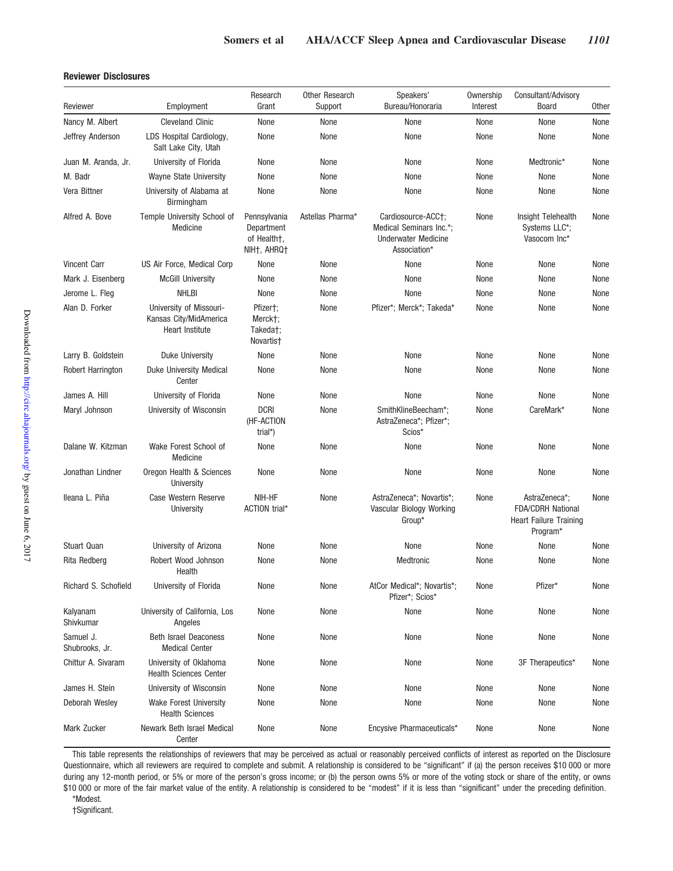## **Reviewer Disclosures**

| Reviewer                    | Employment                                                           | Research<br>Grant                                        | Other Research<br>Support | Speakers'<br>Bureau/Honoraria                                                               | Ownership<br>Interest                                       | Consultant/Advisory<br><b>Board</b>                                                            | <b>Other</b> |
|-----------------------------|----------------------------------------------------------------------|----------------------------------------------------------|---------------------------|---------------------------------------------------------------------------------------------|-------------------------------------------------------------|------------------------------------------------------------------------------------------------|--------------|
| Nancy M. Albert             | <b>Cleveland Clinic</b>                                              | None                                                     | None                      | None                                                                                        | None                                                        | None                                                                                           | None         |
| Jeffrey Anderson            | LDS Hospital Cardiology,<br>Salt Lake City, Utah                     | None                                                     | None                      | None                                                                                        | None                                                        | None                                                                                           | None         |
| Juan M. Aranda, Jr.         | University of Florida                                                | None                                                     | None                      | None                                                                                        | None                                                        | Medtronic*                                                                                     | None         |
| M. Badr                     | Wayne State University                                               | None                                                     | None                      | None                                                                                        | None                                                        | None                                                                                           | None         |
| Vera Bittner                | University of Alabama at<br>Birmingham                               | None                                                     | None                      | None                                                                                        | None                                                        | None                                                                                           | None         |
| Alfred A. Bove              | Temple University School of<br>Medicine                              | Pennsylvania<br>Department<br>of Health+.<br>NIHT, AHRQT | Astellas Pharma*          | Cardiosource-ACC+;<br>Medical Seminars Inc.*:<br><b>Underwater Medicine</b><br>Association* | Insight Telehealth<br>None<br>Systems LLC*;<br>Vasocom Inc* |                                                                                                | None         |
| <b>Vincent Carr</b>         | US Air Force, Medical Corp                                           | None                                                     | None                      | None                                                                                        | None                                                        | None                                                                                           | None         |
| Mark J. Eisenberg           | <b>McGill University</b>                                             | None                                                     | None                      | None                                                                                        | None                                                        | None                                                                                           |              |
| Jerome L. Fleg              | <b>NHLBI</b>                                                         | None                                                     | None                      | None                                                                                        | None                                                        | None                                                                                           | None         |
| Alan D. Forker              | University of Missouri-<br>Kansas City/MidAmerica<br>Heart Institute | Pfizer†;<br>Merckt:<br>Takeda†;<br>Novartis <sup>+</sup> | None                      | Pfizer*; Merck*; Takeda*                                                                    | None                                                        | None                                                                                           | None         |
| Larry B. Goldstein          | <b>Duke University</b>                                               | None                                                     | None                      | None                                                                                        | None                                                        | None                                                                                           | None         |
| Robert Harrington           | <b>Duke University Medical</b><br>Center                             | None                                                     | None                      | None                                                                                        | None                                                        | None                                                                                           | None         |
| James A. Hill               | University of Florida                                                | None                                                     | None                      | None                                                                                        | None                                                        | None                                                                                           | None         |
| Maryl Johnson               | University of Wisconsin                                              | <b>DCRI</b><br>(HF-ACTION<br>trial*)                     | None                      | SmithKlineBeecham*;<br>AstraZeneca*; Pfizer*;<br>Scios*                                     | CareMark*<br>None                                           |                                                                                                | None         |
| Dalane W. Kitzman           | Wake Forest School of<br>Medicine                                    | None                                                     | None                      | None                                                                                        | None                                                        | None                                                                                           | None         |
| Jonathan Lindner            | Oregon Health & Sciences<br>University                               | None                                                     | None                      | None                                                                                        | None                                                        | None                                                                                           | None         |
| Ileana L. Piña              | Case Western Reserve<br>University                                   | NIH-HF<br>ACTION trial*                                  | None                      | AstraZeneca*; Novartis*;<br>Vascular Biology Working<br>Group*                              | None                                                        | AstraZeneca*;<br>None<br><b>FDA/CDRH National</b><br><b>Heart Failure Training</b><br>Program* |              |
| <b>Stuart Quan</b>          | University of Arizona                                                | None                                                     | None                      | None                                                                                        | None                                                        | None                                                                                           | None         |
| Rita Redberg                | Robert Wood Johnson<br>Health                                        | None                                                     | None                      | Medtronic                                                                                   | None                                                        | None                                                                                           | None         |
| Richard S. Schofield        | University of Florida                                                | None                                                     | None                      | AtCor Medical*; Novartis*;<br>Pfizer*; Scios*                                               | None                                                        | Pfizer*                                                                                        | None         |
| Kalyanam<br>Shivkumar       | University of California, Los<br>Angeles                             | None                                                     | None                      | None                                                                                        | None                                                        | None                                                                                           | None         |
| Samuel J.<br>Shubrooks, Jr. | <b>Beth Israel Deaconess</b><br><b>Medical Center</b>                | None                                                     | None                      | None                                                                                        | None                                                        | None                                                                                           | None         |
| Chittur A. Sivaram          | University of Oklahoma<br><b>Health Sciences Center</b>              | None                                                     | None                      | None                                                                                        | None                                                        | 3F Therapeutics*                                                                               | None         |
| James H. Stein              | University of Wisconsin                                              | None                                                     | None                      | None                                                                                        | None                                                        | None                                                                                           | None         |
| Deborah Wesley              | Wake Forest University<br><b>Health Sciences</b>                     | None                                                     | None                      | None                                                                                        | None                                                        | None                                                                                           | None         |
| Mark Zucker                 | Newark Beth Israel Medical<br>Center                                 | None                                                     | None                      | Encysive Pharmaceuticals*                                                                   | None                                                        | None                                                                                           | None         |

This table represents the relationships of reviewers that may be perceived as actual or reasonably perceived conflicts of interest as reported on the Disclosure Questionnaire, which all reviewers are required to complete and submit. A relationship is considered to be "significant" if (a) the person receives \$10 000 or more during any 12-month period, or 5% or more of the person's gross income; or (b) the person owns 5% or more of the voting stock or share of the entity, or owns \$10 000 or more of the fair market value of the entity. A relationship is considered to be "modest" if it is less than "significant" under the preceding definition.

\*Modest.

†Significant.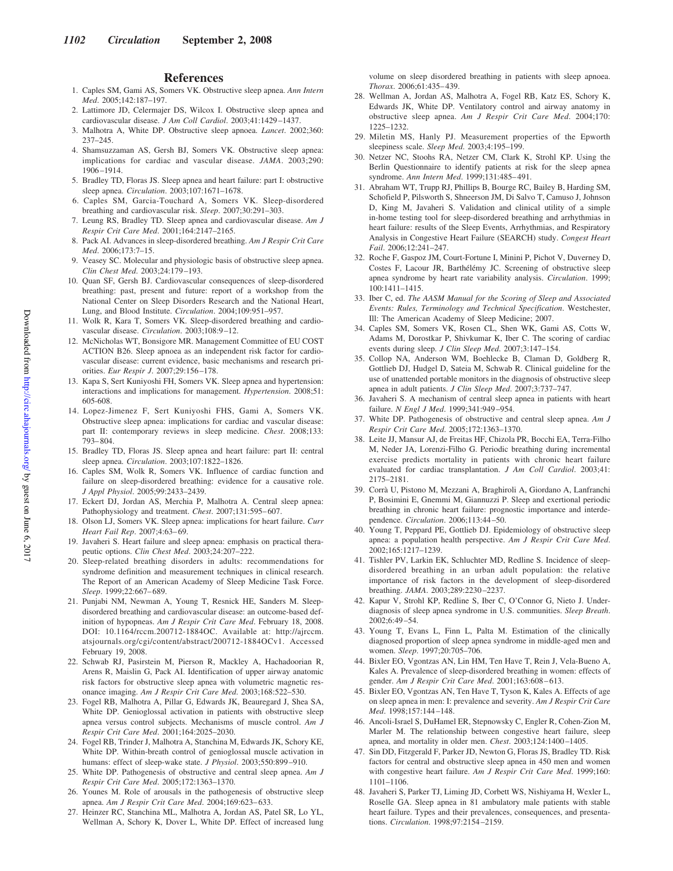#### **References**

- 1. Caples SM, Gami AS, Somers VK. Obstructive sleep apnea. *Ann Intern Med*. 2005;142:187–197.
- 2. Lattimore JD, Celermajer DS, Wilcox I. Obstructive sleep apnea and cardiovascular disease. *J Am Coll Cardiol*. 2003;41:1429 –1437.
- 3. Malhotra A, White DP. Obstructive sleep apnoea. *Lancet*. 2002;360: 237–245.
- 4. Shamsuzzaman AS, Gersh BJ, Somers VK. Obstructive sleep apnea: implications for cardiac and vascular disease. *JAMA*. 2003;290: 1906 –1914.
- 5. Bradley TD, Floras JS. Sleep apnea and heart failure: part I: obstructive sleep apnea. *Circulation*. 2003;107:1671–1678.
- 6. Caples SM, Garcia-Touchard A, Somers VK. Sleep-disordered breathing and cardiovascular risk. *Sleep*. 2007;30:291–303.
- 7. Leung RS, Bradley TD. Sleep apnea and cardiovascular disease. *Am J Respir Crit Care Med*. 2001;164:2147–2165.
- 8. Pack AI. Advances in sleep-disordered breathing. *Am J Respir Crit Care Med*. 2006;173:7–15.
- 9. Veasey SC. Molecular and physiologic basis of obstructive sleep apnea. *Clin Chest Med*. 2003;24:179 –193.
- 10. Quan SF, Gersh BJ. Cardiovascular consequences of sleep-disordered breathing: past, present and future: report of a workshop from the National Center on Sleep Disorders Research and the National Heart, Lung, and Blood Institute. *Circulation*. 2004;109:951–957.
- 11. Wolk R, Kara T, Somers VK. Sleep-disordered breathing and cardiovascular disease. *Circulation*. 2003;108:9 –12.
- 12. McNicholas WT, Bonsigore MR. Management Committee of EU COST ACTION B26. Sleep apnoea as an independent risk factor for cardiovascular disease: current evidence, basic mechanisms and research priorities. *Eur Respir J*. 2007;29:156 –178.
- 13. Kapa S, Sert Kuniyoshi FH, Somers VK. Sleep apnea and hypertension: interactions and implications for management. *Hypertension*. 2008;51: 605-608.
- 14. Lopez-Jimenez F, Sert Kuniyoshi FHS, Gami A, Somers VK. Obstructive sleep apnea: implications for cardiac and vascular disease: part II: contemporary reviews in sleep medicine. *Chest*. 2008;133: 793– 804.
- 15. Bradley TD, Floras JS. Sleep apnea and heart failure: part II: central sleep apnea. *Circulation*. 2003;107:1822–1826.
- 16. Caples SM, Wolk R, Somers VK. Influence of cardiac function and failure on sleep-disordered breathing: evidence for a causative role. *J Appl Physiol*. 2005;99:2433–2439.
- 17. Eckert DJ, Jordan AS, Merchia P, Malhotra A. Central sleep apnea: Pathophysiology and treatment. *Chest*. 2007;131:595– 607.
- 18. Olson LJ, Somers VK. Sleep apnea: implications for heart failure. *Curr Heart Fail Rep*. 2007;4:63– 69.
- 19. Javaheri S. Heart failure and sleep apnea: emphasis on practical therapeutic options. *Clin Chest Med*. 2003;24:207–222.
- 20. Sleep-related breathing disorders in adults: recommendations for syndrome definition and measurement techniques in clinical research. The Report of an American Academy of Sleep Medicine Task Force. *Sleep*. 1999;22:667– 689.
- 21. Punjabi NM, Newman A, Young T, Resnick HE, Sanders M. Sleepdisordered breathing and cardiovascular disease: an outcome-based definition of hypopneas. *Am J Respir Crit Care Med*. February 18, 2008. DOI: 10.1164/rccm.200712-1884OC. Available at: http://ajrccm. atsjournals.org/cgi/content/abstract/200712-1884OCv1. Accessed February 19, 2008.
- 22. Schwab RJ, Pasirstein M, Pierson R, Mackley A, Hachadoorian R, Arens R, Maislin G, Pack AI. Identification of upper airway anatomic risk factors for obstructive sleep apnea with volumetric magnetic resonance imaging. *Am J Respir Crit Care Med*. 2003;168:522–530.
- 23. Fogel RB, Malhotra A, Pillar G, Edwards JK, Beauregard J, Shea SA, White DP. Genioglossal activation in patients with obstructive sleep apnea versus control subjects. Mechanisms of muscle control. *Am J Respir Crit Care Med*. 2001;164:2025–2030.
- 24. Fogel RB, Trinder J, Malhotra A, Stanchina M, Edwards JK, Schory KE, White DP. Within-breath control of genioglossal muscle activation in humans: effect of sleep-wake state. *J Physiol*. 2003;550:899 –910.
- 25. White DP. Pathogenesis of obstructive and central sleep apnea. *Am J Respir Crit Care Med*. 2005;172:1363–1370.
- 26. Younes M. Role of arousals in the pathogenesis of obstructive sleep apnea. *Am J Respir Crit Care Med*. 2004;169:623– 633.
- 27. Heinzer RC, Stanchina ML, Malhotra A, Jordan AS, Patel SR, Lo YL, Wellman A, Schory K, Dover L, White DP. Effect of increased lung

volume on sleep disordered breathing in patients with sleep apnoea. *Thorax*. 2006;61:435– 439.

- 28. Wellman A, Jordan AS, Malhotra A, Fogel RB, Katz ES, Schory K, Edwards JK, White DP. Ventilatory control and airway anatomy in obstructive sleep apnea. *Am J Respir Crit Care Med*. 2004;170: 1225–1232.
- 29. Miletin MS, Hanly PJ. Measurement properties of the Epworth sleepiness scale. *Sleep Med*. 2003;4:195–199.
- 30. Netzer NC, Stoohs RA, Netzer CM, Clark K, Strohl KP. Using the Berlin Questionnaire to identify patients at risk for the sleep apnea syndrome. *Ann Intern Med*. 1999;131:485– 491.
- 31. Abraham WT, Trupp RJ, Phillips B, Bourge RC, Bailey B, Harding SM, Schofield P, Pilsworth S, Shneerson JM, Di Salvo T, Camuso J, Johnson D, King M, Javaheri S. Validation and clinical utility of a simple in-home testing tool for sleep-disordered breathing and arrhythmias in heart failure: results of the Sleep Events, Arrhythmias, and Respiratory Analysis in Congestive Heart Failure (SEARCH) study. *Congest Heart Fail*. 2006;12:241–247.
- 32. Roche F, Gaspoz JM, Court-Fortune I, Minini P, Pichot V, Duverney D, Costes F, Lacour JR, Barthélémy JC. Screening of obstructive sleep apnea syndrome by heart rate variability analysis. *Circulation*. 1999; 100:1411–1415.
- 33. Iber C, ed. *The AASM Manual for the Scoring of Sleep and Associated Events: Rules, Terminology and Technical Specification*. Westchester, Ill: The American Academy of Sleep Medicine; 2007.
- 34. Caples SM, Somers VK, Rosen CL, Shen WK, Gami AS, Cotts W, Adams M, Dorostkar P, Shivkumar K, Iber C. The scoring of cardiac events during sleep. *J Clin Sleep Med*. 2007;3:147–154.
- 35. Collop NA, Anderson WM, Boehlecke B, Claman D, Goldberg R, Gottlieb DJ, Hudgel D, Sateia M, Schwab R. Clinical guideline for the use of unattended portable monitors in the diagnosis of obstructive sleep apnea in adult patients. *J Clin Sleep Med*. 2007;3:737–747.
- 36. Javaheri S. A mechanism of central sleep apnea in patients with heart failure. *N Engl J Med*. 1999;341:949 –954.
- 37. White DP. Pathogenesis of obstructive and central sleep apnea. *Am J Respir Crit Care Med*. 2005;172:1363–1370.
- 38. Leite JJ, Mansur AJ, de Freitas HF, Chizola PR, Bocchi EA, Terra-Filho M, Neder JA, Lorenzi-Filho G. Periodic breathing during incremental exercise predicts mortality in patients with chronic heart failure evaluated for cardiac transplantation. *J Am Coll Cardiol*. 2003;41: 2175–2181.
- 39. Corrà U, Pistono M, Mezzani A, Braghiroli A, Giordano A, Lanfranchi P, Bosimini E, Gnemmi M, Giannuzzi P. Sleep and exertional periodic breathing in chronic heart failure: prognostic importance and interdependence. *Circulation*. 2006;113:44 –50.
- 40. Young T, Peppard PE, Gottlieb DJ. Epidemiology of obstructive sleep apnea: a population health perspective. *Am J Respir Crit Care Med*. 2002;165:1217–1239.
- 41. Tishler PV, Larkin EK, Schluchter MD, Redline S. Incidence of sleepdisordered breathing in an urban adult population: the relative importance of risk factors in the development of sleep-disordered breathing. *JAMA*. 2003;289:2230 –2237.
- 42. Kapur V, Strohl KP, Redline S, Iber C, O'Connor G, Nieto J. Underdiagnosis of sleep apnea syndrome in U.S. communities. *Sleep Breath*. 2002;6:49 –54.
- 43. Young T, Evans L, Finn L, Palta M. Estimation of the clinically diagnosed proportion of sleep apnea syndrome in middle-aged men and women. *Sleep*. 1997;20:705–706.
- 44. Bixler EO, Vgontzas AN, Lin HM, Ten Have T, Rein J, Vela-Bueno A, Kales A. Prevalence of sleep-disordered breathing in women: effects of gender. Am J Respir Crit Care Med. 2001;163:608-613.
- 45. Bixler EO, Vgontzas AN, Ten Have T, Tyson K, Kales A. Effects of age on sleep apnea in men: I: prevalence and severity. *Am J Respir Crit Care Med*. 1998;157:144 –148.
- 46. Ancoli-Israel S, DuHamel ER, Stepnowsky C, Engler R, Cohen-Zion M, Marler M. The relationship between congestive heart failure, sleep apnea, and mortality in older men. *Chest*. 2003;124:1400 –1405.
- 47. Sin DD, Fitzgerald F, Parker JD, Newton G, Floras JS, Bradley TD. Risk factors for central and obstructive sleep apnea in 450 men and women with congestive heart failure. *Am J Respir Crit Care Med*. 1999;160: 1101–1106.
- 48. Javaheri S, Parker TJ, Liming JD, Corbett WS, Nishiyama H, Wexler L, Roselle GA. Sleep apnea in 81 ambulatory male patients with stable heart failure. Types and their prevalences, consequences, and presentations. *Circulation*. 1998;97:2154 –2159.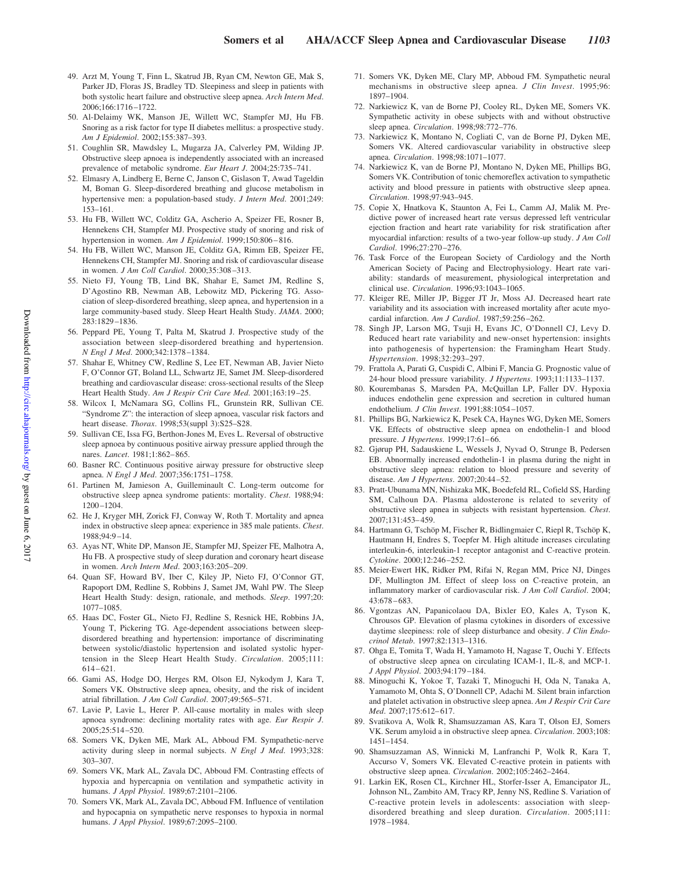- 49. Arzt M, Young T, Finn L, Skatrud JB, Ryan CM, Newton GE, Mak S, Parker JD, Floras JS, Bradley TD. Sleepiness and sleep in patients with both systolic heart failure and obstructive sleep apnea. *Arch Intern Med*. 2006;166:1716 –1722.
- 50. Al-Delaimy WK, Manson JE, Willett WC, Stampfer MJ, Hu FB. Snoring as a risk factor for type II diabetes mellitus: a prospective study. *Am J Epidemiol*. 2002;155:387–393.
- 51. Coughlin SR, Mawdsley L, Mugarza JA, Calverley PM, Wilding JP. Obstructive sleep apnoea is independently associated with an increased prevalence of metabolic syndrome. *Eur Heart J*. 2004;25:735–741.
- 52. Elmasry A, Lindberg E, Berne C, Janson C, Gislason T, Awad Tageldin M, Boman G. Sleep-disordered breathing and glucose metabolism in hypertensive men: a population-based study. *J Intern Med*. 2001;249: 153–161.
- 53. Hu FB, Willett WC, Colditz GA, Ascherio A, Speizer FE, Rosner B, Hennekens CH, Stampfer MJ. Prospective study of snoring and risk of hypertension in women. *Am J Epidemiol*. 1999;150:806-816.
- 54. Hu FB, Willett WC, Manson JE, Colditz GA, Rimm EB, Speizer FE, Hennekens CH, Stampfer MJ. Snoring and risk of cardiovascular disease in women. *J Am Coll Cardiol*. 2000;35:308 –313.
- 55. Nieto FJ, Young TB, Lind BK, Shahar E, Samet JM, Redline S, D'Agostino RB, Newman AB, Lebowitz MD, Pickering TG. Association of sleep-disordered breathing, sleep apnea, and hypertension in a large community-based study. Sleep Heart Health Study. *JAMA*. 2000; 283:1829 –1836.
- 56. Peppard PE, Young T, Palta M, Skatrud J. Prospective study of the association between sleep-disordered breathing and hypertension. *N Engl J Med*. 2000;342:1378 –1384.
- 57. Shahar E, Whitney CW, Redline S, Lee ET, Newman AB, Javier Nieto F, O'Connor GT, Boland LL, Schwartz JE, Samet JM. Sleep-disordered breathing and cardiovascular disease: cross-sectional results of the Sleep Heart Health Study. *Am J Respir Crit Care Med*. 2001;163:19 –25.
- 58. Wilcox I, McNamara SG, Collins FL, Grunstein RR, Sullivan CE. "Syndrome Z": the interaction of sleep apnoea, vascular risk factors and heart disease. *Thorax*. 1998;53(suppl 3):S25–S28.
- 59. Sullivan CE, Issa FG, Berthon-Jones M, Eves L. Reversal of obstructive sleep apnoea by continuous positive airway pressure applied through the nares. *Lancet*. 1981;1:862– 865.
- 60. Basner RC. Continuous positive airway pressure for obstructive sleep apnea. *N Engl J Med*. 2007;356:1751–1758.
- 61. Partinen M, Jamieson A, Guilleminault C. Long-term outcome for obstructive sleep apnea syndrome patients: mortality. *Chest*. 1988;94: 1200 –1204.
- 62. He J, Kryger MH, Zorick FJ, Conway W, Roth T. Mortality and apnea index in obstructive sleep apnea: experience in 385 male patients. *Chest*. 1988;94:9 –14.
- 63. Ayas NT, White DP, Manson JE, Stampfer MJ, Speizer FE, Malhotra A, Hu FB. A prospective study of sleep duration and coronary heart disease in women. *Arch Intern Med*. 2003;163:205–209.
- 64. Quan SF, Howard BV, Iber C, Kiley JP, Nieto FJ, O'Connor GT, Rapoport DM, Redline S, Robbins J, Samet JM, Wahl PW. The Sleep Heart Health Study: design, rationale, and methods. *Sleep*. 1997;20: 1077–1085.
- 65. Haas DC, Foster GL, Nieto FJ, Redline S, Resnick HE, Robbins JA, Young T, Pickering TG. Age-dependent associations between sleepdisordered breathing and hypertension: importance of discriminating between systolic/diastolic hypertension and isolated systolic hypertension in the Sleep Heart Health Study. *Circulation*. 2005;111:  $614 - 621$ .
- 66. Gami AS, Hodge DO, Herges RM, Olson EJ, Nykodym J, Kara T, Somers VK. Obstructive sleep apnea, obesity, and the risk of incident atrial fibrillation. *J Am Coll Cardiol*. 2007;49:565–571.
- 67. Lavie P, Lavie L, Herer P. All-cause mortality in males with sleep apnoea syndrome: declining mortality rates with age. *Eur Respir J*. 2005;25:514 –520.
- 68. Somers VK, Dyken ME, Mark AL, Abboud FM. Sympathetic-nerve activity during sleep in normal subjects. *N Engl J Med*. 1993;328: 303–307.
- 69. Somers VK, Mark AL, Zavala DC, Abboud FM. Contrasting effects of hypoxia and hypercapnia on ventilation and sympathetic activity in humans. *J Appl Physiol*. 1989;67:2101–2106.
- 70. Somers VK, Mark AL, Zavala DC, Abboud FM. Influence of ventilation and hypocapnia on sympathetic nerve responses to hypoxia in normal humans. *J Appl Physiol*. 1989;67:2095–2100.
- 71. Somers VK, Dyken ME, Clary MP, Abboud FM. Sympathetic neural mechanisms in obstructive sleep apnea. *J Clin Invest*. 1995;96: 1897–1904.
- 72. Narkiewicz K, van de Borne PJ, Cooley RL, Dyken ME, Somers VK. Sympathetic activity in obese subjects with and without obstructive sleep apnea. *Circulation*. 1998;98:772–776.
- 73. Narkiewicz K, Montano N, Cogliati C, van de Borne PJ, Dyken ME, Somers VK. Altered cardiovascular variability in obstructive sleep apnea. *Circulation*. 1998;98:1071–1077.
- 74. Narkiewicz K, van de Borne PJ, Montano N, Dyken ME, Phillips BG, Somers VK. Contribution of tonic chemoreflex activation to sympathetic activity and blood pressure in patients with obstructive sleep apnea. *Circulation*. 1998;97:943–945.
- 75. Copie X, Hnatkova K, Staunton A, Fei L, Camm AJ, Malik M. Predictive power of increased heart rate versus depressed left ventricular ejection fraction and heart rate variability for risk stratification after myocardial infarction: results of a two-year follow-up study. *J Am Coll Cardiol*. 1996;27:270 –276.
- 76. Task Force of the European Society of Cardiology and the North American Society of Pacing and Electrophysiology. Heart rate variability: standards of measurement, physiological interpretation and clinical use. *Circulation*. 1996;93:1043–1065.
- 77. Kleiger RE, Miller JP, Bigger JT Jr, Moss AJ. Decreased heart rate variability and its association with increased mortality after acute myocardial infarction. *Am J Cardiol*. 1987;59:256 –262.
- 78. Singh JP, Larson MG, Tsuji H, Evans JC, O'Donnell CJ, Levy D. Reduced heart rate variability and new-onset hypertension: insights into pathogenesis of hypertension: the Framingham Heart Study. *Hypertension*. 1998;32:293–297.
- 79. Frattola A, Parati G, Cuspidi C, Albini F, Mancia G. Prognostic value of 24-hour blood pressure variability. *J Hypertens*. 1993;11:1133–1137.
- 80. Kourembanas S, Marsden PA, McQuillan LP, Faller DV. Hypoxia induces endothelin gene expression and secretion in cultured human endothelium. *J Clin Invest*. 1991;88:1054 –1057.
- 81. Phillips BG, Narkiewicz K, Pesek CA, Haynes WG, Dyken ME, Somers VK. Effects of obstructive sleep apnea on endothelin-1 and blood pressure. *J Hypertens*. 1999;17:61-66.
- 82. Gjørup PH, Sadauskiene L, Wessels J, Nyvad O, Strunge B, Pedersen EB. Abnormally increased endothelin-1 in plasma during the night in obstructive sleep apnea: relation to blood pressure and severity of disease. *Am J Hypertens*. 2007;20:44 –52.
- 83. Pratt-Ubunama MN, Nishizaka MK, Boedefeld RL, Cofield SS, Harding SM, Calhoun DA. Plasma aldosterone is related to severity of obstructive sleep apnea in subjects with resistant hypertension. *Chest*. 2007;131:453– 459.
- 84. Hartmann G, Tschöp M, Fischer R, Bidlingmaier C, Riepl R, Tschöp K, Hautmann H, Endres S, Toepfer M. High altitude increases circulating interleukin-6, interleukin-1 receptor antagonist and C-reactive protein. *Cytokine*. 2000;12:246 –252.
- 85. Meier-Ewert HK, Ridker PM, Rifai N, Regan MM, Price NJ, Dinges DF, Mullington JM. Effect of sleep loss on C-reactive protein, an inflammatory marker of cardiovascular risk. *J Am Coll Cardiol*. 2004; 43:678 – 683.
- 86. Vgontzas AN, Papanicolaou DA, Bixler EO, Kales A, Tyson K, Chrousos GP. Elevation of plasma cytokines in disorders of excessive daytime sleepiness: role of sleep disturbance and obesity. *J Clin Endocrinol Metab*. 1997;82:1313–1316.
- 87. Ohga E, Tomita T, Wada H, Yamamoto H, Nagase T, Ouchi Y. Effects of obstructive sleep apnea on circulating ICAM-1, IL-8, and MCP-1. *J Appl Physiol*. 2003;94:179 –184.
- 88. Minoguchi K, Yokoe T, Tazaki T, Minoguchi H, Oda N, Tanaka A, Yamamoto M, Ohta S, O'Donnell CP, Adachi M. Silent brain infarction and platelet activation in obstructive sleep apnea. *Am J Respir Crit Care Med*. 2007;175:612– 617.
- 89. Svatikova A, Wolk R, Shamsuzzaman AS, Kara T, Olson EJ, Somers VK. Serum amyloid a in obstructive sleep apnea. *Circulation*. 2003;108: 1451–1454.
- 90. Shamsuzzaman AS, Winnicki M, Lanfranchi P, Wolk R, Kara T, Accurso V, Somers VK. Elevated C-reactive protein in patients with obstructive sleep apnea. *Circulation*. 2002;105:2462–2464.
- 91. Larkin EK, Rosen CL, Kirchner HL, Storfer-Isser A, Emancipator JL, Johnson NL, Zambito AM, Tracy RP, Jenny NS, Redline S. Variation of C-reactive protein levels in adolescents: association with sleepdisordered breathing and sleep duration. *Circulation*. 2005;111: 1978 –1984.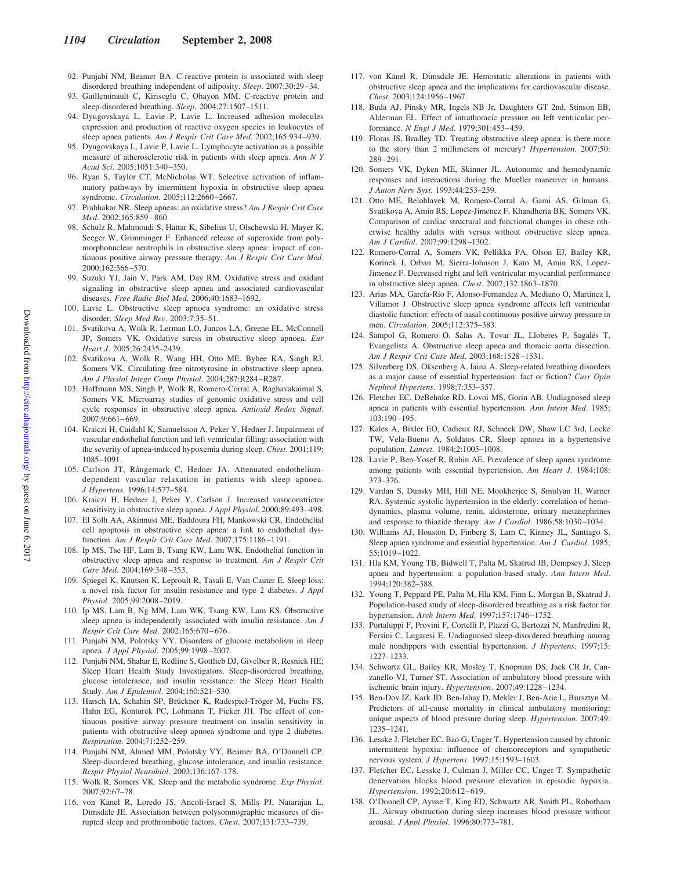- 92. Punjabi NM, Beamer BA. C-reactive protein is associated with sleep disordered breathing independent of adiposity. *Sleep*. 2007;30:29 –34.
- 93. Guilleminault C, Kirisoglu C, Ohayon MM. C-reactive protein and sleep-disordered breathing. *Sleep*. 2004;27:1507–1511.
- 94. Dyugovskaya L, Lavie P, Lavie L. Increased adhesion molecules expression and production of reactive oxygen species in leukocytes of sleep apnea patients. *Am J Respir Crit Care Med*. 2002;165:934 –939.
- 95. Dyugovskaya L, Lavie P, Lavie L. Lymphocyte activation as a possible measure of atherosclerotic risk in patients with sleep apnea. *Ann N Y Acad Sci*. 2005;1051:340 –350.
- 96. Ryan S, Taylor CT, McNicholas WT. Selective activation of inflammatory pathways by intermittent hypoxia in obstructive sleep apnea syndrome. *Circulation*. 2005;112:2660 –2667.
- 97. Prabhakar NR. Sleep apneas: an oxidative stress? *Am J Respir Crit Care Med*. 2002;165:859 – 860.
- 98. Schulz R, Mahmoudi S, Hattar K, Sibelius U, Olschewski H, Mayer K, Seeger W, Grimminger F. Enhanced release of superoxide from polymorphonuclear neutrophils in obstructive sleep apnea: impact of continuous positive airway pressure therapy. *Am J Respir Crit Care Med*. 2000;162:566 –570.
- 99. Suzuki YJ, Jain V, Park AM, Day RM. Oxidative stress and oxidant signaling in obstructive sleep apnea and associated cardiovascular diseases. *Free Radic Biol Med*. 2006;40:1683–1692.
- 100. Lavie L. Obstructive sleep apnoea syndrome: an oxidative stress disorder. *Sleep Med Rev*. 2003;7:35–51.
- 101. Svatikova A, Wolk R, Lerman LO, Juncos LA, Greene EL, McConnell JP, Somers VK. Oxidative stress in obstructive sleep apnoea. *Eur Heart J*. 2005;26:2435–2439.
- 102. Svatikova A, Wolk R, Wang HH, Otto ME, Bybee KA, Singh RJ, Somers VK. Circulating free nitrotyrosine in obstructive sleep apnea. *Am J Physiol Integr Comp Physiol*. 2004;287:R284 –R287.
- 103. Hoffmann MS, Singh P, Wolk R, Romero-Corral A, Raghavakaimal S, Somers VK. Microarray studies of genomic oxidative stress and cell cycle responses in obstructive sleep apnea. *Antioxid Redox Signal*. 2007;9:661– 669.
- 104. Kraiczi H, Caidahl K, Samuelsson A, Peker Y, Hedner J. Impairment of vascular endothelial function and left ventricular filling: association with the severity of apnea-induced hypoxemia during sleep. *Chest*. 2001;119: 1085–1091.
- 105. Carlson JT, Rångemark C, Hedner JA. Attenuated endotheliumdependent vascular relaxation in patients with sleep apnoea. *J Hypertens*. 1996;14:577–584.
- 106. Kraiczi H, Hedner J, Peker Y, Carlson J. Increased vasoconstrictor sensitivity in obstructive sleep apnea. *J Appl Physiol*. 2000;89:493– 498.
- 107. El Solh AA, Akinnusi ME, Baddoura FH, Mankowski CR. Endothelial cell apoptosis in obstructive sleep apnea: a link to endothelial dysfunction. *Am J Respir Crit Care Med*. 2007;175:1186 –1191.
- 108. Ip MS, Tse HF, Lam B, Tsang KW, Lam WK. Endothelial function in obstructive sleep apnea and response to treatment. *Am J Respir Crit Care Med*. 2004;169:348 –353.
- 109. Spiegel K, Knutson K, Leproult R, Tasali E, Van Cauter E. Sleep loss: a novel risk factor for insulin resistance and type 2 diabetes. *J Appl Physiol*. 2005;99:2008 –2019.
- 110. Ip MS, Lam B, Ng MM, Lam WK, Tsang KW, Lam KS. Obstructive sleep apnea is independently associated with insulin resistance. *Am J Respir Crit Care Med*. 2002;165:670 – 676.
- 111. Punjabi NM, Polotsky VY. Disorders of glucose metabolism in sleep apnea. *J Appl Physiol*. 2005;99:1998 –2007.
- 112. Punjabi NM, Shahar E, Redline S, Gottlieb DJ, Givelber R, Resnick HE; Sleep Heart Health Study Investigators. Sleep-disordered breathing, glucose intolerance, and insulin resistance: the Sleep Heart Health Study. *Am J Epidemiol*. 2004;160:521–530.
- 113. Harsch IA, Schahin SP, Brückner K, Radespiel-Tröger M, Fuchs FS, Hahn EG, Konturek PC, Lohmann T, Ficker JH. The effect of continuous positive airway pressure treatment on insulin sensitivity in patients with obstructive sleep apnoea syndrome and type 2 diabetes. *Respiration*. 2004;71:252–259.
- 114. Punjabi NM, Ahmed MM, Polotsky VY, Beamer BA, O'Donnell CP. Sleep-disordered breathing, glucose intolerance, and insulin resistance. *Respir Physiol Neurobiol*. 2003;136:167–178.
- 115. Wolk R, Somers VK. Sleep and the metabolic syndrome. *Exp Physiol*. 2007;92:67–78.
- 116. von Känel R, Loredo JS, Ancoli-Israel S, Mills PJ, Natarajan L, Dimsdale JE. Association between polysomnographic measures of disrupted sleep and prothrombotic factors. *Chest*. 2007;131:733–739.
- 117. von Känel R, Dimsdale JE. Hemostatic alterations in patients with obstructive sleep apnea and the implications for cardiovascular disease. *Chest*. 2003;124:1956 –1967.
- 118. Buda AJ, Pinsky MR, Ingels NB Jr, Daughters GT 2nd, Stinson EB, Alderman EL. Effect of intrathoracic pressure on left ventricular performance. *N Engl J Med*. 1979;301:453– 459.
- 119. Floras JS, Bradley TD. Treating obstructive sleep apnea: is there more to the story than 2 millimeters of mercury? *Hypertension*. 2007;50: 289 –291.
- 120. Somers VK, Dyken ME, Skinner JL. Autonomic and hemodynamic responses and interactions during the Mueller maneuver in humans. *J Auton Nerv Syst*. 1993;44:253–259.
- 121. Otto ME, Belohlavek M, Romero-Corral A, Gami AS, Gilman G, Svatikova A, Amin RS, Lopez-Jimenez F, Khandheria BK, Somers VK. Comparison of cardiac structural and functional changes in obese otherwise healthy adults with versus without obstructive sleep apnea. *Am J Cardiol*. 2007;99:1298 –1302.
- 122. Romero-Corral A, Somers VK, Pellikka PA, Olson EJ, Bailey KR, Korinek J, Orban M, Sierra-Johnson J, Kato M, Amin RS, Lopez-Jimenez F. Decreased right and left ventricular myocardial performance in obstructive sleep apnea. *Chest*. 2007;132:1863–1870.
- 123. Arias MA, García-Río F, Alonso-Fernandez A, Mediano O, Martinez I, Villamor J. Obstructive sleep apnea syndrome affects left ventricular diastolic function: effects of nasal continuous positive airway pressure in men. *Circulation*. 2005;112:375–383.
- 124. Sampol G, Romero O, Salas A, Tovar JL, Lloberes P, Sagalés T, Evangelista A. Obstructive sleep apnea and thoracic aorta dissection. *Am J Respir Crit Care Med*. 2003;168:1528 –1531.
- 125. Silverberg DS, Oksenberg A, Iaina A. Sleep-related breathing disorders as a major cause of essential hypertension: fact or fiction? *Curr Opin Nephrol Hypertens*. 1998;7:353–357.
- 126. Fletcher EC, DeBehnke RD, Lovoi MS, Gorin AB. Undiagnosed sleep apnea in patients with essential hypertension. *Ann Intern Med*. 1985; 103:190 –195.
- 127. Kales A, Bixler EO, Cadieux RJ, Schneck DW, Shaw LC 3rd, Locke TW, Vela-Bueno A, Soldatos CR. Sleep apnoea in a hypertensive population. *Lancet*. 1984;2:1005–1008.
- 128. Lavie P, Ben-Yosef R, Rubin AE. Prevalence of sleep apnea syndrome among patients with essential hypertension. *Am Heart J*. 1984;108: 373–376.
- 129. Vardan S, Dunsky MH, Hill NE, Mookherjee S, Smulyan H, Warner RA. Systemic systolic hypertension in the elderly: correlation of hemodynamics, plasma volume, renin, aldosterone, urinary metanephrines and response to thiazide therapy. *Am J Cardiol*. 1986;58:1030 –1034.
- 130. Williams AJ, Houston D, Finberg S, Lam C, Kinney JL, Santiago S. Sleep apnea syndrome and essential hypertension. *Am J Cardiol*. 1985; 55:1019 –1022.
- 131. Hla KM, Young TB, Bidwell T, Palta M, Skatrud JB, Dempsey J. Sleep apnea and hypertension: a population-based study. *Ann Intern Med*. 1994;120:382–388.
- 132. Young T, Peppard PE, Palta M, Hla KM, Finn L, Morgan B, Skatrud J. Population-based study of sleep-disordered breathing as a risk factor for hypertension. *Arch Intern Med*. 1997;157:1746 –1752.
- 133. Portaluppi F, Provini F, Cortelli P, Plazzi G, Bertozzi N, Manfredini R, Fersini C, Lugaresi E. Undiagnosed sleep-disordered breathing among male nondippers with essential hypertension. *J Hypertens*. 1997;15: 1227–1233.
- 134. Schwartz GL, Bailey KR, Mosley T, Knopman DS, Jack CR Jr, Canzanello VJ, Turner ST. Association of ambulatory blood pressure with ischemic brain injury. *Hypertension*. 2007;49:1228 –1234.
- 135. Ben-Dov IZ, Kark JD, Ben-Ishay D, Mekler J, Ben-Arie L, Bursztyn M. Predictors of all-cause mortality in clinical ambulatory monitoring: unique aspects of blood pressure during sleep. *Hypertension*. 2007;49: 1235–1241.
- 136. Lesske J, Fletcher EC, Bao G, Unger T. Hypertension caused by chronic intermittent hypoxia: influence of chemoreceptors and sympathetic nervous system. *J Hypertens*. 1997;15:1593–1603.
- 137. Fletcher EC, Lesske J, Culman J, Miller CC, Unger T. Sympathetic denervation blocks blood pressure elevation in episodic hypoxia. *Hypertension*. 1992;20:612– 619.
- 138. O'Donnell CP, Ayuse T, King ED, Schwartz AR, Smith PL, Robotham JL. Airway obstruction during sleep increases blood pressure without arousal. *J Appl Physiol*. 1996;80:773–781.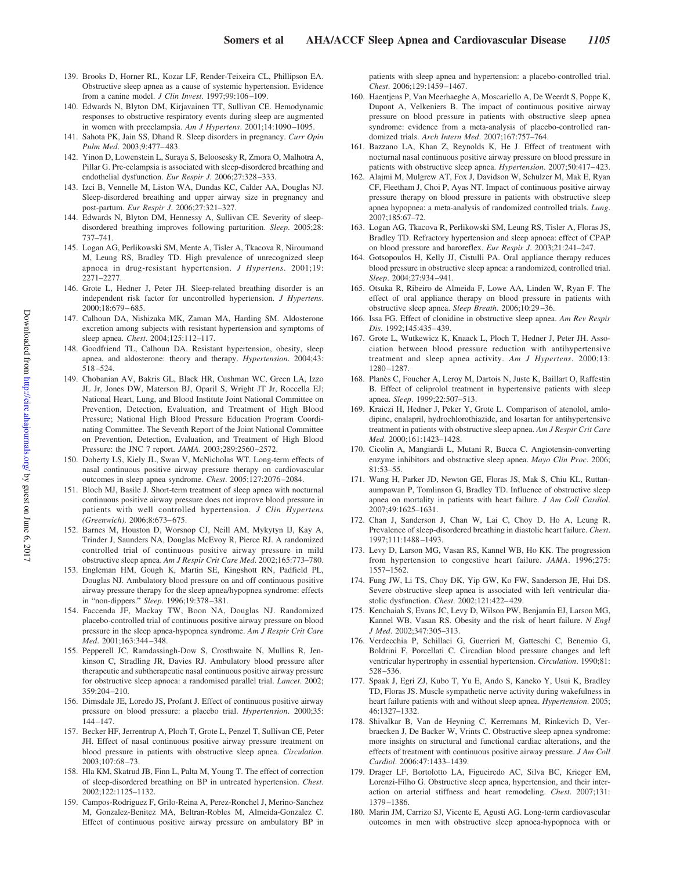- 139. Brooks D, Horner RL, Kozar LF, Render-Teixeira CL, Phillipson EA. Obstructive sleep apnea as a cause of systemic hypertension. Evidence from a canine model. *J Clin Invest*. 1997;99:106 –109.
- 140. Edwards N, Blyton DM, Kirjavainen TT, Sullivan CE. Hemodynamic responses to obstructive respiratory events during sleep are augmented in women with preeclampsia. Am J Hypertens. 2001;14:1090-1095.
- 141. Sahota PK, Jain SS, Dhand R. Sleep disorders in pregnancy. *Curr Opin Pulm Med*. 2003;9:477– 483.
- 142. Yinon D, Lowenstein L, Suraya S, Beloosesky R, Zmora O, Malhotra A, Pillar G. Pre-eclampsia is associated with sleep-disordered breathing and endothelial dysfunction. *Eur Respir J*. 2006;27:328 –333.
- 143. Izci B, Vennelle M, Liston WA, Dundas KC, Calder AA, Douglas NJ. Sleep-disordered breathing and upper airway size in pregnancy and post-partum. *Eur Respir J*. 2006;27:321–327.
- 144. Edwards N, Blyton DM, Hennessy A, Sullivan CE. Severity of sleepdisordered breathing improves following parturition. *Sleep*. 2005;28: 737–741.
- 145. Logan AG, Perlikowski SM, Mente A, Tisler A, Tkacova R, Niroumand M, Leung RS, Bradley TD. High prevalence of unrecognized sleep apnoea in drug-resistant hypertension. *J Hypertens*. 2001;19: 2271–2277.
- 146. Grote L, Hedner J, Peter JH. Sleep-related breathing disorder is an independent risk factor for uncontrolled hypertension. *J Hypertens*. 2000;18:679 – 685.
- 147. Calhoun DA, Nishizaka MK, Zaman MA, Harding SM. Aldosterone excretion among subjects with resistant hypertension and symptoms of sleep apnea. *Chest*. 2004;125:112–117.
- 148. Goodfriend TL, Calhoun DA. Resistant hypertension, obesity, sleep apnea, and aldosterone: theory and therapy. *Hypertension*. 2004;43: 518 –524.
- 149. Chobanian AV, Bakris GL, Black HR, Cushman WC, Green LA, Izzo JL Jr, Jones DW, Materson BJ, Oparil S, Wright JT Jr, Roccella EJ; National Heart, Lung, and Blood Institute Joint National Committee on Prevention, Detection, Evaluation, and Treatment of High Blood Pressure; National High Blood Pressure Education Program Coordinating Committee. The Seventh Report of the Joint National Committee on Prevention, Detection, Evaluation, and Treatment of High Blood Pressure: the JNC 7 report. *JAMA*. 2003;289:2560 –2572.
- 150. Doherty LS, Kiely JL, Swan V, McNicholas WT. Long-term effects of nasal continuous positive airway pressure therapy on cardiovascular outcomes in sleep apnea syndrome. *Chest*. 2005;127:2076 –2084.
- 151. Bloch MJ, Basile J. Short-term treatment of sleep apnea with nocturnal continuous positive airway pressure does not improve blood pressure in patients with well controlled hypertension. *J Clin Hypertens (Greenwich)*. 2006;8:673– 675.
- 152. Barnes M, Houston D, Worsnop CJ, Neill AM, Mykytyn IJ, Kay A, Trinder J, Saunders NA, Douglas McEvoy R, Pierce RJ. A randomized controlled trial of continuous positive airway pressure in mild obstructive sleep apnea. *Am J Respir Crit Care Med*. 2002;165:773–780.
- 153. Engleman HM, Gough K, Martin SE, Kingshott RN, Padfield PL, Douglas NJ. Ambulatory blood pressure on and off continuous positive airway pressure therapy for the sleep apnea/hypopnea syndrome: effects in "non-dippers." *Sleep*. 1996;19:378 –381.
- 154. Faccenda JF, Mackay TW, Boon NA, Douglas NJ. Randomized placebo-controlled trial of continuous positive airway pressure on blood pressure in the sleep apnea-hypopnea syndrome. *Am J Respir Crit Care Med*. 2001;163:344 –348.
- 155. Pepperell JC, Ramdassingh-Dow S, Crosthwaite N, Mullins R, Jenkinson C, Stradling JR, Davies RJ. Ambulatory blood pressure after therapeutic and subtherapeutic nasal continuous positive airway pressure for obstructive sleep apnoea: a randomised parallel trial. *Lancet*. 2002; 359:204 –210.
- 156. Dimsdale JE, Loredo JS, Profant J. Effect of continuous positive airway pressure on blood pressure: a placebo trial. *Hypertension*. 2000;35: 144 –147.
- 157. Becker HF, Jerrentrup A, Ploch T, Grote L, Penzel T, Sullivan CE, Peter JH. Effect of nasal continuous positive airway pressure treatment on blood pressure in patients with obstructive sleep apnea. *Circulation*.  $2003:107.68 - 73$
- 158. Hla KM, Skatrud JB, Finn L, Palta M, Young T. The effect of correction of sleep-disordered breathing on BP in untreated hypertension. *Chest*. 2002;122:1125–1132.
- 159. Campos-Rodriguez F, Grilo-Reina A, Perez-Ronchel J, Merino-Sanchez M, Gonzalez-Benitez MA, Beltran-Robles M, Almeida-Gonzalez C. Effect of continuous positive airway pressure on ambulatory BP in

patients with sleep apnea and hypertension: a placebo-controlled trial. *Chest*. 2006;129:1459 –1467.

- 160. Haentjens P, Van Meerhaeghe A, Moscariello A, De Weerdt S, Poppe K, Dupont A, Velkeniers B. The impact of continuous positive airway pressure on blood pressure in patients with obstructive sleep apnea syndrome: evidence from a meta-analysis of placebo-controlled randomized trials. *Arch Intern Med*. 2007;167:757–764.
- 161. Bazzano LA, Khan Z, Reynolds K, He J. Effect of treatment with nocturnal nasal continuous positive airway pressure on blood pressure in patients with obstructive sleep apnea. *Hypertension*. 2007;50:417-423.
- 162. Alajmi M, Mulgrew AT, Fox J, Davidson W, Schulzer M, Mak E, Ryan CF, Fleetham J, Choi P, Ayas NT. Impact of continuous positive airway pressure therapy on blood pressure in patients with obstructive sleep apnea hypopnea: a meta-analysis of randomized controlled trials. *Lung*. 2007;185:67–72.
- 163. Logan AG, Tkacova R, Perlikowski SM, Leung RS, Tisler A, Floras JS, Bradley TD. Refractory hypertension and sleep apnoea: effect of CPAP on blood pressure and baroreflex. *Eur Respir J*. 2003;21:241–247.
- 164. Gotsopoulos H, Kelly JJ, Cistulli PA. Oral appliance therapy reduces blood pressure in obstructive sleep apnea: a randomized, controlled trial. *Sleep*. 2004;27:934 –941.
- 165. Otsuka R, Ribeiro de Almeida F, Lowe AA, Linden W, Ryan F. The effect of oral appliance therapy on blood pressure in patients with obstructive sleep apnea. *Sleep Breath*. 2006;10:29 –36.
- 166. Issa FG. Effect of clonidine in obstructive sleep apnea. *Am Rev Respir Dis*. 1992;145:435– 439.
- 167. Grote L, Wutkewicz K, Knaack L, Ploch T, Hedner J, Peter JH. Association between blood pressure reduction with antihypertensive treatment and sleep apnea activity. *Am J Hypertens*. 2000;13: 1280 –1287.
- 168. Planès C, Foucher A, Leroy M, Dartois N, Juste K, Baillart O, Raffestin B. Effect of celiprolol treatment in hypertensive patients with sleep apnea. *Sleep*. 1999;22:507–513.
- 169. Kraiczi H, Hedner J, Peker Y, Grote L. Comparison of atenolol, amlodipine, enalapril, hydrochlorothiazide, and losartan for antihypertensive treatment in patients with obstructive sleep apnea. *Am J Respir Crit Care Med*. 2000;161:1423–1428.
- 170. Cicolin A, Mangiardi L, Mutani R, Bucca C. Angiotensin-converting enzyme inhibitors and obstructive sleep apnea. *Mayo Clin Proc*. 2006; 81:53–55.
- 171. Wang H, Parker JD, Newton GE, Floras JS, Mak S, Chiu KL, Ruttanaumpawan P, Tomlinson G, Bradley TD. Influence of obstructive sleep apnea on mortality in patients with heart failure. *J Am Coll Cardiol*. 2007;49:1625–1631.
- 172. Chan J, Sanderson J, Chan W, Lai C, Choy D, Ho A, Leung R. Prevalence of sleep-disordered breathing in diastolic heart failure. *Chest*. 1997;111:1488 –1493.
- 173. Levy D, Larson MG, Vasan RS, Kannel WB, Ho KK. The progression from hypertension to congestive heart failure. *JAMA*. 1996;275: 1557–1562.
- 174. Fung JW, Li TS, Choy DK, Yip GW, Ko FW, Sanderson JE, Hui DS. Severe obstructive sleep apnea is associated with left ventricular diastolic dysfunction. *Chest*. 2002;121:422– 429.
- 175. Kenchaiah S, Evans JC, Levy D, Wilson PW, Benjamin EJ, Larson MG, Kannel WB, Vasan RS. Obesity and the risk of heart failure. *N Engl J Med*. 2002;347:305–313.
- 176. Verdecchia P, Schillaci G, Guerrieri M, Gatteschi C, Benemio G, Boldrini F, Porcellati C. Circadian blood pressure changes and left ventricular hypertrophy in essential hypertension. *Circulation*. 1990;81: 528 –536.
- 177. Spaak J, Egri ZJ, Kubo T, Yu E, Ando S, Kaneko Y, Usui K, Bradley TD, Floras JS. Muscle sympathetic nerve activity during wakefulness in heart failure patients with and without sleep apnea. *Hypertension*. 2005; 46:1327–1332.
- 178. Shivalkar B, Van de Heyning C, Kerremans M, Rinkevich D, Verbraecken J, De Backer W, Vrints C. Obstructive sleep apnea syndrome: more insights on structural and functional cardiac alterations, and the effects of treatment with continuous positive airway pressure. *J Am Coll Cardiol*. 2006;47:1433–1439.
- 179. Drager LF, Bortolotto LA, Figueiredo AC, Silva BC, Krieger EM, Lorenzi-Filho G. Obstructive sleep apnea, hypertension, and their interaction on arterial stiffness and heart remodeling. *Chest*. 2007;131: 1379 –1386.
- 180. Marin JM, Carrizo SJ, Vicente E, Agusti AG. Long-term cardiovascular outcomes in men with obstructive sleep apnoea-hypopnoea with or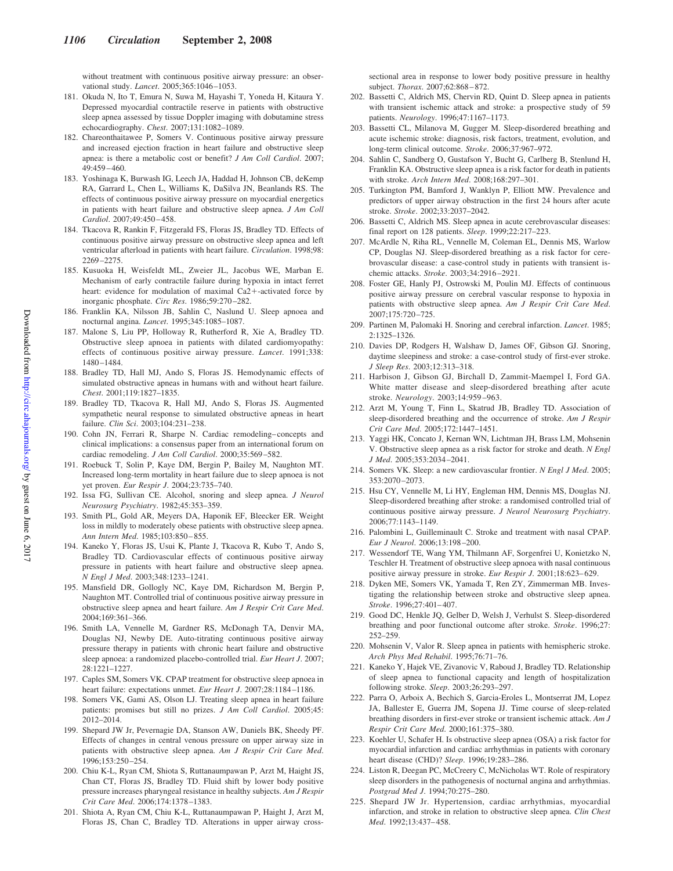without treatment with continuous positive airway pressure: an observational study. *Lancet*. 2005;365:1046 –1053.

- 181. Okuda N, Ito T, Emura N, Suwa M, Hayashi T, Yoneda H, Kitaura Y. Depressed myocardial contractile reserve in patients with obstructive sleep apnea assessed by tissue Doppler imaging with dobutamine stress echocardiography. *Chest*. 2007;131:1082–1089.
- 182. Chareonthaitawee P, Somers V. Continuous positive airway pressure and increased ejection fraction in heart failure and obstructive sleep apnea: is there a metabolic cost or benefit? *J Am Coll Cardiol*. 2007; 49:459 – 460.
- 183. Yoshinaga K, Burwash IG, Leech JA, Haddad H, Johnson CB, deKemp RA, Garrard L, Chen L, Williams K, DaSilva JN, Beanlands RS. The effects of continuous positive airway pressure on myocardial energetics in patients with heart failure and obstructive sleep apnea. *J Am Coll Cardiol*. 2007;49:450 – 458.
- 184. Tkacova R, Rankin F, Fitzgerald FS, Floras JS, Bradley TD. Effects of continuous positive airway pressure on obstructive sleep apnea and left ventricular afterload in patients with heart failure. *Circulation*. 1998;98: 2269 –2275.
- 185. Kusuoka H, Weisfeldt ML, Zweier JL, Jacobus WE, Marban E. Mechanism of early contractile failure during hypoxia in intact ferret heart: evidence for modulation of maximal Ca2+-activated force by inorganic phosphate. *Circ Res*. 1986;59:270 –282.
- 186. Franklin KA, Nilsson JB, Sahlin C, Naslund U. Sleep apnoea and nocturnal angina. *Lancet*. 1995;345:1085–1087.
- 187. Malone S, Liu PP, Holloway R, Rutherford R, Xie A, Bradley TD. Obstructive sleep apnoea in patients with dilated cardiomyopathy: effects of continuous positive airway pressure. *Lancet*. 1991;338: 1480 –1484.
- 188. Bradley TD, Hall MJ, Ando S, Floras JS. Hemodynamic effects of simulated obstructive apneas in humans with and without heart failure. *Chest*. 2001;119:1827–1835.
- 189. Bradley TD, Tkacova R, Hall MJ, Ando S, Floras JS. Augmented sympathetic neural response to simulated obstructive apneas in heart failure. *Clin Sci*. 2003;104:231–238.
- 190. Cohn JN, Ferrari R, Sharpe N. Cardiac remodeling– concepts and clinical implications: a consensus paper from an international forum on cardiac remodeling. *J Am Coll Cardiol*. 2000;35:569 –582.
- 191. Roebuck T, Solin P, Kaye DM, Bergin P, Bailey M, Naughton MT. Increased long-term mortality in heart failure due to sleep apnoea is not yet proven. *Eur Respir J*. 2004;23:735–740.
- 192. Issa FG, Sullivan CE. Alcohol, snoring and sleep apnea. *J Neurol Neurosurg Psychiatry*. 1982;45:353–359.
- 193. Smith PL, Gold AR, Meyers DA, Haponik EF, Bleecker ER. Weight loss in mildly to moderately obese patients with obstructive sleep apnea. *Ann Intern Med*. 1985;103:850 – 855.
- 194. Kaneko Y, Floras JS, Usui K, Plante J, Tkacova R, Kubo T, Ando S, Bradley TD. Cardiovascular effects of continuous positive airway pressure in patients with heart failure and obstructive sleep apnea. *N Engl J Med*. 2003;348:1233–1241.
- 195. Mansfield DR, Gollogly NC, Kaye DM, Richardson M, Bergin P, Naughton MT. Controlled trial of continuous positive airway pressure in obstructive sleep apnea and heart failure. *Am J Respir Crit Care Med*. 2004;169:361–366.
- 196. Smith LA, Vennelle M, Gardner RS, McDonagh TA, Denvir MA, Douglas NJ, Newby DE. Auto-titrating continuous positive airway pressure therapy in patients with chronic heart failure and obstructive sleep apnoea: a randomized placebo-controlled trial. *Eur Heart J*. 2007; 28:1221–1227.
- 197. Caples SM, Somers VK. CPAP treatment for obstructive sleep apnoea in heart failure: expectations unmet. *Eur Heart J.* 2007;28:1184-1186.
- 198. Somers VK, Gami AS, Olson LJ. Treating sleep apnea in heart failure patients: promises but still no prizes. *J Am Coll Cardiol*. 2005;45: 2012–2014.
- 199. Shepard JW Jr, Pevernagie DA, Stanson AW, Daniels BK, Sheedy PF. Effects of changes in central venous pressure on upper airway size in patients with obstructive sleep apnea. *Am J Respir Crit Care Med*. 1996;153:250 –254.
- 200. Chiu K-L, Ryan CM, Shiota S, Ruttanaumpawan P, Arzt M, Haight JS, Chan CT, Floras JS, Bradley TD. Fluid shift by lower body positive pressure increases pharyngeal resistance in healthy subjects. *Am J Respir Crit Care Med*. 2006;174:1378 –1383.
- 201. Shiota A, Ryan CM, Chiu K-L, Ruttanaumpawan P, Haight J, Arzt M, Floras JS, Chan C, Bradley TD. Alterations in upper airway cross-

sectional area in response to lower body positive pressure in healthy subject. *Thorax*. 2007;62:868 – 872.

- 202. Bassetti C, Aldrich MS, Chervin RD, Quint D. Sleep apnea in patients with transient ischemic attack and stroke: a prospective study of 59 patients. *Neurology*. 1996;47:1167–1173.
- 203. Bassetti CL, Milanova M, Gugger M. Sleep-disordered breathing and acute ischemic stroke: diagnosis, risk factors, treatment, evolution, and long-term clinical outcome. *Stroke*. 2006;37:967–972.
- 204. Sahlin C, Sandberg O, Gustafson Y, Bucht G, Carlberg B, Stenlund H, Franklin KA. Obstructive sleep apnea is a risk factor for death in patients with stroke. *Arch Intern Med*. 2008;168:297–301.
- 205. Turkington PM, Bamford J, Wanklyn P, Elliott MW. Prevalence and predictors of upper airway obstruction in the first 24 hours after acute stroke. *Stroke*. 2002;33:2037–2042.
- 206. Bassetti C, Aldrich MS. Sleep apnea in acute cerebrovascular diseases: final report on 128 patients. *Sleep*. 1999;22:217–223.
- 207. McArdle N, Riha RL, Vennelle M, Coleman EL, Dennis MS, Warlow CP, Douglas NJ. Sleep-disordered breathing as a risk factor for cerebrovascular disease: a case-control study in patients with transient ischemic attacks. *Stroke*. 2003;34:2916 –2921.
- 208. Foster GE, Hanly PJ, Ostrowski M, Poulin MJ. Effects of continuous positive airway pressure on cerebral vascular response to hypoxia in patients with obstructive sleep apnea. *Am J Respir Crit Care Med*. 2007;175:720 –725.
- 209. Partinen M, Palomaki H. Snoring and cerebral infarction. *Lancet*. 1985; 2:1325–1326.
- 210. Davies DP, Rodgers H, Walshaw D, James OF, Gibson GJ. Snoring, daytime sleepiness and stroke: a case-control study of first-ever stroke. *J Sleep Res*. 2003;12:313–318.
- 211. Harbison J, Gibson GJ, Birchall D, Zammit-Maempel I, Ford GA. White matter disease and sleep-disordered breathing after acute stroke. *Neurology*. 2003;14:959 –963.
- 212. Arzt M, Young T, Finn L, Skatrud JB, Bradley TD. Association of sleep-disordered breathing and the occurrence of stroke. *Am J Respir Crit Care Med*. 2005;172:1447–1451.
- 213. Yaggi HK, Concato J, Kernan WN, Lichtman JH, Brass LM, Mohsenin V. Obstructive sleep apnea as a risk factor for stroke and death. *N Engl J Med*. 2005;353:2034 –2041.
- 214. Somers VK. Sleep: a new cardiovascular frontier. *N Engl J Med*. 2005; 353:2070 –2073.
- 215. Hsu CY, Vennelle M, Li HY, Engleman HM, Dennis MS, Douglas NJ. Sleep-disordered breathing after stroke: a randomised controlled trial of continuous positive airway pressure. *J Neurol Neurosurg Psychiatry*. 2006;77:1143–1149.
- 216. Palombini L, Guilleminault C. Stroke and treatment with nasal CPAP. *Eur J Neurol*. 2006;13:198 –200.
- 217. Wessendorf TE, Wang YM, Thilmann AF, Sorgenfrei U, Konietzko N, Teschler H. Treatment of obstructive sleep apnoea with nasal continuous positive airway pressure in stroke. *Eur Respir J*. 2001;18:623– 629.
- 218. Dyken ME, Somers VK, Yamada T, Ren ZY, Zimmerman MB. Investigating the relationship between stroke and obstructive sleep apnea. *Stroke*. 1996;27:401– 407.
- 219. Good DC, Henkle JQ, Gelber D, Welsh J, Verhulst S. Sleep-disordered breathing and poor functional outcome after stroke. *Stroke*. 1996;27: 252–259.
- 220. Mohsenin V, Valor R. Sleep apnea in patients with hemispheric stroke. *Arch Phys Med Rehabil*. 1995;76:71–76.
- 221. Kaneko Y, Hajek VE, Zivanovic V, Raboud J, Bradley TD. Relationship of sleep apnea to functional capacity and length of hospitalization following stroke. *Sleep*. 2003;26:293–297.
- 222. Parra O, Arboix A, Bechich S, Garcia-Eroles L, Montserrat JM, Lopez JA, Ballester E, Guerra JM, Sopena JJ. Time course of sleep-related breathing disorders in first-ever stroke or transient ischemic attack. *Am J Respir Crit Care Med*. 2000;161:375–380.
- 223. Koehler U, Schafer H. Is obstructive sleep apnea (OSA) a risk factor for myocardial infarction and cardiac arrhythmias in patients with coronary heart disease (CHD)? *Sleep*. 1996;19:283–286.
- 224. Liston R, Deegan PC, McCreery C, McNicholas WT. Role of respiratory sleep disorders in the pathogenesis of nocturnal angina and arrhythmias. *Postgrad Med J*. 1994;70:275–280.
- 225. Shepard JW Jr. Hypertension, cardiac arrhythmias, myocardial infarction, and stroke in relation to obstructive sleep apnea. *Clin Chest Med*. 1992;13:437– 458.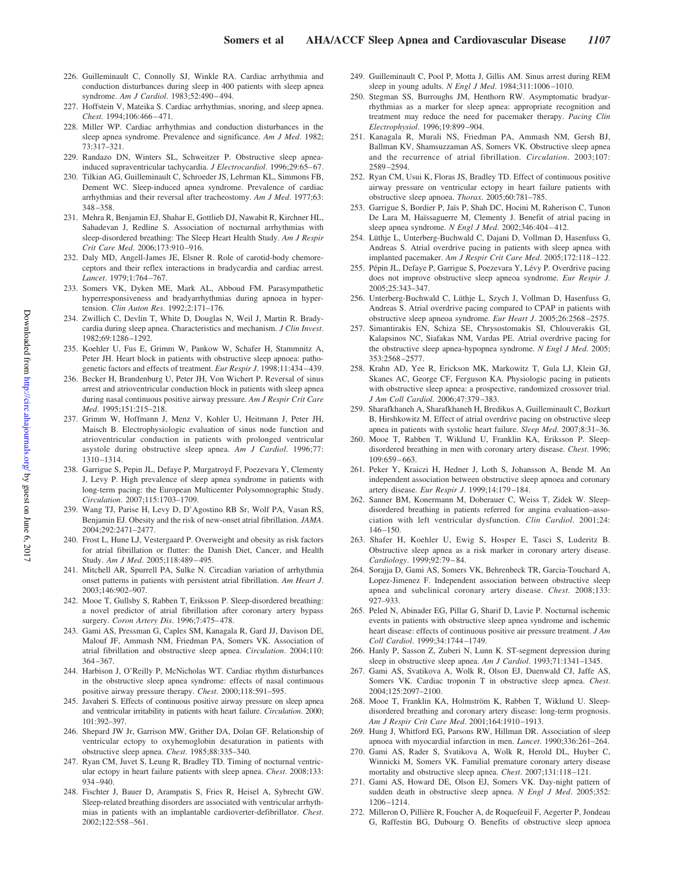- 226. Guilleminault C, Connolly SJ, Winkle RA. Cardiac arrhythmia and conduction disturbances during sleep in 400 patients with sleep apnea syndrome. *Am J Cardiol*. 1983;52:490 – 494.
- 227. Hoffstein V, Mateika S. Cardiac arrhythmias, snoring, and sleep apnea. *Chest*. 1994;106:466 – 471.
- 228. Miller WP. Cardiac arrhythmias and conduction disturbances in the sleep apnea syndrome. Prevalence and significance. *Am J Med*. 1982; 73:317–321.
- 229. Randazo DN, Winters SL, Schweitzer P. Obstructive sleep apneainduced supraventricular tachycardia. *J Electrocardiol*. 1996;29:65-67.
- 230. Tilkian AG, Guilleminault C, Schroeder JS, Lehrman KL, Simmons FB, Dement WC. Sleep-induced apnea syndrome. Prevalence of cardiac arrhythmias and their reversal after tracheostomy. *Am J Med*. 1977;63: 348 –358.
- 231. Mehra R, Benjamin EJ, Shahar E, Gottlieb DJ, Nawabit R, Kirchner HL, Sahadevan J, Redline S. Association of nocturnal arrhythmias with sleep-disordered breathing: The Sleep Heart Health Study. *Am J Respir Crit Care Med*. 2006;173:910 –916.
- 232. Daly MD, Angell-James JE, Elsner R. Role of carotid-body chemoreceptors and their reflex interactions in bradycardia and cardiac arrest. *Lancet*. 1979;1:764 –767.
- 233. Somers VK, Dyken ME, Mark AL, Abboud FM. Parasympathetic hyperresponsiveness and bradyarrhythmias during apnoea in hypertension. *Clin Auton Res*. 1992;2:171–176.
- 234. Zwillich C, Devlin T, White D, Douglas N, Weil J, Martin R. Bradycardia during sleep apnea. Characteristics and mechanism. *J Clin Invest*. 1982;69:1286 –1292.
- 235. Koehler U, Fus E, Grimm W, Pankow W, Schafer H, Stammnitz A, Peter JH. Heart block in patients with obstructive sleep apnoea: pathogenetic factors and effects of treatment. *Eur Respir J*. 1998;11:434 – 439.
- 236. Becker H, Brandenburg U, Peter JH, Von Wichert P. Reversal of sinus arrest and atrioventricular conduction block in patients with sleep apnea during nasal continuous positive airway pressure. *Am J Respir Crit Care Med*. 1995;151:215–218.
- 237. Grimm W, Hoffmann J, Menz V, Kohler U, Heitmann J, Peter JH, Maisch B. Electrophysiologic evaluation of sinus node function and atrioventricular conduction in patients with prolonged ventricular asystole during obstructive sleep apnea. *Am J Cardiol*. 1996;77: 1310 –1314.
- 238. Garrigue S, Pepin JL, Defaye P, Murgatroyd F, Poezevara Y, Clementy J, Levy P. High prevalence of sleep apnea syndrome in patients with long-term pacing: the European Multicenter Polysomnographic Study. *Circulation*. 2007;115:1703–1709.
- 239. Wang TJ, Parise H, Levy D, D'Agostino RB Sr, Wolf PA, Vasan RS, Benjamin EJ. Obesity and the risk of new-onset atrial fibrillation. *JAMA*. 2004;292:2471–2477.
- 240. Frost L, Hune LJ, Vestergaard P. Overweight and obesity as risk factors for atrial fibrillation or flutter: the Danish Diet, Cancer, and Health Study. *Am J Med*. 2005;118:489 – 495.
- 241. Mitchell AR, Spurrell PA, Sulke N. Circadian variation of arrhythmia onset patterns in patients with persistent atrial fibrillation. *Am Heart J*. 2003;146:902–907.
- 242. Mooe T, Gullsby S, Rabben T, Eriksson P. Sleep-disordered breathing: a novel predictor of atrial fibrillation after coronary artery bypass surgery. *Coron Artery Dis*. 1996;7:475– 478.
- 243. Gami AS, Pressman G, Caples SM, Kanagala R, Gard JJ, Davison DE, Malouf JF, Ammash NM, Friedman PA, Somers VK. Association of atrial fibrillation and obstructive sleep apnea. *Circulation*. 2004;110: 364 –367.
- 244. Harbison J, O'Reilly P, McNicholas WT. Cardiac rhythm disturbances in the obstructive sleep apnea syndrome: effects of nasal continuous positive airway pressure therapy. *Chest*. 2000;118:591–595.
- 245. Javaheri S. Effects of continuous positive airway pressure on sleep apnea and ventricular irritability in patients with heart failure. *Circulation*. 2000; 101:392–397.
- 246. Shepard JW Jr, Garrison MW, Grither DA, Dolan GF. Relationship of ventricular ectopy to oxyhemoglobin desaturation in patients with obstructive sleep apnea. *Chest*. 1985;88:335–340.
- 247. Ryan CM, Juvet S, Leung R, Bradley TD. Timing of nocturnal ventricular ectopy in heart failure patients with sleep apnea. *Chest*. 2008;133: 934 –940.
- 248. Fischter J, Bauer D, Arampatis S, Fries R, Heisel A, Sybrecht GW. Sleep-related breathing disorders are associated with ventricular arrhythmias in patients with an implantable cardioverter-defibrillator. *Chest*. 2002;122:558 –561.
- 249. Guilleminault C, Pool P, Motta J, Gillis AM. Sinus arrest during REM sleep in young adults. *N Engl J Med*. 1984;311:1006 –1010.
- 250. Stegman SS, Burroughs JM, Henthorn RW. Asymptomatic bradyarrhythmias as a marker for sleep apnea: appropriate recognition and treatment may reduce the need for pacemaker therapy. *Pacing Clin Electrophysiol*. 1996;19:899 –904.
- 251. Kanagala R, Murali NS, Friedman PA, Ammash NM, Gersh BJ, Ballman KV, Shamsuzzaman AS, Somers VK. Obstructive sleep apnea and the recurrence of atrial fibrillation. *Circulation*. 2003;107: 2589 –2594.
- 252. Ryan CM, Usui K, Floras JS, Bradley TD. Effect of continuous positive airway pressure on ventricular ectopy in heart failure patients with obstructive sleep apnoea. *Thorax*. 2005;60:781–785.
- 253. Garrigue S, Bordier P, Jaïs P, Shah DC, Hocini M, Raherison C, Tunon De Lara M, Haïssaguerre M, Clementy J. Benefit of atrial pacing in sleep apnea syndrome. *N Engl J Med*. 2002;346:404 – 412.
- 254. Lüthje L, Unterberg-Buchwald C, Dajani D, Vollman D, Hasenfuss G, Andreas S. Atrial overdrive pacing in patients with sleep apnea with implanted pacemaker. *Am J Respir Crit Care Med*. 2005;172:118 –122.
- 255. Pépin JL, Defaye P, Garrigue S, Poezevara Y, Lévy P. Overdrive pacing does not improve obstructive sleep apneoa syndrome. *Eur Respir J*. 2005;25:343–347.
- 256. Unterberg-Buchwald C, Lüthje L, Szych J, Vollman D, Hasenfuss G, Andreas S. Atrial overdrive pacing compared to CPAP in patients with obstructive sleep apneoa syndrome. *Eur Heart J*. 2005;26:2568 –2575.
- 257. Simantirakis EN, Schiza SE, Chrysostomakis SI, Chlouverakis GI, Kalapsinos NC, Siafakas NM, Vardas PE. Atrial overdrive pacing for the obstructive sleep apnea-hypopnea syndrome. *N Engl J Med*. 2005; 353:2568 –2577.
- 258. Krahn AD, Yee R, Erickson MK, Markowitz T, Gula LJ, Klein GJ, Skanes AC, George CF, Ferguson KA. Physiologic pacing in patients with obstructive sleep apnea: a prospective, randomized crossover trial. *J Am Coll Cardiol*. 2006;47:379 –383.
- 259. Sharafkhaneh A, Sharafkhaneh H, Bredikus A, Guilleminault C, Bozkurt B, Hirshkowitz M. Effect of atrial overdrive pacing on obstructive sleep apnea in patients with systolic heart failure. *Sleep Med*. 2007;8:31–36.
- 260. Mooe T, Rabben T, Wiklund U, Franklin KA, Eriksson P. Sleepdisordered breathing in men with coronary artery disease. *Chest*. 1996; 109:659 – 663.
- 261. Peker Y, Kraiczi H, Hedner J, Loth S, Johansson A, Bende M. An independent association between obstructive sleep apnoea and coronary artery disease. *Eur Respir J*. 1999;14:179 –184.
- 262. Sanner BM, Konermann M, Doberauer C, Weiss T, Zidek W. Sleepdisordered breathing in patients referred for angina evaluation–association with left ventricular dysfunction. *Clin Cardiol*. 2001;24: 146 –150.
- 263. Shafer H, Koehler U, Ewig S, Hosper E, Tasci S, Luderitz B. Obstructive sleep apnea as a risk marker in coronary artery disease. *Cardiology*. 1999;92:79 – 84.
- 264. Sorajja D, Gami AS, Somers VK, Behrenbeck TR, Garcia-Touchard A, Lopez-Jimenez F. Independent association between obstructive sleep apnea and subclinical coronary artery disease. *Chest*. 2008;133: 927–933.
- 265. Peled N, Abinader EG, Pillar G, Sharif D, Lavie P. Nocturnal ischemic events in patients with obstructive sleep apnea syndrome and ischemic heart disease: effects of continuous positive air pressure treatment. *J Am Coll Cardiol*. 1999;34:1744 –1749.
- 266. Hanly P, Sasson Z, Zuberi N, Lunn K. ST-segment depression during sleep in obstructive sleep apnea. *Am J Cardiol*. 1993;71:1341–1345.
- 267. Gami AS, Svatikova A, Wolk R, Olson EJ, Duenwald CJ, Jaffe AS, Somers VK. Cardiac troponin T in obstructive sleep apnea. *Chest*. 2004;125:2097–2100.
- 268. Mooe T, Franklin KA, Holmström K, Rabben T, Wiklund U. Sleepdisordered breathing and coronary artery disease: long-term prognosis. *Am J Respir Crit Care Med*. 2001;164:1910 –1913.
- 269. Hung J, Whitford EG, Parsons RW, Hillman DR. Association of sleep apnoea with myocardial infarction in men. *Lancet*. 1990;336:261–264.
- 270. Gami AS, Rader S, Svatikova A, Wolk R, Herold DL, Huyber C, Winnicki M, Somers VK. Familial premature coronary artery disease mortality and obstructive sleep apnea. *Chest*. 2007;131:118 –121.
- 271. Gami AS, Howard DE, Olson EJ, Somers VK. Day-night pattern of sudden death in obstructive sleep apnea. *N Engl J Med*. 2005;352: 1206 –1214.
- 272. Milleron O, Pillière R, Foucher A, de Roquefeuil F, Aegerter P, Jondeau G, Raffestin BG, Dubourg O. Benefits of obstructive sleep apnoea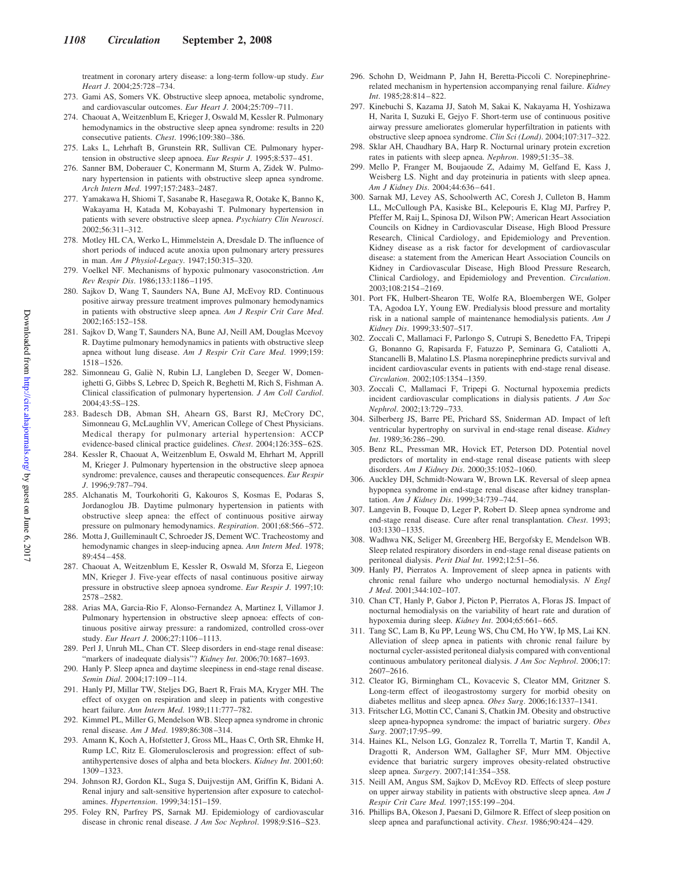treatment in coronary artery disease: a long-term follow-up study. *Eur Heart J*. 2004;25:728 –734.

- 273. Gami AS, Somers VK. Obstructive sleep apnoea, metabolic syndrome, and cardiovascular outcomes. *Eur Heart J*. 2004;25:709 –711.
- 274. Chaouat A, Weitzenblum E, Krieger J, Oswald M, Kessler R. Pulmonary hemodynamics in the obstructive sleep apnea syndrome: results in 220 consecutive patients. *Chest*. 1996;109:380 –386.
- 275. Laks L, Lehrhaft B, Grunstein RR, Sullivan CE. Pulmonary hypertension in obstructive sleep apnoea. *Eur Respir J*. 1995;8:537– 451.
- 276. Sanner BM, Doberauer C, Konermann M, Sturm A, Zidek W. Pulmonary hypertension in patients with obstructive sleep apnea syndrome. *Arch Intern Med*. 1997;157:2483–2487.
- 277. Yamakawa H, Shiomi T, Sasanabe R, Hasegawa R, Ootake K, Banno K, Wakayama H, Katada M, Kobayashi T. Pulmonary hypertension in patients with severe obstructive sleep apnea. *Psychiatry Clin Neurosci*. 2002;56:311–312.
- 278. Motley HL CA, Werko L, Himmelstein A, Dresdale D. The influence of short periods of induced acute anoxia upon pulmonary artery pressures in man. *Am J Physiol-Legacy*. 1947;150:315–320.
- 279. Voelkel NF. Mechanisms of hypoxic pulmonary vasoconstriction. *Am Rev Respir Dis*. 1986;133:1186 –1195.
- 280. Sajkov D, Wang T, Saunders NA, Bune AJ, McEvoy RD. Continuous positive airway pressure treatment improves pulmonary hemodynamics in patients with obstructive sleep apnea. *Am J Respir Crit Care Med*. 2002;165:152–158.
- 281. Sajkov D, Wang T, Saunders NA, Bune AJ, Neill AM, Douglas Mcevoy R. Daytime pulmonary hemodynamics in patients with obstructive sleep apnea without lung disease. *Am J Respir Crit Care Med*. 1999;159: 1518 –1526.
- 282. Simonneau G, Galiè N, Rubin LJ, Langleben D, Seeger W, Domenighetti G, Gibbs S, Lebrec D, Speich R, Beghetti M, Rich S, Fishman A. Clinical classification of pulmonary hypertension. *J Am Coll Cardiol*. 2004;43:5S–12S.
- 283. Badesch DB, Abman SH, Ahearn GS, Barst RJ, McCrory DC, Simonneau G, McLaughlin VV, American College of Chest Physicians. Medical therapy for pulmonary arterial hypertension: ACCP evidence-based clinical practice guidelines. *Chest*. 2004;126:35S– 62S.
- 284. Kessler R, Chaouat A, Weitzenblum E, Oswald M, Ehrhart M, Apprill M, Krieger J. Pulmonary hypertension in the obstructive sleep apnoea syndrome: prevalence, causes and therapeutic consequences. *Eur Respir J*. 1996;9:787–794.
- 285. Alchanatis M, Tourkohoriti G, Kakouros S, Kosmas E, Podaras S, Jordanoglou JB. Daytime pulmonary hypertension in patients with obstructive sleep apnea: the effect of continuous positive airway pressure on pulmonary hemodynamics. *Respiration*. 2001;68:566 –572.
- 286. Motta J, Guilleminault C, Schroeder JS, Dement WC. Tracheostomy and hemodynamic changes in sleep-inducing apnea. *Ann Intern Med*. 1978; 89:454 – 458.
- 287. Chaouat A, Weitzenblum E, Kessler R, Oswald M, Sforza E, Liegeon MN, Krieger J. Five-year effects of nasal continuous positive airway pressure in obstructive sleep apnoea syndrome. *Eur Respir J*. 1997;10: 2578 –2582.
- 288. Arias MA, Garcia-Rio F, Alonso-Fernandez A, Martinez I, Villamor J. Pulmonary hypertension in obstructive sleep apnoea: effects of continuous positive airway pressure: a randomized, controlled cross-over study. *Eur Heart J*. 2006;27:1106 –1113.
- 289. Perl J, Unruh ML, Chan CT. Sleep disorders in end-stage renal disease: "markers of inadequate dialysis"? *Kidney Int*. 2006;70:1687-1693.
- 290. Hanly P. Sleep apnea and daytime sleepiness in end-stage renal disease. *Semin Dial*. 2004;17:109 –114.
- 291. Hanly PJ, Millar TW, Steljes DG, Baert R, Frais MA, Kryger MH. The effect of oxygen on respiration and sleep in patients with congestive heart failure. *Ann Intern Med*. 1989;111:777–782.
- 292. Kimmel PL, Miller G, Mendelson WB. Sleep apnea syndrome in chronic renal disease. *Am J Med*. 1989;86:308 –314.
- 293. Amann K, Koch A, Hofstetter J, Gross ML, Haas C, Orth SR, Ehmke H, Rump LC, Ritz E. Glomerulosclerosis and progression: effect of subantihypertensive doses of alpha and beta blockers. *Kidney Int*. 2001;60: 1309 –1323.
- 294. Johnson RJ, Gordon KL, Suga S, Duijvestijn AM, Griffin K, Bidani A. Renal injury and salt-sensitive hypertension after exposure to catecholamines. *Hypertension*. 1999;34:151–159.
- 295. Foley RN, Parfrey PS, Sarnak MJ. Epidemiology of cardiovascular disease in chronic renal disease. *J Am Soc Nephrol*. 1998;9:S16 –S23.
- 296. Schohn D, Weidmann P, Jahn H, Beretta-Piccoli C. Norepinephrinerelated mechanism in hypertension accompanying renal failure. *Kidney Int*. 1985;28:814 – 822.
- 297. Kinebuchi S, Kazama JJ, Satoh M, Sakai K, Nakayama H, Yoshizawa H, Narita I, Suzuki E, Gejyo F. Short-term use of continuous positive airway pressure ameliorates glomerular hyperfiltration in patients with obstructive sleep apnoea syndrome. *Clin Sci (Lond)*. 2004;107:317–322.
- 298. Sklar AH, Chaudhary BA, Harp R. Nocturnal urinary protein excretion rates in patients with sleep apnea. *Nephron*. 1989;51:35–38.
- 299. Mello P, Franger M, Boujaoude Z, Adaimy M, Gelfand E, Kass J, Weisberg LS. Night and day proteinuria in patients with sleep apnea. *Am J Kidney Dis*. 2004;44:636 – 641.
- 300. Sarnak MJ, Levey AS, Schoolwerth AC, Coresh J, Culleton B, Hamm LL, McCullough PA, Kasiske BL, Kelepouris E, Klag MJ, Parfrey P, Pfeffer M, Raij L, Spinosa DJ, Wilson PW; American Heart Association Councils on Kidney in Cardiovascular Disease, High Blood Pressure Research, Clinical Cardiology, and Epidemiology and Prevention. Kidney disease as a risk factor for development of cardiovascular disease: a statement from the American Heart Association Councils on Kidney in Cardiovascular Disease, High Blood Pressure Research, Clinical Cardiology, and Epidemiology and Prevention. *Circulation*. 2003;108:2154 –2169.
- 301. Port FK, Hulbert-Shearon TE, Wolfe RA, Bloembergen WE, Golper TA, Agodoa LY, Young EW. Predialysis blood pressure and mortality risk in a national sample of maintenance hemodialysis patients. *Am J Kidney Dis*. 1999;33:507–517.
- 302. Zoccali C, Mallamaci F, Parlongo S, Cutrupi S, Benedetto FA, Tripepi G, Bonanno G, Rapisarda F, Fatuzzo P, Seminara G, Cataliotti A, Stancanelli B, Malatino LS. Plasma norepinephrine predicts survival and incident cardiovascular events in patients with end-stage renal disease. *Circulation*. 2002;105:1354 –1359.
- 303. Zoccali C, Mallamaci F, Tripepi G. Nocturnal hypoxemia predicts incident cardiovascular complications in dialysis patients. *J Am Soc Nephrol*. 2002;13:729 –733.
- 304. Silberberg JS, Barre PE, Prichard SS, Sniderman AD. Impact of left ventricular hypertrophy on survival in end-stage renal disease. *Kidney Int*. 1989;36:286 –290.
- 305. Benz RL, Pressman MR, Hovick ET, Peterson DD. Potential novel predictors of mortality in end-stage renal disease patients with sleep disorders. *Am J Kidney Dis*. 2000;35:1052–1060.
- 306. Auckley DH, Schmidt-Nowara W, Brown LK. Reversal of sleep apnea hypopnea syndrome in end-stage renal disease after kidney transplantation. *Am J Kidney Dis*. 1999;34:739 –744.
- 307. Langevin B, Fouque D, Leger P, Robert D. Sleep apnea syndrome and end-stage renal disease. Cure after renal transplantation. *Chest*. 1993; 103:1330 –1335.
- 308. Wadhwa NK, Seliger M, Greenberg HE, Bergofsky E, Mendelson WB. Sleep related respiratory disorders in end-stage renal disease patients on peritoneal dialysis. *Perit Dial Int*. 1992;12:51–56.
- 309. Hanly PJ, Pierratos A. Improvement of sleep apnea in patients with chronic renal failure who undergo nocturnal hemodialysis. *N Engl J Med*. 2001;344:102–107.
- 310. Chan CT, Hanly P, Gabor J, Picton P, Pierratos A, Floras JS. Impact of nocturnal hemodialysis on the variability of heart rate and duration of hypoxemia during sleep. *Kidney Int*. 2004;65:661– 665.
- 311. Tang SC, Lam B, Ku PP, Leung WS, Chu CM, Ho YW, Ip MS, Lai KN. Alleviation of sleep apnea in patients with chronic renal failure by nocturnal cycler-assisted peritoneal dialysis compared with conventional continuous ambulatory peritoneal dialysis. *J Am Soc Nephrol*. 2006;17: 2607–2616.
- 312. Cleator IG, Birmingham CL, Kovacevic S, Cleator MM, Gritzner S. Long-term effect of ileogastrostomy surgery for morbid obesity on diabetes mellitus and sleep apnea. *Obes Surg*. 2006;16:1337–1341.
- 313. Fritscher LG, Mottin CC, Canani S, Chatkin JM. Obesity and obstructive sleep apnea-hypopnea syndrome: the impact of bariatric surgery. *Obes Surg*. 2007;17:95–99.
- 314. Haines KL, Nelson LG, Gonzalez R, Torrella T, Martin T, Kandil A, Dragotti R, Anderson WM, Gallagher SF, Murr MM. Objective evidence that bariatric surgery improves obesity-related obstructive sleep apnea. *Surgery*. 2007;141:354 –358.
- 315. Neill AM, Angus SM, Sajkov D, McEvoy RD. Effects of sleep posture on upper airway stability in patients with obstructive sleep apnea. *Am J Respir Crit Care Med*. 1997;155:199 –204.
- 316. Phillips BA, Okeson J, Paesani D, Gilmore R. Effect of sleep position on sleep apnea and parafunctional activity. *Chest*. 1986;90:424 – 429.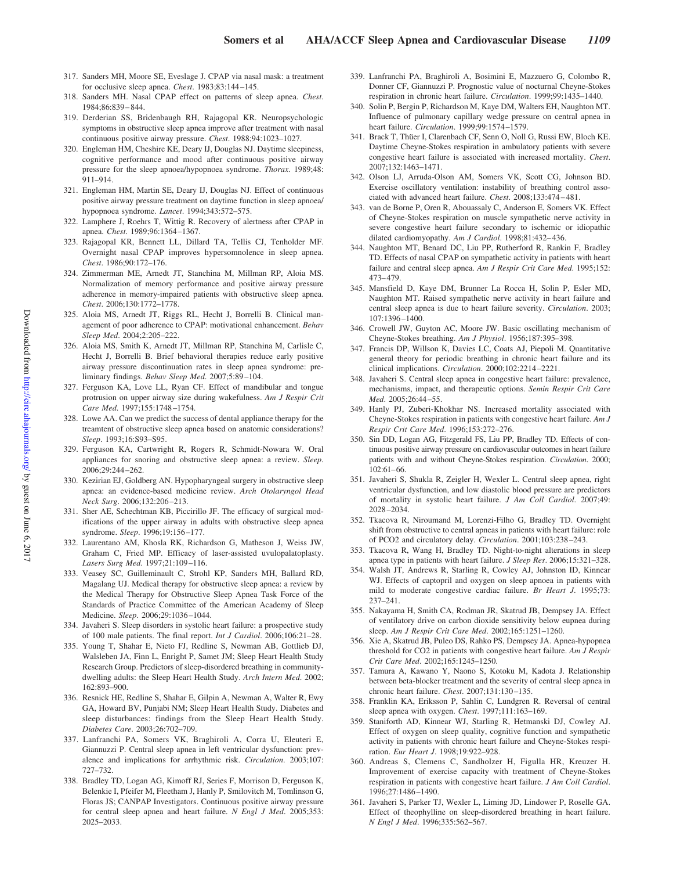- 317. Sanders MH, Moore SE, Eveslage J. CPAP via nasal mask: a treatment for occlusive sleep apnea. *Chest*. 1983;83:144 –145.
- 318. Sanders MH. Nasal CPAP effect on patterns of sleep apnea. *Chest*. 1984;86:839 – 844.
- 319. Derderian SS, Bridenbaugh RH, Rajagopal KR. Neuropsychologic symptoms in obstructive sleep apnea improve after treatment with nasal continuous positive airway pressure. *Chest*. 1988;94:1023–1027.
- 320. Engleman HM, Cheshire KE, Deary IJ, Douglas NJ. Daytime sleepiness, cognitive performance and mood after continuous positive airway pressure for the sleep apnoea/hypopnoea syndrome. *Thorax*. 1989;48: 911–914.
- 321. Engleman HM, Martin SE, Deary IJ, Douglas NJ. Effect of continuous positive airway pressure treatment on daytime function in sleep apnoea/ hypopnoea syndrome. *Lancet*. 1994;343:572–575.
- 322. Lamphere J, Roehrs T, Wittig R. Recovery of alertness after CPAP in apnea. *Chest*. 1989;96:1364 –1367.
- 323. Rajagopal KR, Bennett LL, Dillard TA, Tellis CJ, Tenholder MF. Overnight nasal CPAP improves hypersomnolence in sleep apnea. *Chest*. 1986;90:172–176.
- 324. Zimmerman ME, Arnedt JT, Stanchina M, Millman RP, Aloia MS. Normalization of memory performance and positive airway pressure adherence in memory-impaired patients with obstructive sleep apnea. *Chest*. 2006;130:1772–1778.
- 325. Aloia MS, Arnedt JT, Riggs RL, Hecht J, Borrelli B. Clinical management of poor adherence to CPAP: motivational enhancement. *Behav Sleep Med*. 2004;2:205–222.
- 326. Aloia MS, Smith K, Arnedt JT, Millman RP, Stanchina M, Carlisle C, Hecht J, Borrelli B. Brief behavioral therapies reduce early positive airway pressure discontinuation rates in sleep apnea syndrome: preliminary findings. *Behav Sleep Med*. 2007;5:89 –104.
- 327. Ferguson KA, Love LL, Ryan CF. Effect of mandibular and tongue protrusion on upper airway size during wakefulness. *Am J Respir Crit Care Med*. 1997;155:1748 –1754.
- 328. Lowe AA. Can we predict the success of dental appliance therapy for the treamtent of obstructive sleep apnea based on anatomic considerations? *Sleep*. 1993;16:S93–S95.
- 329. Ferguson KA, Cartwright R, Rogers R, Schmidt-Nowara W. Oral appliances for snoring and obstructive sleep apnea: a review. *Sleep*. 2006;29:244 –262.
- 330. Kezirian EJ, Goldberg AN. Hypopharyngeal surgery in obstructive sleep apnea: an evidence-based medicine review. *Arch Otolaryngol Head Neck Surg*. 2006;132:206 –213.
- 331. Sher AE, Schechtman KB, Piccirillo JF. The efficacy of surgical modifications of the upper airway in adults with obstructive sleep apnea syndrome. *Sleep*. 1996;19:156 –177.
- 332. Laurentano AM, Khosla RK, Richardson G, Matheson J, Weiss JW, Graham C, Fried MP. Efficacy of laser-assisted uvulopalatoplasty. *Lasers Surg Med*. 1997;21:109 –116.
- 333. Veasey SC, Guilleminault C, Strohl KP, Sanders MH, Ballard RD, Magalang UJ. Medical therapy for obstructive sleep apnea: a review by the Medical Therapy for Obstructive Sleep Apnea Task Force of the Standards of Practice Committee of the American Academy of Sleep Medicine. *Sleep*. 2006;29:1036 –1044.
- 334. Javaheri S. Sleep disorders in systolic heart failure: a prospective study of 100 male patients. The final report. *Int J Cardiol*. 2006;106:21–28.
- 335. Young T, Shahar E, Nieto FJ, Redline S, Newman AB, Gottlieb DJ, Walsleben JA, Finn L, Enright P, Samet JM; Sleep Heart Health Study Research Group. Predictors of sleep-disordered breathing in communitydwelling adults: the Sleep Heart Health Study. *Arch Intern Med*. 2002; 162:893–900.
- 336. Resnick HE, Redline S, Shahar E, Gilpin A, Newman A, Walter R, Ewy GA, Howard BV, Punjabi NM; Sleep Heart Health Study. Diabetes and sleep disturbances: findings from the Sleep Heart Health Study. *Diabetes Care*. 2003;26:702–709.
- 337. Lanfranchi PA, Somers VK, Braghiroli A, Corra U, Eleuteri E, Giannuzzi P. Central sleep apnea in left ventricular dysfunction: prevalence and implications for arrhythmic risk. *Circulation*. 2003;107: 727–732.
- 338. Bradley TD, Logan AG, Kimoff RJ, Series F, Morrison D, Ferguson K, Belenkie I, Pfeifer M, Fleetham J, Hanly P, Smilovitch M, Tomlinson G, Floras JS; CANPAP Investigators. Continuous positive airway pressure for central sleep apnea and heart failure. *N Engl J Med*. 2005;353: 2025–2033.
- 339. Lanfranchi PA, Braghiroli A, Bosimini E, Mazzuero G, Colombo R, Donner CF, Giannuzzi P. Prognostic value of nocturnal Cheyne-Stokes respiration in chronic heart failure. *Circulation*. 1999;99:1435–1440.
- 340. Solin P, Bergin P, Richardson M, Kaye DM, Walters EH, Naughton MT. Influence of pulmonary capillary wedge pressure on central apnea in heart failure. *Circulation*. 1999;99:1574 –1579.
- 341. Brack T, Thüer I, Clarenbach CF, Senn O, Noll G, Russi EW, Bloch KE. Daytime Cheyne-Stokes respiration in ambulatory patients with severe congestive heart failure is associated with increased mortality. *Chest*. 2007;132:1463–1471.
- 342. Olson LJ, Arruda-Olson AM, Somers VK, Scott CG, Johnson BD. Exercise oscillatory ventilation: instability of breathing control associated with advanced heart failure. *Chest*. 2008;133:474 – 481.
- 343. van de Borne P, Oren R, Abouassaly C, Anderson E, Somers VK. Effect of Cheyne-Stokes respiration on muscle sympathetic nerve activity in severe congestive heart failure secondary to ischemic or idiopathic dilated cardiomyopathy. *Am J Cardiol*. 1998;81:432– 436.
- 344. Naughton MT, Benard DC, Liu PP, Rutherford R, Rankin F, Bradley TD. Effects of nasal CPAP on sympathetic activity in patients with heart failure and central sleep apnea. *Am J Respir Crit Care Med*. 1995;152: 473– 479.
- 345. Mansfield D, Kaye DM, Brunner La Rocca H, Solin P, Esler MD, Naughton MT. Raised sympathetic nerve activity in heart failure and central sleep apnea is due to heart failure severity. *Circulation*. 2003; 107:1396 –1400.
- 346. Crowell JW, Guyton AC, Moore JW. Basic oscillating mechanism of Cheyne-Stokes breathing. *Am J Physiol*. 1956;187:395–398.
- 347. Francis DP, Willson K, Davies LC, Coats AJ, Piepoli M. Quantitative general theory for periodic breathing in chronic heart failure and its clinical implications. *Circulation*. 2000;102:2214 –2221.
- 348. Javaheri S. Central sleep apnea in congestive heart failure: prevalence, mechanisms, impact, and therapeutic options. *Semin Respir Crit Care Med*. 2005;26:44 –55.
- 349. Hanly PJ, Zuberi-Khokhar NS. Increased mortality associated with Cheyne-Stokes respiration in patients with congestive heart failure. *Am J Respir Crit Care Med*. 1996;153:272–276.
- 350. Sin DD, Logan AG, Fitzgerald FS, Liu PP, Bradley TD. Effects of continuous positive airway pressure on cardiovascular outcomes in heart failure patients with and without Cheyne-Stokes respiration. *Circulation*. 2000; 102:61– 66.
- 351. Javaheri S, Shukla R, Zeigler H, Wexler L. Central sleep apnea, right ventricular dysfunction, and low diastolic blood pressure are predictors of mortality in systolic heart failure. *J Am Coll Cardiol*. 2007;49: 2028 –2034.
- 352. Tkacova R, Niroumand M, Lorenzi-Filho G, Bradley TD. Overnight shift from obstructive to central apneas in patients with heart failure: role of PCO2 and circulatory delay. *Circulation*. 2001;103:238 –243.
- 353. Tkacova R, Wang H, Bradley TD. Night-to-night alterations in sleep apnea type in patients with heart failure. *J Sleep Res*. 2006;15:321–328.
- 354. Walsh JT, Andrews R, Starling R, Cowley AJ, Johnston ID, Kinnear WJ. Effects of captopril and oxygen on sleep apnoea in patients with mild to moderate congestive cardiac failure. *Br Heart J*. 1995;73: 237–241.
- 355. Nakayama H, Smith CA, Rodman JR, Skatrud JB, Dempsey JA. Effect of ventilatory drive on carbon dioxide sensitivity below eupnea during sleep. *Am J Respir Crit Care Med*. 2002;165:1251–1260.
- 356. Xie A, Skatrud JB, Puleo DS, Rahko PS, Dempsey JA. Apnea-hypopnea threshold for CO2 in patients with congestive heart failure. *Am J Respir Crit Care Med*. 2002;165:1245–1250.
- 357. Tamura A, Kawano Y, Naono S, Kotoku M, Kadota J. Relationship between beta-blocker treatment and the severity of central sleep apnea in chronic heart failure. *Chest*. 2007;131:130 –135.
- 358. Franklin KA, Eriksson P, Sahlin C, Lundgren R. Reversal of central sleep apnea with oxygen. *Chest*. 1997;111:163–169.
- 359. Staniforth AD, Kinnear WJ, Starling R, Hetmanski DJ, Cowley AJ. Effect of oxygen on sleep quality, cognitive function and sympathetic activity in patients with chronic heart failure and Cheyne-Stokes respiration. *Eur Heart J*. 1998;19:922–928.
- 360. Andreas S, Clemens C, Sandholzer H, Figulla HR, Kreuzer H. Improvement of exercise capacity with treatment of Cheyne-Stokes respiration in patients with congestive heart failure. *J Am Coll Cardiol*. 1996;27:1486 –1490.
- 361. Javaheri S, Parker TJ, Wexler L, Liming JD, Lindower P, Roselle GA. Effect of theophylline on sleep-disordered breathing in heart failure. *N Engl J Med*. 1996;335:562–567.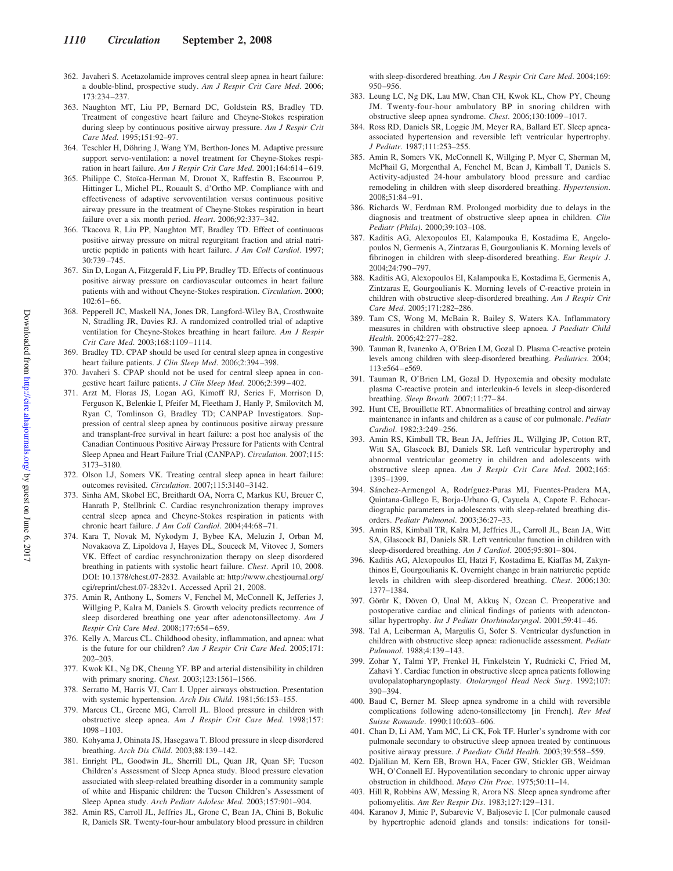- 362. Javaheri S. Acetazolamide improves central sleep apnea in heart failure: a double-blind, prospective study. *Am J Respir Crit Care Med*. 2006; 173:234 –237.
- 363. Naughton MT, Liu PP, Bernard DC, Goldstein RS, Bradley TD. Treatment of congestive heart failure and Cheyne-Stokes respiration during sleep by continuous positive airway pressure. *Am J Respir Crit Care Med*. 1995;151:92–97.
- 364. Teschler H, Döhring J, Wang YM, Berthon-Jones M. Adaptive pressure support servo-ventilation: a novel treatment for Cheyne-Stokes respiration in heart failure. *Am J Respir Crit Care Med*. 2001;164:614-619.
- 365. Philippe C, Stoïca-Herman M, Drouot X, Raffestin B, Escourrou P, Hittinger L, Michel PL, Rouault S, d'Ortho MP. Compliance with and effectiveness of adaptive servoventilation versus continuous positive airway pressure in the treatment of Cheyne-Stokes respiration in heart failure over a six month period. *Heart*. 2006;92:337–342.
- 366. Tkacova R, Liu PP, Naughton MT, Bradley TD. Effect of continuous positive airway pressure on mitral regurgitant fraction and atrial natriuretic peptide in patients with heart failure. *J Am Coll Cardiol*. 1997; 30:739 –745.
- 367. Sin D, Logan A, Fitzgerald F, Liu PP, Bradley TD. Effects of continuous positive airway pressure on cardiovascular outcomes in heart failure patients with and without Cheyne-Stokes respiration. *Circulation*. 2000; 102:61– 66.
- 368. Pepperell JC, Maskell NA, Jones DR, Langford-Wiley BA, Crosthwaite N, Stradling JR, Davies RJ. A randomized controlled trial of adaptive ventilation for Cheyne-Stokes breathing in heart failure. *Am J Respir Crit Care Med*. 2003;168:1109 –1114.
- 369. Bradley TD. CPAP should be used for central sleep apnea in congestive heart failure patients. *J Clin Sleep Med*. 2006;2:394 –398.
- 370. Javaheri S. CPAP should not be used for central sleep apnea in congestive heart failure patients. *J Clin Sleep Med*. 2006;2:399 – 402.
- 371. Arzt M, Floras JS, Logan AG, Kimoff RJ, Series F, Morrison D, Ferguson K, Belenkie I, Pfeifer M, Fleetham J, Hanly P, Smilovitch M, Ryan C, Tomlinson G, Bradley TD; CANPAP Investigators. Suppression of central sleep apnea by continuous positive airway pressure and transplant-free survival in heart failure: a post hoc analysis of the Canadian Continuous Positive Airway Pressure for Patients with Central Sleep Apnea and Heart Failure Trial (CANPAP). *Circulation*. 2007;115: 3173–3180.
- 372. Olson LJ, Somers VK. Treating central sleep apnea in heart failure: outcomes revisited. *Circulation*. 2007;115:3140 –3142.
- 373. Sinha AM, Skobel EC, Breithardt OA, Norra C, Markus KU, Breuer C, Hanrath P, Stellbrink C. Cardiac resynchronization therapy improves central sleep apnea and Cheyne-Stokes respiration in patients with chronic heart failure. *J Am Coll Cardiol*. 2004;44:68 –71.
- 374. Kara T, Novak M, Nykodym J, Bybee KA, Meluzin J, Orban M, Novakaova Z, Lipoldova J, Hayes DL, Souceck M, Vitovec J, Somers VK. Effect of cardiac resynchronization therapy on sleep disordered breathing in patients with systolic heart failure. *Chest*. April 10, 2008. DOI: 10.1378/chest.07-2832. Available at: http://www.chestjournal.org/ cgi/reprint/chest.07-2832v1. Accessed April 21, 2008.
- 375. Amin R, Anthony L, Somers V, Fenchel M, McConnell K, Jefferies J, Willging P, Kalra M, Daniels S. Growth velocity predicts recurrence of sleep disordered breathing one year after adenotonsillectomy. *Am J Respir Crit Care Med*. 2008;177:654 – 659.
- 376. Kelly A, Marcus CL. Childhood obesity, inflammation, and apnea: what is the future for our children? *Am J Respir Crit Care Med*. 2005;171: 202–203.
- 377. Kwok KL, Ng DK, Cheung YF. BP and arterial distensibility in children with primary snoring. *Chest*. 2003;123:1561–1566.
- 378. Serratto M, Harris VJ, Carr I. Upper airways obstruction. Presentation with systemic hypertension. *Arch Dis Child*. 1981;56:153–155.
- 379. Marcus CL, Greene MG, Carroll JL. Blood pressure in children with obstructive sleep apnea. *Am J Respir Crit Care Med*. 1998;157: 1098 –1103.
- 380. Kohyama J, Ohinata JS, Hasegawa T. Blood pressure in sleep disordered breathing. *Arch Dis Child*. 2003;88:139 –142.
- 381. Enright PL, Goodwin JL, Sherrill DL, Quan JR, Quan SF; Tucson Children's Assessment of Sleep Apnea study. Blood pressure elevation associated with sleep-related breathing disorder in a community sample of white and Hispanic children: the Tucson Children's Assessment of Sleep Apnea study. *Arch Pediatr Adolesc Med*. 2003;157:901–904.
- 382. Amin RS, Carroll JL, Jeffries JL, Grone C, Bean JA, Chini B, Bokulic R, Daniels SR. Twenty-four-hour ambulatory blood pressure in children

with sleep-disordered breathing. *Am J Respir Crit Care Med*. 2004;169: 950 –956.

- 383. Leung LC, Ng DK, Lau MW, Chan CH, Kwok KL, Chow PY, Cheung JM. Twenty-four-hour ambulatory BP in snoring children with obstructive sleep apnea syndrome. *Chest*. 2006;130:1009 –1017.
- 384. Ross RD, Daniels SR, Loggie JM, Meyer RA, Ballard ET. Sleep apneaassociated hypertension and reversible left ventricular hypertrophy. *J Pediatr*. 1987;111:253–255.
- 385. Amin R, Somers VK, McConnell K, Willging P, Myer C, Sherman M, McPhail G, Morgenthal A, Fenchel M, Bean J, Kimball T, Daniels S. Activity-adjusted 24-hour ambulatory blood pressure and cardiac remodeling in children with sleep disordered breathing. *Hypertension*. 2008;51:84 –91.
- 386. Richards W, Ferdman RM. Prolonged morbidity due to delays in the diagnosis and treatment of obstructive sleep apnea in children. *Clin Pediatr (Phila)*. 2000;39:103–108.
- 387. Kaditis AG, Alexopoulos EI, Kalampouka E, Kostadima E, Angelopoulos N, Germenis A, Zintzaras E, Gourgoulianis K. Morning levels of fibrinogen in children with sleep-disordered breathing. *Eur Respir J*. 2004;24:790 –797.
- 388. Kaditis AG, Alexopoulos EI, Kalampouka E, Kostadima E, Germenis A, Zintzaras E, Gourgoulianis K. Morning levels of C-reactive protein in children with obstructive sleep-disordered breathing. *Am J Respir Crit Care Med*. 2005;171:282–286.
- 389. Tam CS, Wong M, McBain R, Bailey S, Waters KA. Inflammatory measures in children with obstructive sleep apnoea. *J Paediatr Child Health*. 2006;42:277–282.
- 390. Tauman R, Ivanenko A, O'Brien LM, Gozal D. Plasma C-reactive protein levels among children with sleep-disordered breathing. *Pediatrics*. 2004; 113:e564 –e569.
- 391. Tauman R, O'Brien LM, Gozal D. Hypoxemia and obesity modulate plasma C-reactive protein and interleukin-6 levels in sleep-disordered breathing. *Sleep Breath*. 2007;11:77– 84.
- 392. Hunt CE, Brouillette RT. Abnormalities of breathing control and airway maintenance in infants and children as a cause of cor pulmonale. *Pediatr Cardiol*. 1982;3:249 –256.
- 393. Amin RS, Kimball TR, Bean JA, Jeffries JL, Willging JP, Cotton RT, Witt SA, Glascock BJ, Daniels SR. Left ventricular hypertrophy and abnormal ventricular geometry in children and adolescents with obstructive sleep apnea. *Am J Respir Crit Care Med*. 2002;165: 1395–1399.
- 394. Sánchez-Armengol A, Rodríguez-Puras MJ, Fuentes-Pradera MA, Quintana-Gallego E, Borja-Urbano G, Cayuela A, Capote F. Echocardiographic parameters in adolescents with sleep-related breathing disorders. *Pediatr Pulmonol*. 2003;36:27–33.
- 395. Amin RS, Kimball TR, Kalra M, Jeffries JL, Carroll JL, Bean JA, Witt SA, Glascock BJ, Daniels SR. Left ventricular function in children with sleep-disordered breathing. Am J Cardiol. 2005;95:801-804.
- 396. Kaditis AG, Alexopoulos EI, Hatzi F, Kostadima E, Kiaffas M, Zakynthinos E, Gourgoulianis K. Overnight change in brain natriuretic peptide levels in children with sleep-disordered breathing. *Chest*. 2006;130: 1377–1384.
- 397. Görür K, Döven O, Unal M, Akkus¸ N, Ozcan C. Preoperative and postoperative cardiac and clinical findings of patients with adenotonsillar hypertrophy. *Int J Pediatr Otorhinolaryngol*. 2001;59:41– 46.
- 398. Tal A, Leiberman A, Margulis G, Sofer S. Ventricular dysfunction in children with obstructive sleep apnea: radionuclide assessment. *Pediatr Pulmonol*. 1988;4:139 –143.
- 399. Zohar Y, Talmi YP, Frenkel H, Finkelstein Y, Rudnicki C, Fried M, Zahavi Y. Cardiac function in obstructive sleep apnea patients following uvulopalatopharyngoplasty. *Otolaryngol Head Neck Surg*. 1992;107: 390 –394.
- 400. Baud C, Berner M. Sleep apnea syndrome in a child with reversible complications following adeno-tonsillectomy [in French]. *Rev Med Suisse Romande*. 1990;110:603– 606.
- 401. Chan D, Li AM, Yam MC, Li CK, Fok TF. Hurler's syndrome with cor pulmonale secondary to obstructive sleep apnoea treated by continuous positive airway pressure. *J Paediatr Child Health*. 2003;39:558 –559.
- 402. Djalilian M, Kern EB, Brown HA, Facer GW, Stickler GB, Weidman WH, O'Connell EJ. Hypoventilation secondary to chronic upper airway obstruction in childhood. *Mayo Clin Proc*. 1975;50:11–14.
- 403. Hill R, Robbins AW, Messing R, Arora NS. Sleep apnea syndrome after poliomyelitis. *Am Rev Respir Dis*. 1983;127:129 –131.
- 404. Karanov J, Minic P, Subarevic V, Baljosevic I. [Cor pulmonale caused by hypertrophic adenoid glands and tonsils: indications for tonsil-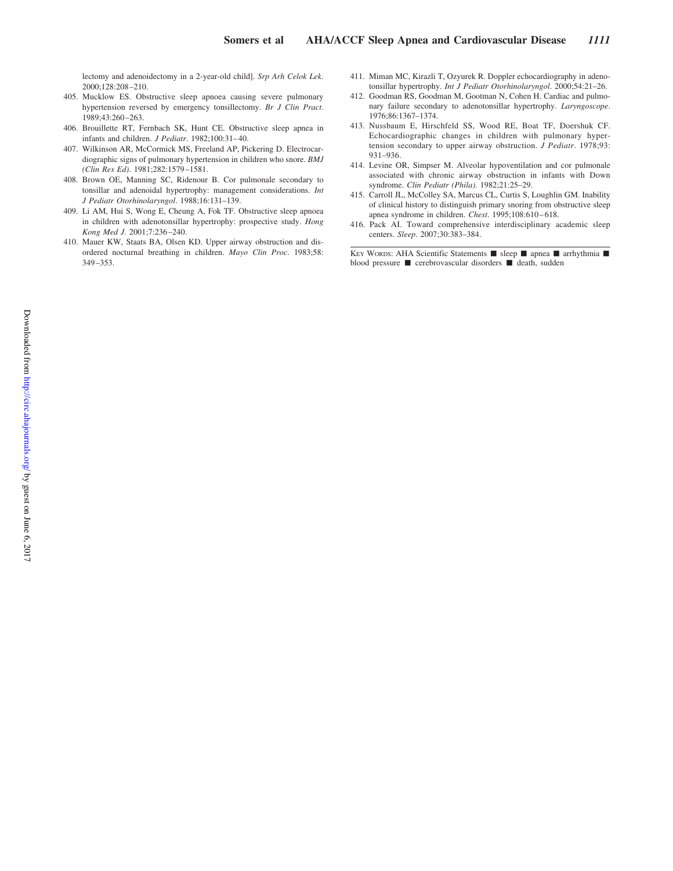lectomy and adenoidectomy in a 2-year-old child]. *Srp Arh Celok Lek*. 2000;128:208 –210.

- 405. Mucklow ES. Obstructive sleep apnoea causing severe pulmonary hypertension reversed by emergency tonsillectomy. *Br J Clin Pract*. 1989;43:260 –263.
- 406. Brouillette RT, Fernbach SK, Hunt CE. Obstructive sleep apnea in infants and children. *J Pediatr*. 1982;100:31– 40.
- 407. Wilkinson AR, McCormick MS, Freeland AP, Pickering D. Electrocardiographic signs of pulmonary hypertension in children who snore. *BMJ (Clin Res Ed)*. 1981;282:1579 –1581.
- 408. Brown OE, Manning SC, Ridenour B. Cor pulmonale secondary to tonsillar and adenoidal hypertrophy: management considerations. *Int J Pediatr Otorhinolaryngol*. 1988;16:131–139.
- 409. Li AM, Hui S, Wong E, Cheung A, Fok TF. Obstructive sleep apnoea in children with adenotonsillar hypertrophy: prospective study. *Hong Kong Med J*. 2001;7:236 –240.
- 410. Mauer KW, Staats BA, Olsen KD. Upper airway obstruction and disordered nocturnal breathing in children. *Mayo Clin Proc*. 1983;58: 349 –353.
- 411. Miman MC, Kirazli T, Ozyurek R. Doppler echocardiography in adenotonsillar hypertrophy. *Int J Pediatr Otorhinolaryngol*. 2000;54:21–26.
- 412. Goodman RS, Goodman M, Gootman N, Cohen H. Cardiac and pulmonary failure secondary to adenotonsillar hypertrophy. *Laryngoscope*. 1976;86:1367–1374.
- 413. Nussbaum E, Hirschfeld SS, Wood RE, Boat TF, Doershuk CF. Echocardiographic changes in children with pulmonary hypertension secondary to upper airway obstruction. *J Pediatr*. 1978;93: 931–936.
- 414. Levine OR, Simpser M. Alveolar hypoventilation and cor pulmonale associated with chronic airway obstruction in infants with Down syndrome. *Clin Pediatr (Phila)*. 1982;21:25–29.
- 415. Carroll JL, McColley SA, Marcus CL, Curtis S, Loughlin GM. Inability of clinical history to distinguish primary snoring from obstructive sleep apnea syndrome in children. *Chest*. 1995;108:610 – 618.
- 416. Pack AI. Toward comprehensive interdisciplinary academic sleep centers. *Sleep*. 2007;30:383–384.

KEY WORDS: AHA Scientific Statements ■ sleep ■ apnea ■ arrhythmia ■ blood pressure  $\blacksquare$  cerebrovascular disorders  $\blacksquare$  death, sudden